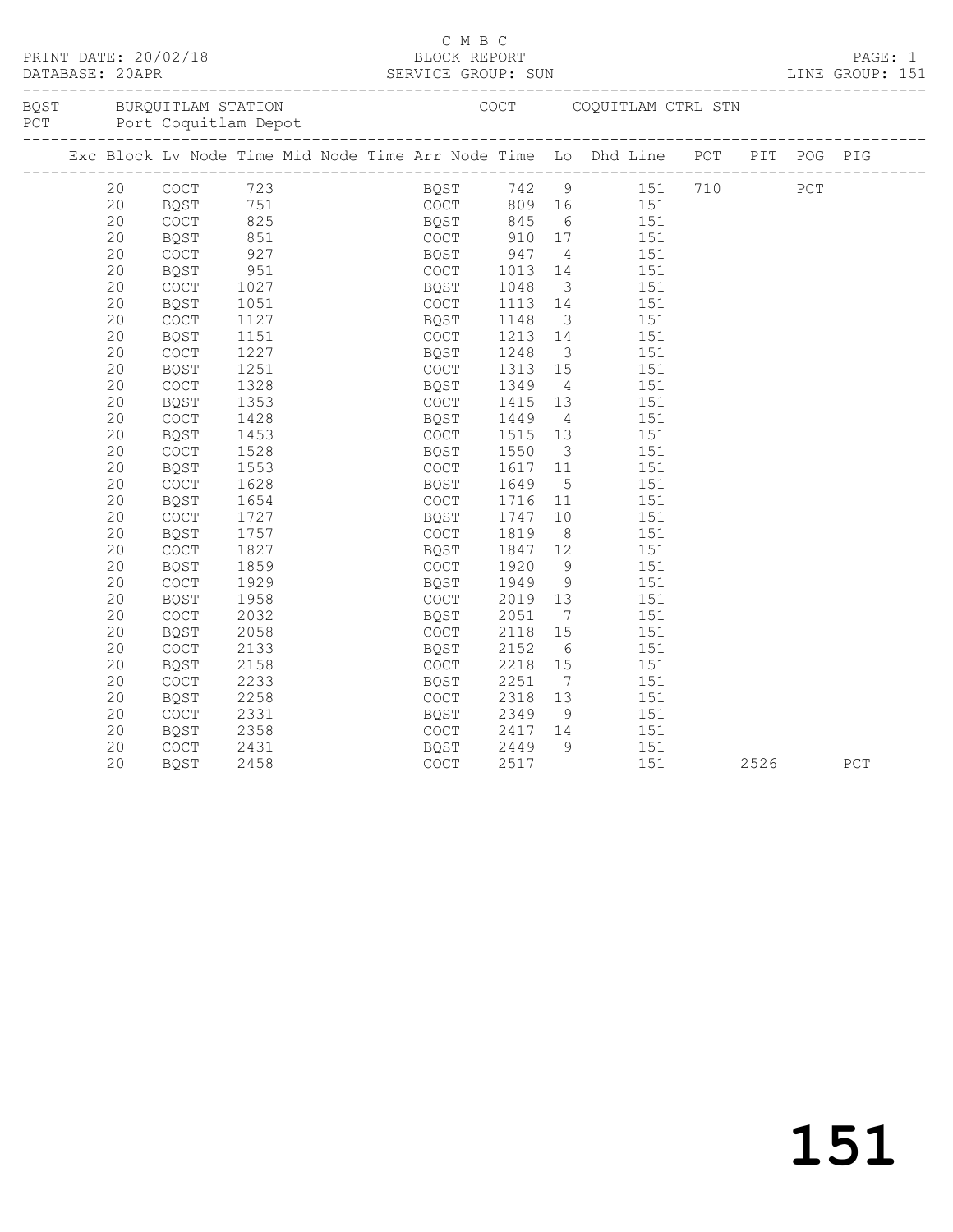|  | DATABASE: 20APR | PRINT DATE: 20/02/18 |                                                     |  | C M B C<br>BLOCK REPORT |                   |                         |                                                                                   |      | PAGE: 1<br>LINE GROUP: 151 |
|--|-----------------|----------------------|-----------------------------------------------------|--|-------------------------|-------------------|-------------------------|-----------------------------------------------------------------------------------|------|----------------------------|
|  |                 |                      | BQST BURQUITLAM STATION<br>PCT Port Coquitlam Depot |  |                         |                   |                         | COCT COQUITLAM CTRL STN                                                           |      |                            |
|  |                 |                      |                                                     |  |                         |                   |                         | Exc Block Lv Node Time Mid Node Time Arr Node Time Lo Dhd Line POT PIT POG PIG    |      |                            |
|  | 20              |                      |                                                     |  |                         |                   |                         | BQST 742 9 151 710 PCT<br>COCT 809 16 151                                         |      |                            |
|  | 20              |                      |                                                     |  |                         |                   |                         |                                                                                   |      |                            |
|  | 20              | COCT                 | $825$<br>851<br>927                                 |  |                         |                   |                         | BQST 845 6 151<br>COCT 910 17 151<br>6 151                                        |      |                            |
|  | 20              | BQST                 |                                                     |  |                         |                   |                         |                                                                                   |      |                            |
|  | 20              | COCT                 |                                                     |  | BQST 947                |                   |                         | $\frac{1}{4}$ 151                                                                 |      |                            |
|  | 20              | BQST                 | 951<br>1027<br>1051                                 |  | COCT 1013<br>BOST 1048  |                   |                         | 14   151                                                                          |      |                            |
|  | 20              | COCT                 |                                                     |  |                         |                   | $\overline{\mathbf{3}}$ | 151                                                                               |      |                            |
|  | 20              | BQST                 |                                                     |  | COCT                    |                   |                         | 1113 14 151                                                                       |      |                            |
|  | 20              | COCT                 | 1127                                                |  | BQST                    | 1148              |                         | $\begin{array}{cccc} 1148 & & 3 & & 151 \\ 1213 & & 14 & & 151 \end{array}$       |      |                            |
|  | 20              | <b>BQST</b>          | 1151                                                |  | COCT                    |                   |                         |                                                                                   |      |                            |
|  | 20              | COCT                 | 1227                                                |  | BQST                    | 1248              |                         | 3 151                                                                             |      |                            |
|  | 20              | BQST                 | 1251                                                |  | COCT                    | 1313              |                         | $15$ $151$                                                                        |      |                            |
|  | 20              | COCT                 | 1328                                                |  | BQST                    | 1349              | $4\overline{4}$         | 151                                                                               |      |                            |
|  | 20              | BQST                 | 1353                                                |  | COCT                    | 1415              |                         | 13 151                                                                            |      |                            |
|  | 20              | COCT                 | 1428                                                |  | BQST                    | 1449              |                         | $\begin{array}{cccc} 1449 & & 4 & & 151 \\ 1515 & 13 & & 151 \end{array}$         |      |                            |
|  | 20              | BQST                 | 1453                                                |  | COCT                    |                   |                         |                                                                                   |      |                            |
|  | 20              | COCT                 | 1528                                                |  | BQST                    | 1550              |                         | 3 151                                                                             |      |                            |
|  | 20              | <b>BQST</b>          | 1553                                                |  | COCT                    | 1617 11<br>1649 5 |                         | 151                                                                               |      |                            |
|  | 20              | COCT                 | 1628                                                |  | BQST                    |                   |                         | 151                                                                               |      |                            |
|  | 20              | <b>BQST</b>          | 1654                                                |  | COCT                    |                   |                         | 1716 11 151                                                                       |      |                            |
|  | 20              | COCT                 | 1727                                                |  | BQST                    | 1747<br>1819      |                         | $\begin{array}{cc} 10 & \hspace{1.5mm} 151 \\ 8 & \hspace{1.5mm} 151 \end{array}$ |      |                            |
|  | 20              | BQST                 | 1757                                                |  | COCT                    |                   |                         |                                                                                   |      |                            |
|  | 20              | COCT                 | 1827                                                |  | BQST                    | 1847              |                         | 12   151                                                                          |      |                            |
|  | 20              | <b>BQST</b>          | 1859                                                |  | COCT                    | 1920              | 9                       | 151                                                                               |      |                            |
|  | 20              | COCT                 | 1929                                                |  | BQST                    | 1949              |                         | $\frac{151}{9}$                                                                   |      |                            |
|  | 20              | BQST                 | 1958                                                |  | COCT                    | 2019              |                         | 13 151                                                                            |      |                            |
|  | 20              | COCT                 | 2032                                                |  | BQST                    | 2051              | $7\overline{ }$         | 151                                                                               |      |                            |
|  | 20              | <b>BQST</b>          | 2058                                                |  | COCT                    | 2118              | 15                      | 151                                                                               |      |                            |
|  | 20              | COCT                 | 2133                                                |  | BQST                    | 2152              |                         | 6 151                                                                             |      |                            |
|  | 20              | BQST                 | 2158                                                |  | COCT                    | 2218              | 15                      | 151                                                                               |      |                            |
|  | 20              | <b>COCT</b>          | 2233                                                |  | BQST                    | 2251              |                         | 7 151                                                                             |      |                            |
|  | 20              | BQST                 | 2258                                                |  | COCT                    |                   |                         | $13 \t\t 151$                                                                     |      |                            |
|  | 20              | COCT                 | 2331                                                |  | BQST                    | 2318<br>2349      | 9                       | 151                                                                               |      |                            |
|  | 20              | BQST                 | 2358                                                |  |                         |                   |                         | COCT 2417 14 151                                                                  |      |                            |
|  | 20              | COCT                 | 2431                                                |  | BQST                    | 2449<br>2517      |                         | 9 151                                                                             |      |                            |
|  | 20              | BQST                 | 2458                                                |  | COCT                    |                   |                         | 151                                                                               | 2526 | PCT                        |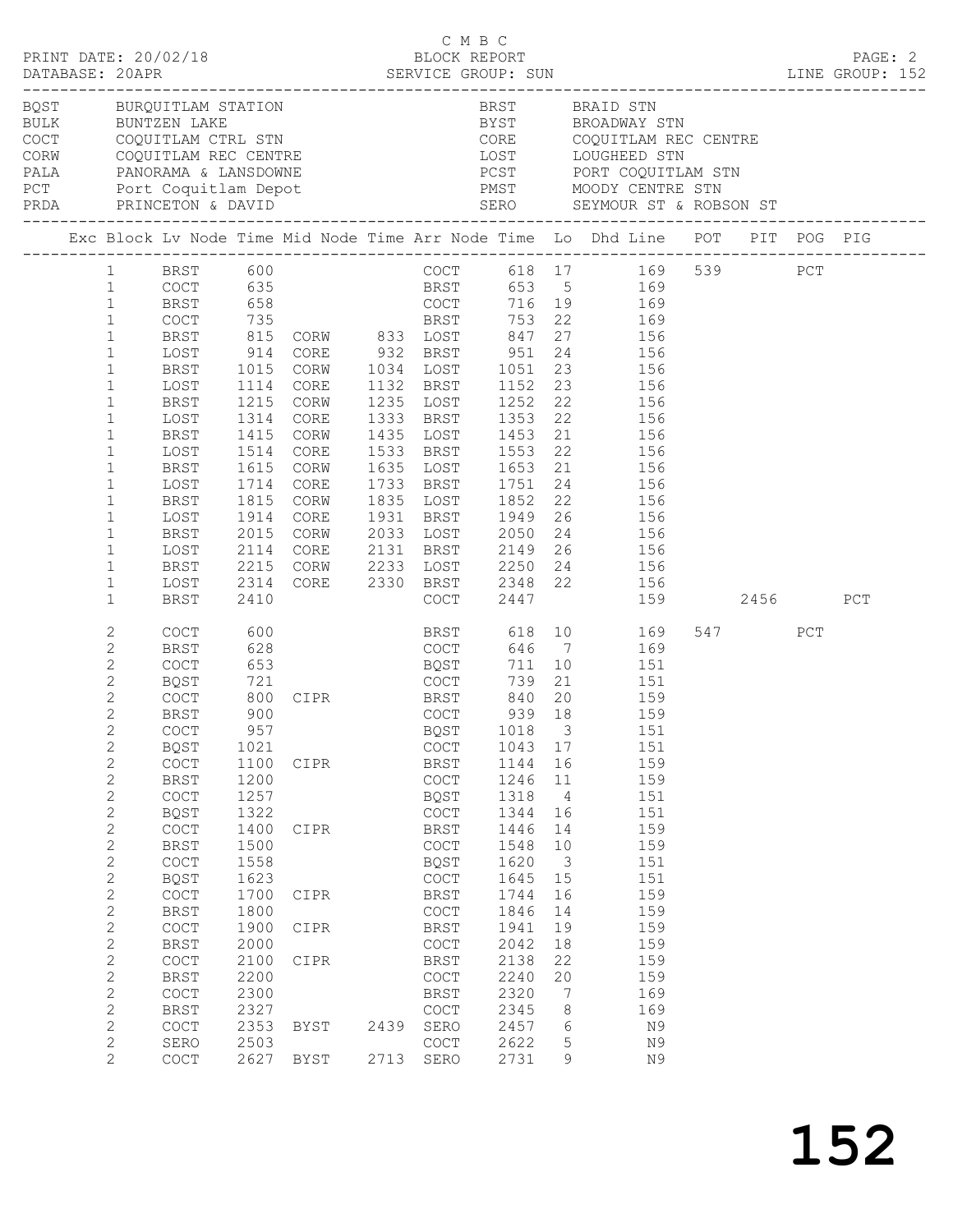|                                                                                                                                                                                                                                                                                                                                                                                                                     | PRINT DATE: 20/02/18                                                                                                                                                                                                                                                                                                                                                   |                                                                                                                                                             |                                                                                                                                                        |              | C M B C<br>BLOCK REPORT                                                                                                                                                                                                                  |                                                                                                                                                              |                                                                                                                                                                | DATABASE: 20APR SERVICE GROUP: SUN<br>DATABASE: 20APR SERVICE GROUP: SUN LINE GROUP: 152                                                                                                                                                                                                                                                                                                                                                                                                                                                                                                        |     |     | PAGE: 2 |
|---------------------------------------------------------------------------------------------------------------------------------------------------------------------------------------------------------------------------------------------------------------------------------------------------------------------------------------------------------------------------------------------------------------------|------------------------------------------------------------------------------------------------------------------------------------------------------------------------------------------------------------------------------------------------------------------------------------------------------------------------------------------------------------------------|-------------------------------------------------------------------------------------------------------------------------------------------------------------|--------------------------------------------------------------------------------------------------------------------------------------------------------|--------------|------------------------------------------------------------------------------------------------------------------------------------------------------------------------------------------------------------------------------------------|--------------------------------------------------------------------------------------------------------------------------------------------------------------|----------------------------------------------------------------------------------------------------------------------------------------------------------------|-------------------------------------------------------------------------------------------------------------------------------------------------------------------------------------------------------------------------------------------------------------------------------------------------------------------------------------------------------------------------------------------------------------------------------------------------------------------------------------------------------------------------------------------------------------------------------------------------|-----|-----|---------|
|                                                                                                                                                                                                                                                                                                                                                                                                                     |                                                                                                                                                                                                                                                                                                                                                                        |                                                                                                                                                             |                                                                                                                                                        |              |                                                                                                                                                                                                                                          |                                                                                                                                                              |                                                                                                                                                                | PCT Port Coquitlam Depot PMST MOODY CENTRE STN                                                                                                                                                                                                                                                                                                                                                                                                                                                                                                                                                  |     |     |         |
|                                                                                                                                                                                                                                                                                                                                                                                                                     |                                                                                                                                                                                                                                                                                                                                                                        |                                                                                                                                                             |                                                                                                                                                        |              |                                                                                                                                                                                                                                          |                                                                                                                                                              |                                                                                                                                                                | Exc Block Lv Node Time Mid Node Time Arr Node Time Lo Dhd Line POT PIT POG PIG                                                                                                                                                                                                                                                                                                                                                                                                                                                                                                                  |     |     |         |
| $1 \quad$<br>$\mathbf{1}$<br>$\mathbf{1}$<br>$\mathbf{1}$<br>$\mathbf{1}$<br>$\mathbf{1}$<br>$\mathbf{1}$<br>$\mathbf{1}$<br>$\mathbf{1}$<br>$\mathbf{1}$<br>$\mathbf{1}$<br>$\mathbf{1}$<br>$\mathbf{1}$<br>$\mathbf{1}$<br>$\mathbf{1}$<br>$\mathbf{1}$<br>$\mathbf{1}$<br>$\mathbf{1}$<br>$\mathbf{1}$<br>$\mathbf{1}$<br>$\mathbf{1}$<br>$\mathbf{2}$<br>2<br>$\mathbf{2}$<br>2<br>$\mathbf{2}$<br>$\mathbf{2}$ | BRST<br>LOST<br>BRST<br>LOST<br>BRST<br>LOST<br>BRST<br>LOST<br>BRST<br>LOST<br>BRST<br>LOST<br>BRST<br>LOST<br><b>BRST</b><br>LOST<br>BRST<br>COCT<br><b>BRST</b><br>COCT<br>BQST<br>COCT<br>BRST                                                                                                                                                                     | 1114<br>1215<br>1314<br>1415<br>1514<br>1615<br>1714<br>1815<br>1914<br>2015<br>2114<br>2215<br>2314<br>2410<br>600<br>628<br>653<br>721<br>800<br>900      | CORE<br>CORW<br>CORE<br>CORW<br>CORE<br>CORW<br>CORE<br>CORW<br>CORE<br>CORW<br>CORE<br>CORW<br>CORE<br><b>BOST</b><br>CIPR BRST 840 20<br>COCT 939 18 |              | 1235 LOST<br>1635 LOST<br>1733 BRST<br>1835 LOST<br>COCT<br>COCT                                                                                                                                                                         | 1751<br>1852 22<br>2447<br>739                                                                                                                               | 20                                                                                                                                                             | BRST 600 COCT 618 17 169 539 PCT<br>COCT 635 BRST 653 5 169<br>BRST 658 COCT 716 19 169<br>COCT 735 BRST 753 22 169<br>815 CORW 833 LOST 847 27 156<br>914 CORE 932 BRST 951 24 156<br>1015 CORW 1034 LOST 1051 23 156<br>1132 BRST 1152 23 156<br>1252 22 156<br>1333 BRST 1353 22 156<br>1435 LOST 1453 21 156<br>1533 BRST 1553 22 156<br>1653 21 156<br>$24$ 156<br>156<br>1931 BRST 1949 26 156<br>2033 LOST 2050 24 156<br>2131 BRST 2149 26 156<br>2233 LOST 2250 24 156<br>2330 BRST 2348 22 156<br>159 2456<br>BRST 618 10 169<br>COCT 646 7 169<br>711 10 151<br>21 151<br>159<br>159 | 547 | PCT | PCT     |
| $\overline{2}$<br>$\mathbf{2}$<br>$\mathbf{2}$<br>$\mathbf{2}$<br>$\mathbf{2}$<br>$\mathbf{2}$<br>$\mathbf{2}$<br>$\mathbf{2}$<br>$\mathbf{2}$<br>$\mathbf{2}$<br>$\mathbf{2}$<br>$\mathbf{2}$<br>$\mathbf{2}$<br>$\mathbf{2}$<br>$\mathbf{2}$<br>$\mathbf{2}$<br>$\mathbf{2}$<br>$\mathbf{2}$<br>2<br>$\mathbf{2}$<br>$\mathbf{2}^{\prime}$                                                                        | COCT<br>BQST<br>COCT<br><b>BRST</b><br>$\mathtt{C}\mathtt{O}\mathtt{C}\mathtt{T}$<br><b>BQST</b><br>COCT<br><b>BRST</b><br>COCT<br>BQST<br>COCT<br><b>BRST</b><br>$\mathtt{C}\mathtt{O}\mathtt{C}\mathtt{T}$<br>BRST<br>$\mathtt{C}\mathtt{O}\mathtt{C}\mathtt{T}$<br><b>BRST</b><br>$\mathtt{C}\mathtt{O}\mathtt{C}\mathtt{T}$<br><b>BRST</b><br>COCT<br>SERO<br>COCT | 957<br>1021<br>1100<br>1200<br>1257<br>1322<br>1400<br>1500<br>1558<br>1623<br>1700<br>1800<br>1900<br>2000<br>2100<br>2200<br>2300<br>2327<br>2353<br>2503 | CIPR<br>CIPR<br>CIPR<br>CIPR<br>CIPR<br>BYST<br>2627 BYST                                                                                              | 2439<br>2713 | COCT<br>BRST<br>COCT<br>BQST<br>COCT<br>BRST<br>COCT<br>BQST<br>COCT<br>BRST<br>$\mathtt{C}\mathtt{O}\mathtt{C}\mathtt{T}$<br>BRST<br>COCT<br>BRST<br>$\mathtt{C}\mathtt{O}\mathtt{C}\mathtt{T}$<br>BRST<br>COCT<br>SERO<br>COCT<br>SERO | 1043<br>1144<br>1246<br>1318<br>1344<br>1446<br>1548<br>1620<br>1645<br>1744<br>1846<br>1941<br>2042<br>2138<br>2240<br>2320<br>2345<br>2457<br>2622<br>2731 | 17<br>16<br>11<br>$\overline{4}$<br>16<br>14<br>10<br>$\overline{\mathbf{3}}$<br>15<br>16<br>14<br>19<br>18<br>22<br>20<br>$7\phantom{.0}$<br>8<br>6<br>5<br>9 | BQST 1018 3 151<br>151<br>159<br>159<br>151<br>151<br>159<br>159<br>151<br>151<br>159<br>159<br>159<br>159<br>159<br>159<br>169<br>169<br>N9<br>N9<br>N9                                                                                                                                                                                                                                                                                                                                                                                                                                        |     |     |         |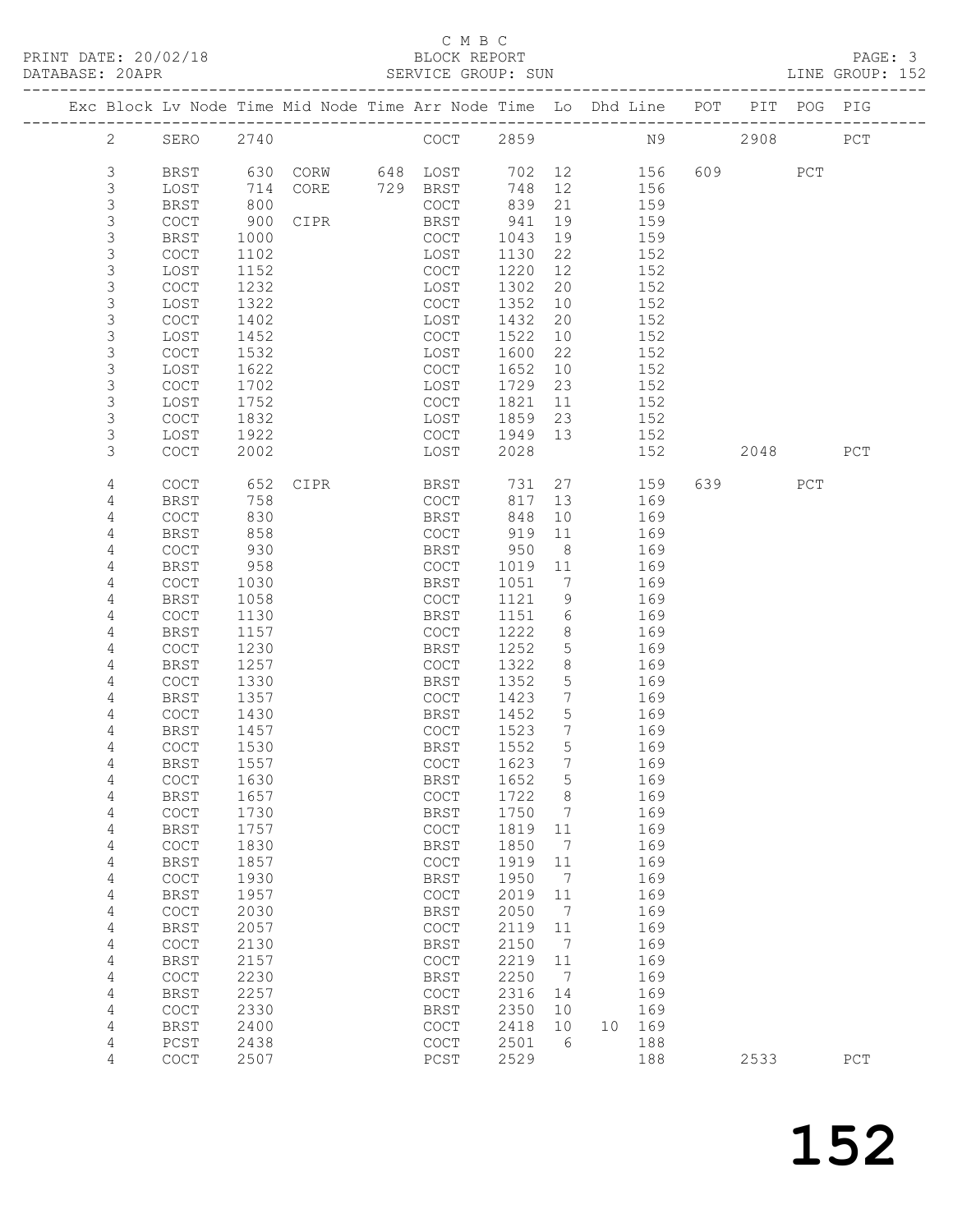#### C M B C<br>BLOCK REPORT

| PRINT DATE: 20/02/18 | BLOCK REPORT                                                                   | PAGE: 3         |
|----------------------|--------------------------------------------------------------------------------|-----------------|
| DATABASE: 20APR      | SERVICE GROUP: SUN                                                             | LINE GROUP: 152 |
|                      | Exc Block Lv Node Time Mid Node Time Arr Node Time Lo Dhd Line POT PIT POG PIG |                 |

|  |              |                                            |      | Exc Block Lv Node Time Mid Node Time Arr Node Time Lo Dhd Line POT |     |                                            |      |                              |    |     |     | PIT  | POG PIG |     |
|--|--------------|--------------------------------------------|------|--------------------------------------------------------------------|-----|--------------------------------------------|------|------------------------------|----|-----|-----|------|---------|-----|
|  | $\mathbf{2}$ | SERO                                       | 2740 |                                                                    |     | COCT                                       | 2859 |                              |    | N9  |     | 2908 |         | PCT |
|  | 3            | BRST                                       | 630  | CORW                                                               |     | 648 LOST                                   | 702  | 12                           |    | 156 | 609 |      | PCT     |     |
|  | 3            | LOST                                       | 714  | CORE                                                               | 729 | BRST                                       | 748  | 12                           |    | 156 |     |      |         |     |
|  | $\mathsf S$  | <b>BRST</b>                                | 800  |                                                                    |     | COCT                                       | 839  | 21                           |    | 159 |     |      |         |     |
|  | $\mathsf S$  | COCT                                       | 900  | CIPR                                                               |     | BRST                                       | 941  | 19                           |    | 159 |     |      |         |     |
|  | $\mathsf S$  | <b>BRST</b>                                | 1000 |                                                                    |     | COCT                                       | 1043 | 19                           |    | 159 |     |      |         |     |
|  | 3            | COCT                                       | 1102 |                                                                    |     | LOST                                       | 1130 | 22                           |    | 152 |     |      |         |     |
|  | $\mathsf S$  | LOST                                       | 1152 |                                                                    |     | COCT                                       | 1220 | 12                           |    | 152 |     |      |         |     |
|  | $\mathsf S$  | COCT                                       | 1232 |                                                                    |     | LOST                                       | 1302 | 20                           |    | 152 |     |      |         |     |
|  | $\mathsf S$  | LOST                                       | 1322 |                                                                    |     | COCT                                       | 1352 | 10                           |    | 152 |     |      |         |     |
|  | 3            | COCT                                       | 1402 |                                                                    |     | LOST                                       | 1432 | 20                           |    | 152 |     |      |         |     |
|  | 3            | LOST                                       | 1452 |                                                                    |     | COCT                                       | 1522 | 10                           |    | 152 |     |      |         |     |
|  | $\mathsf S$  | $\operatorname{COT}$                       | 1532 |                                                                    |     | LOST                                       | 1600 | 22                           |    | 152 |     |      |         |     |
|  | 3            | LOST                                       | 1622 |                                                                    |     | $\mathtt{C}\mathtt{O}\mathtt{C}\mathtt{T}$ | 1652 | 10                           |    | 152 |     |      |         |     |
|  | $\mathsf S$  | COCT                                       | 1702 |                                                                    |     | LOST                                       | 1729 | 23                           |    | 152 |     |      |         |     |
|  | $\mathsf S$  | LOST                                       | 1752 |                                                                    |     | COCT                                       | 1821 | 11                           |    | 152 |     |      |         |     |
|  | 3            | COCT                                       | 1832 |                                                                    |     | LOST                                       | 1859 | 23                           |    | 152 |     |      |         |     |
|  | 3            | LOST                                       | 1922 |                                                                    |     | COCT                                       | 1949 | 13                           |    | 152 |     |      |         |     |
|  | 3            | COCT                                       | 2002 |                                                                    |     | LOST                                       | 2028 |                              |    | 152 |     | 2048 |         | PCT |
|  |              |                                            |      |                                                                    |     |                                            |      |                              |    |     |     |      |         |     |
|  | 4            | COCT                                       | 652  | CIPR                                                               |     | BRST                                       | 731  | 27                           |    | 159 | 639 |      | PCT     |     |
|  | 4            | <b>BRST</b>                                | 758  |                                                                    |     | COCT                                       | 817  | 13                           |    | 169 |     |      |         |     |
|  | 4            | COCT                                       | 830  |                                                                    |     | BRST                                       | 848  | 10                           |    | 169 |     |      |         |     |
|  | 4            | <b>BRST</b>                                | 858  |                                                                    |     | <b>COCT</b>                                | 919  | 11                           |    | 169 |     |      |         |     |
|  | 4            | COCT                                       | 930  |                                                                    |     | BRST                                       | 950  | 8                            |    | 169 |     |      |         |     |
|  | 4            | <b>BRST</b>                                | 958  |                                                                    |     | COCT                                       | 1019 | 11                           |    | 169 |     |      |         |     |
|  | 4            | COCT                                       | 1030 |                                                                    |     | BRST                                       | 1051 | 7                            |    | 169 |     |      |         |     |
|  | 4            | BRST                                       | 1058 |                                                                    |     | <b>COCT</b>                                | 1121 | 9                            |    | 169 |     |      |         |     |
|  | 4            | COCT                                       | 1130 |                                                                    |     | <b>BRST</b>                                | 1151 | 6                            |    | 169 |     |      |         |     |
|  | 4            | <b>BRST</b>                                | 1157 |                                                                    |     | COCT                                       | 1222 | 8                            |    | 169 |     |      |         |     |
|  | 4            | COCT                                       | 1230 |                                                                    |     | BRST                                       | 1252 | 5                            |    | 169 |     |      |         |     |
|  | 4            | <b>BRST</b>                                | 1257 |                                                                    |     | COCT                                       | 1322 | 8                            |    | 169 |     |      |         |     |
|  | 4            | COCT                                       | 1330 |                                                                    |     | <b>BRST</b>                                | 1352 | 5                            |    | 169 |     |      |         |     |
|  | 4            | <b>BRST</b>                                | 1357 |                                                                    |     | COCT                                       | 1423 | 7                            |    | 169 |     |      |         |     |
|  | 4            | COCT                                       | 1430 |                                                                    |     | BRST                                       | 1452 | $\overline{5}$               |    | 169 |     |      |         |     |
|  | 4            | <b>BRST</b>                                | 1457 |                                                                    |     | COCT                                       | 1523 | 7                            |    | 169 |     |      |         |     |
|  | 4            | COCT                                       | 1530 |                                                                    |     | BRST                                       | 1552 | 5                            |    | 169 |     |      |         |     |
|  | 4            | <b>BRST</b>                                | 1557 |                                                                    |     | COCT                                       | 1623 | 7                            |    | 169 |     |      |         |     |
|  | 4            | <b>COCT</b>                                | 1630 |                                                                    |     | <b>BRST</b>                                | 1652 | 5                            |    | 169 |     |      |         |     |
|  | 4            | BRST                                       | 1657 |                                                                    |     | COCT                                       | 1722 | 8                            |    | 169 |     |      |         |     |
|  | 4            | COCT                                       | 1730 |                                                                    |     | BRST                                       | 1750 | 7                            |    | 169 |     |      |         |     |
|  | 4            | <b>BRST</b>                                | 1757 |                                                                    |     | $\mathtt{C}\mathtt{O}\mathtt{C}\mathtt{T}$ | 1819 | 11                           |    | 169 |     |      |         |     |
|  | 4            | $\mathtt{C}\mathtt{O}\mathtt{C}\mathtt{T}$ | 1830 |                                                                    |     | BRST                                       | 1850 | $7\phantom{.0}\phantom{.0}7$ |    | 169 |     |      |         |     |
|  | 4            | <b>BRST</b>                                | 1857 |                                                                    |     | COCT                                       | 1919 | 11                           |    | 169 |     |      |         |     |
|  | 4            | COCT                                       | 1930 |                                                                    |     | <b>BRST</b>                                | 1950 | $\overline{7}$               |    | 169 |     |      |         |     |
|  | 4            | <b>BRST</b>                                | 1957 |                                                                    |     | $\mathtt{C}\mathtt{O}\mathtt{C}\mathtt{T}$ | 2019 | 11                           |    | 169 |     |      |         |     |
|  | 4            | $\mathtt{C}\mathtt{O}\mathtt{C}\mathtt{T}$ | 2030 |                                                                    |     | BRST                                       | 2050 | $\overline{7}$               |    | 169 |     |      |         |     |
|  | 4            | <b>BRST</b>                                | 2057 |                                                                    |     | $\mathtt{C}\mathtt{O}\mathtt{C}\mathtt{T}$ | 2119 | 11                           |    | 169 |     |      |         |     |
|  | 4            | COCT                                       | 2130 |                                                                    |     | <b>BRST</b>                                | 2150 | $\overline{7}$               |    | 169 |     |      |         |     |
|  | 4            | <b>BRST</b>                                | 2157 |                                                                    |     | COCT                                       | 2219 | 11                           |    | 169 |     |      |         |     |
|  | 4            | $\mathtt{C}\mathtt{O}\mathtt{C}\mathtt{T}$ | 2230 |                                                                    |     | BRST                                       | 2250 | $\overline{7}$               |    | 169 |     |      |         |     |
|  | 4            | <b>BRST</b>                                | 2257 |                                                                    |     | $\mathtt{C}\mathtt{O}\mathtt{C}\mathtt{T}$ | 2316 | 14                           |    | 169 |     |      |         |     |
|  | 4            | COCT                                       | 2330 |                                                                    |     | <b>BRST</b>                                | 2350 | 10                           |    | 169 |     |      |         |     |
|  | 4            | <b>BRST</b>                                | 2400 |                                                                    |     | COCT                                       | 2418 | 10                           | 10 | 169 |     |      |         |     |
|  | 4            | PCST                                       | 2438 |                                                                    |     | COCT                                       | 2501 | 6                            |    | 188 |     |      |         |     |
|  | 4            | COCT                                       | 2507 |                                                                    |     | PCST                                       | 2529 |                              |    | 188 |     | 2533 |         | PCT |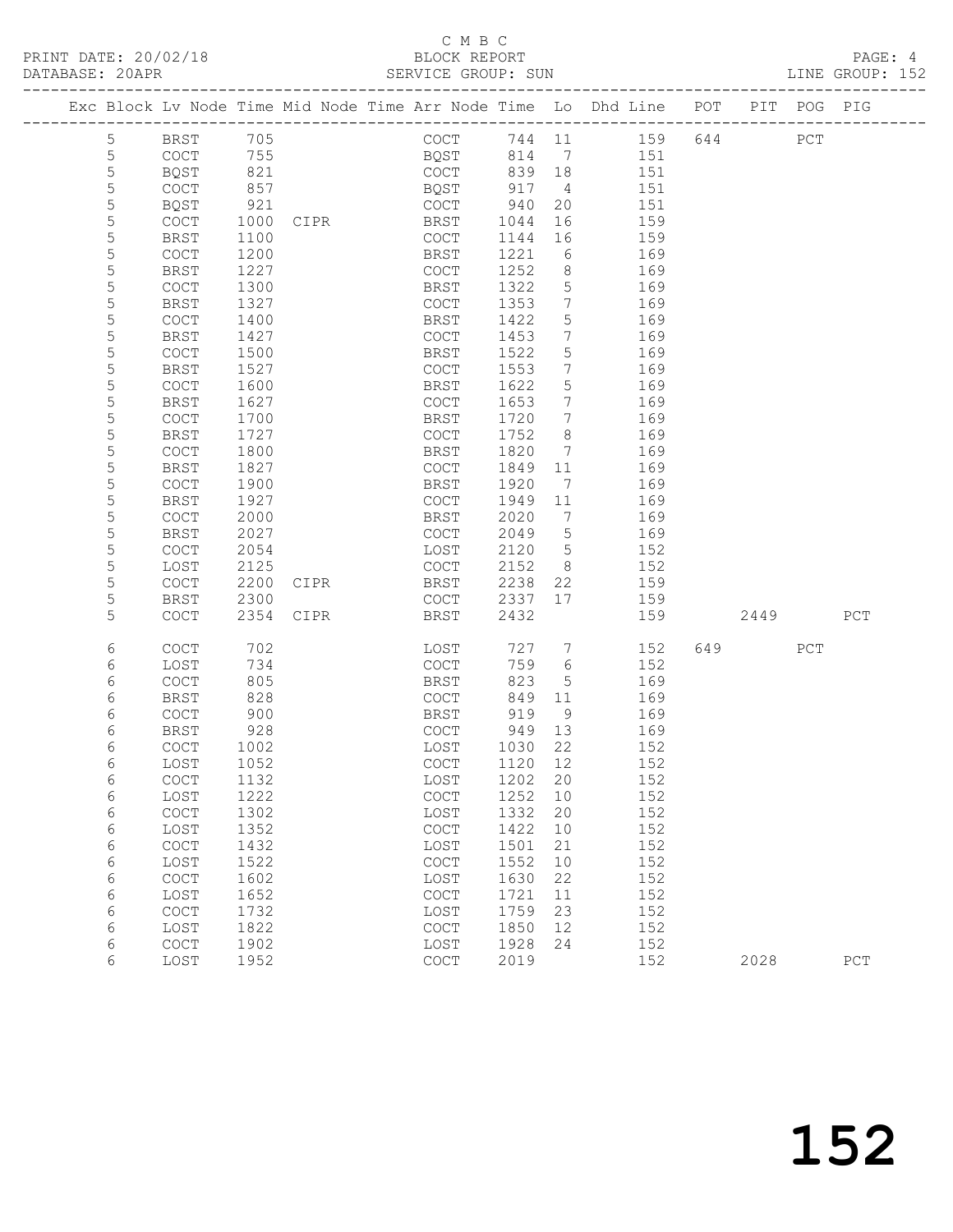### C M B C<br>BLOCK REPORT

| PRINT DATE: 20/02/18<br>DATABASE: 20APR |                |              |              |           | C M B C<br>The SERVICE GROUP: SUN SERVICE GROUP: SUN SERVICE GROUP: SUN LINE GROUP: 152 |              |                 |                                                                                               |     |     |  |
|-----------------------------------------|----------------|--------------|--------------|-----------|-----------------------------------------------------------------------------------------|--------------|-----------------|-----------------------------------------------------------------------------------------------|-----|-----|--|
|                                         |                |              |              |           | Exc Block Lv Node Time Mid Node Time Arr Node Time Lo Dhd Line POT PIT POG PIG          |              |                 |                                                                                               |     |     |  |
|                                         | 5 <sup>5</sup> | BRST         | 705          |           |                                                                                         |              |                 | COCT 744 11 159 644 PCT                                                                       |     |     |  |
|                                         | 5              | COCT         | 755<br>821   |           | BQST 814 7 151<br>COCT 839 18 151                                                       |              |                 |                                                                                               |     |     |  |
|                                         | $\mathsf S$    | BQST         |              |           |                                                                                         |              |                 |                                                                                               |     |     |  |
|                                         | 5              | COCT         | 857          |           | BQST 917                                                                                |              |                 | 4 151                                                                                         |     |     |  |
|                                         | 5              | BQST         | 921          |           | COCT 940                                                                                |              |                 | 20 151                                                                                        |     |     |  |
|                                         | $\mathsf S$    | COCT         | 1000         |           | CIPR BRST                                                                               | 1044         |                 | 16<br>16<br>159                                                                               |     |     |  |
|                                         | $\mathsf S$    | BRST         | 1100         |           | COCT                                                                                    | 1144         |                 | 159                                                                                           |     |     |  |
|                                         | 5              | COCT         | 1200         |           | BRST                                                                                    | 1221         |                 | 6 169                                                                                         |     |     |  |
|                                         | 5              | <b>BRST</b>  | 1227         |           | COCT                                                                                    | 1252         |                 | 8 169                                                                                         |     |     |  |
|                                         | 5<br>5         | COCT         | 1300<br>1327 |           | BRST                                                                                    | 1322<br>1353 | $7\overline{ }$ | $\frac{5}{7}$ 169<br>169                                                                      |     |     |  |
|                                         | 5              | BRST<br>COCT | 1400         |           | COCT<br>BRST                                                                            | 1422         | 5 <sup>5</sup>  | 169                                                                                           |     |     |  |
|                                         | 5              | BRST         | 1427         |           | COCT                                                                                    | 1453         |                 | 7 169                                                                                         |     |     |  |
|                                         | 5              | COCT         | 1500         |           | BRST                                                                                    | 1522         |                 | $\begin{array}{ccc} 7 & & & \\ 5 & & & 10 \\ & & & 169 \\ & & & 169 \\ & & & 160 \end{array}$ |     |     |  |
|                                         | 5              | <b>BRST</b>  | 1527         |           | COCT                                                                                    | 1553         | $7\overline{ }$ |                                                                                               |     |     |  |
|                                         | 5              | COCT         | 1600         |           | BRST                                                                                    | 1622         | 5 <sup>5</sup>  | 169                                                                                           |     |     |  |
|                                         | 5              | BRST         | 1627         |           | COCT                                                                                    | 1653         |                 | 7 169                                                                                         |     |     |  |
|                                         | 5              | COCT         | 1700         |           | BRST                                                                                    | 1720         |                 | $\begin{array}{ccc} 7 & 169 \end{array}$                                                      |     |     |  |
|                                         | 5              | <b>BRST</b>  | 1727         |           | COCT                                                                                    | 1752         | 8 <sup>8</sup>  | 169                                                                                           |     |     |  |
|                                         | 5              | COCT         | 1800         |           | BRST                                                                                    | 1820         |                 | $7$ 169                                                                                       |     |     |  |
|                                         | 5              | <b>BRST</b>  | 1827         |           | COCT                                                                                    | 1849         |                 | 11 169                                                                                        |     |     |  |
|                                         | 5              | COCT         | 1900         |           | BRST                                                                                    | 1920         |                 | 7 169                                                                                         |     |     |  |
|                                         | 5              | <b>BRST</b>  | 1927         |           | COCT                                                                                    | 1949         | 11              | 169                                                                                           |     |     |  |
|                                         | 5              | COCT         | 2000         |           | BRST                                                                                    | 2020         |                 | $\frac{11}{7}$ 169                                                                            |     |     |  |
|                                         | 5              | <b>BRST</b>  | 2027         |           | COCT                                                                                    | 2049         |                 | 5 169                                                                                         |     |     |  |
|                                         | 5              | COCT         | 2054         |           | LOST                                                                                    |              |                 | 2120 5 152                                                                                    |     |     |  |
|                                         | 5              | LOST         | 2125         |           | COCT                                                                                    | 2152         |                 | 152                                                                                           |     |     |  |
|                                         | 5              | COCT         | 2200         | CIPR      | <b>BRST</b>                                                                             | 2238         |                 | $\begin{array}{c} 8 \\ 22 \end{array}$<br>159                                                 |     |     |  |
|                                         | 5              | BRST         | 2300         |           | COCT                                                                                    |              |                 | 2337 17 159                                                                                   |     |     |  |
|                                         | 5              | <b>COCT</b>  |              | 2354 CIPR | <b>BRST</b>                                                                             | 2432         |                 | 159 2449 PCT                                                                                  |     |     |  |
|                                         | 6              | <b>COCT</b>  | 702          |           | LOST                                                                                    |              |                 | 727 7 152                                                                                     | 649 | PCT |  |
|                                         | 6              | LOST         | 734          |           | COCT                                                                                    | 759          |                 | 6 152                                                                                         |     |     |  |
|                                         | 6              | <b>COCT</b>  | 805          |           | BRST                                                                                    | 823          |                 | 5 169                                                                                         |     |     |  |
|                                         | 6              | <b>BRST</b>  | 828          |           | COCT                                                                                    | 849          | 11              | 169                                                                                           |     |     |  |
|                                         | 6              | <b>COCT</b>  | 900          |           | <b>BRST</b>                                                                             | 919          | 9               | 169                                                                                           |     |     |  |
|                                         | 6              | <b>BRST</b>  | 928          |           | COCT                                                                                    | 949          | 13              | 169                                                                                           |     |     |  |
|                                         | 6              | COCT         | 1002         |           | LOST                                                                                    | 1030         | 22              | 152                                                                                           |     |     |  |
|                                         | 6              | LOST         | 1052         |           | $_{\mathrm{COT}}$                                                                       | 1120         | 12              | 152                                                                                           |     |     |  |
|                                         | 6              | COCT         | 1132         |           | LOST                                                                                    | 1202         | 20              | 152                                                                                           |     |     |  |
|                                         | 6              | LOST         | 1222         |           | $\mathtt{C}\mathtt{O}\mathtt{C}\mathtt{T}$                                              | 1252         | 10              | 152                                                                                           |     |     |  |
|                                         | 6              | COCT         | 1302         |           | LOST                                                                                    | 1332         | 20              | 152                                                                                           |     |     |  |
|                                         | 6              | LOST         | 1352         |           | $\mathtt{C}\mathtt{O}\mathtt{C}\mathtt{T}$                                              | 1422         | 10              | 152                                                                                           |     |     |  |
|                                         | 6              | COCT         | 1432         |           | LOST                                                                                    | 1501         | 21              | 152                                                                                           |     |     |  |
|                                         | 6              | LOST         | 1522         |           | $\mathtt{C}\mathtt{O}\mathtt{C}\mathtt{T}$                                              | 1552         | 10              | 152                                                                                           |     |     |  |
|                                         | 6              | COCT         | 1602         |           | LOST                                                                                    | 1630         | 22              | 152                                                                                           |     |     |  |
|                                         | 6              | LOST         | 1652         |           | COCT                                                                                    | 1721         | 11              | 152                                                                                           |     |     |  |
|                                         | 6              | COCT         | 1732         |           | LOST                                                                                    | 1759         | 23              | 152                                                                                           |     |     |  |
|                                         | 6              | LOST         | 1822         |           | COCT                                                                                    | 1850         | 12              | 152                                                                                           |     |     |  |

6 COCT 1902 LOST 1928 24 152

6 LOST 1952 COCT 2019 152 2028 PCT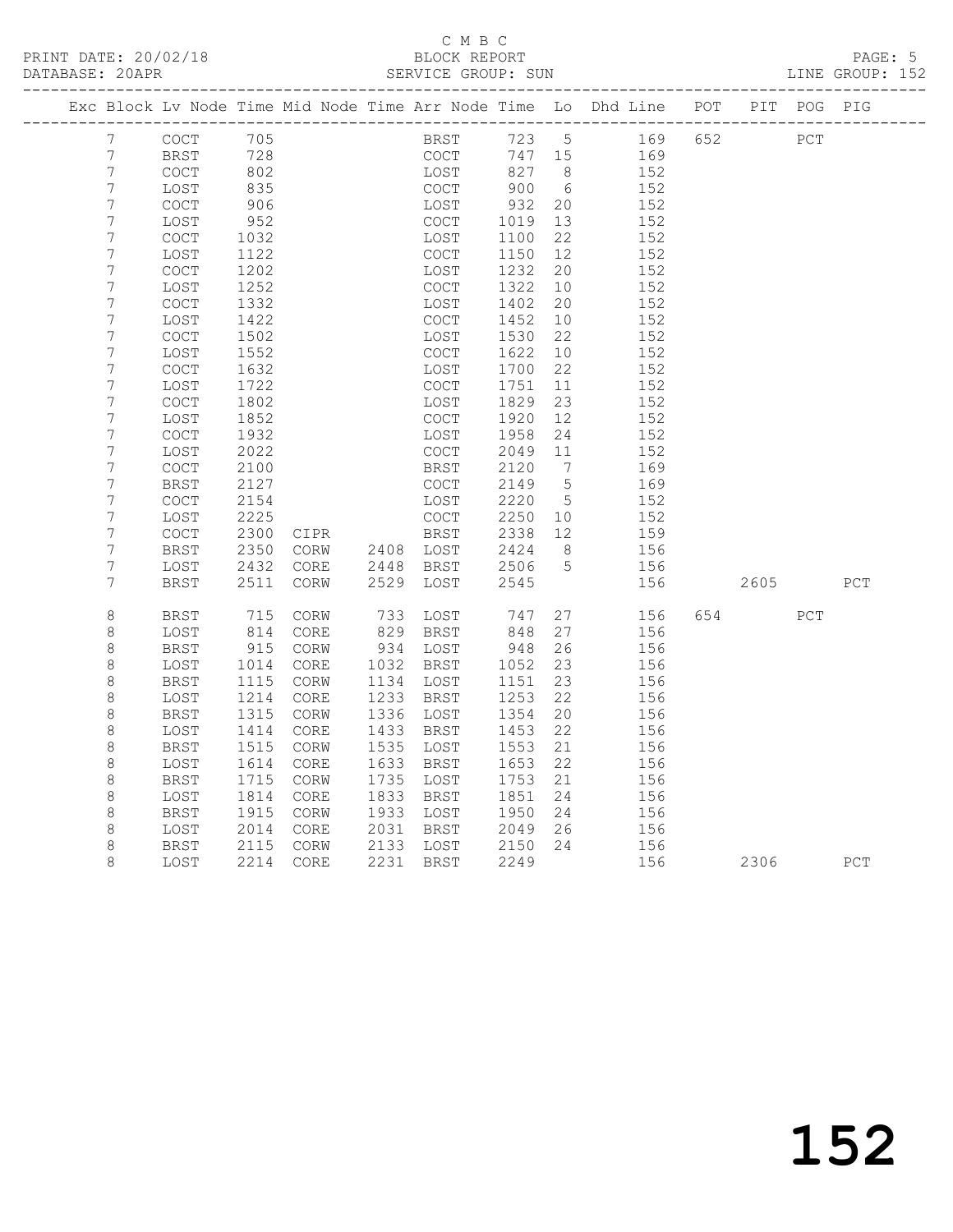# C M B C<br>BLOCK REPORT

LINE GROUP: 152

|                       |              |              |              |           |                        |              |                 | Exc Block Lv Node Time Mid Node Time Arr Node Time Lo Dhd Line POT PIT POG PIG |     |      |     |     |
|-----------------------|--------------|--------------|--------------|-----------|------------------------|--------------|-----------------|--------------------------------------------------------------------------------|-----|------|-----|-----|
| 7                     | COCT         | 705          |              |           | BRST                   |              | 723 5           | 169                                                                            | 652 |      | PCT |     |
| 7                     | BRST         | 728          |              |           | COCT                   | 747 15       |                 | 169                                                                            |     |      |     |     |
| 7                     | COCT         | 802          |              |           | LOST                   | 827          | 8 <sup>8</sup>  | 152                                                                            |     |      |     |     |
| $\boldsymbol{7}$      | LOST         | 835          |              |           | COCT                   | 900          | $6\overline{6}$ | 152                                                                            |     |      |     |     |
| $\boldsymbol{7}$      | COCT         | 906          |              |           | LOST                   | 932          | 20              | 152                                                                            |     |      |     |     |
| $\overline{7}$        | LOST         | 952          |              |           | COCT                   | 1019         | 13              | 152                                                                            |     |      |     |     |
| 7                     | <b>COCT</b>  | 1032         |              |           | LOST                   | 1100         | 22              | 152                                                                            |     |      |     |     |
| 7                     | LOST         | 1122         |              |           | COCT                   | 1150         | 12              | 152                                                                            |     |      |     |     |
| $\boldsymbol{7}$      | <b>COCT</b>  | 1202         |              |           | LOST                   | 1232         | 20              | 152                                                                            |     |      |     |     |
| $\overline{7}$        | LOST         | 1252         |              |           | COCT                   | 1322         | 10              | 152                                                                            |     |      |     |     |
| $\overline{7}$        | COCT         | 1332         |              |           | LOST                   | 1402         | 20              | 152                                                                            |     |      |     |     |
| 7                     | LOST         | 1422         |              |           | COCT                   | 1452         | 10              | 152                                                                            |     |      |     |     |
| $\boldsymbol{7}$      | <b>COCT</b>  | 1502         |              |           | LOST                   | 1530         | 22              | 152                                                                            |     |      |     |     |
| $\overline{7}$        | LOST         | 1552         |              |           | COCT                   | 1622         | 10              | 152                                                                            |     |      |     |     |
| $\overline{7}$        | <b>COCT</b>  | 1632         |              |           | LOST                   | 1700         | 22              | 152                                                                            |     |      |     |     |
| 7                     | LOST         | 1722         |              |           | COCT                   | 1751         | 11              | 152                                                                            |     |      |     |     |
| 7<br>$\boldsymbol{7}$ | COCT         | 1802         |              |           | LOST                   | 1829         | 23              | 152                                                                            |     |      |     |     |
| $\overline{7}$        | LOST         | 1852         |              |           | <b>COCT</b>            | 1920         | 12              | 152                                                                            |     |      |     |     |
| $\overline{7}$        | COCT<br>LOST | 1932<br>2022 |              |           | LOST<br>COCT           | 1958<br>2049 | 24<br>11        | 152<br>152                                                                     |     |      |     |     |
| 7                     | <b>COCT</b>  | 2100         |              |           | BRST                   | 2120         | $\overline{7}$  | 169                                                                            |     |      |     |     |
| 7                     | BRST         | 2127         |              |           | <b>COCT</b>            | 2149         | $5^{\circ}$     | 169                                                                            |     |      |     |     |
| $\boldsymbol{7}$      | COCT         | 2154         |              |           | LOST                   | 2220         | $5^{\circ}$     | 152                                                                            |     |      |     |     |
| 7                     | LOST         | 2225         |              |           | COCT                   | 2250         | 10              | 152                                                                            |     |      |     |     |
| 7                     | COCT         | 2300         | CIPR         |           | BRST                   | 2338         | 12              | 159                                                                            |     |      |     |     |
| 7                     | BRST         | 2350         | CORW         | 2408 LOST |                        | 2424         | 8 <sup>8</sup>  | 156                                                                            |     |      |     |     |
| $\overline{7}$        | LOST         | 2432         | CORE         | 2448      | BRST                   | 2506         | 5               | 156                                                                            |     |      |     |     |
| 7                     | BRST         | 2511         | CORW         | 2529      | LOST                   | 2545         |                 | 156                                                                            |     | 2605 |     | PCT |
|                       |              |              |              |           |                        |              |                 |                                                                                |     |      |     |     |
| $\,8\,$               | BRST         | 715          | CORW         | 733       | LOST                   | 747          | 27              | 156                                                                            | 654 |      | PCT |     |
| $\,8\,$               | LOST         | 814          | CORE         |           | 829 BRST               | 848          | 27              | 156                                                                            |     |      |     |     |
| 8                     | BRST         | 915          | CORW         |           | 934 LOST               | 948          | 26              | 156                                                                            |     |      |     |     |
| $\,8\,$               | LOST         | 1014         | CORE         |           | 1032 BRST              | 1052         | 23<br>23        | 156                                                                            |     |      |     |     |
| $\,8\,$<br>$\,8\,$    | BRST         | 1115<br>1214 | CORW         |           | 1134 LOST<br>1233 BRST | 1151         | 22              | 156                                                                            |     |      |     |     |
| $\,8\,$               | LOST<br>BRST | 1315         | CORE<br>CORW |           | 1336 LOST              | 1253<br>1354 | 20              | 156<br>156                                                                     |     |      |     |     |
| $\,8\,$               | LOST         | 1414         | CORE         | 1433      | BRST                   | 1453         | 22              | 156                                                                            |     |      |     |     |
| $\,8\,$               | BRST         | 1515         | CORW         |           | 1535 LOST              | 1553         | 21              | 156                                                                            |     |      |     |     |
| $\,8\,$               | LOST         | 1614         | CORE         |           | 1633 BRST              | 1653         | 22              | 156                                                                            |     |      |     |     |
| $\,8\,$               | BRST         | 1715         | CORW         |           | 1735 LOST              | 1753         | 21              | 156                                                                            |     |      |     |     |
| $\,8\,$               | LOST         | 1814         | CORE         |           | 1833 BRST              | 1851         | 24              | 156                                                                            |     |      |     |     |
| $\,8\,$               | BRST         | 1915         | CORW         |           | 1933 LOST              | 1950         | 24              | 156                                                                            |     |      |     |     |
| $\,8\,$               | LOST         | 2014         | CORE         |           | 2031 BRST              | 2049         | 26              | 156                                                                            |     |      |     |     |
| 8                     | BRST         | 2115         | CORW         |           | 2133 LOST              | 2150         | 24              | 156                                                                            |     |      |     |     |
| 8                     | LOST         | 2214         | CORE         |           | 2231 BRST              | 2249         |                 | 156                                                                            |     | 2306 |     | PCT |
|                       |              |              |              |           |                        |              |                 |                                                                                |     |      |     |     |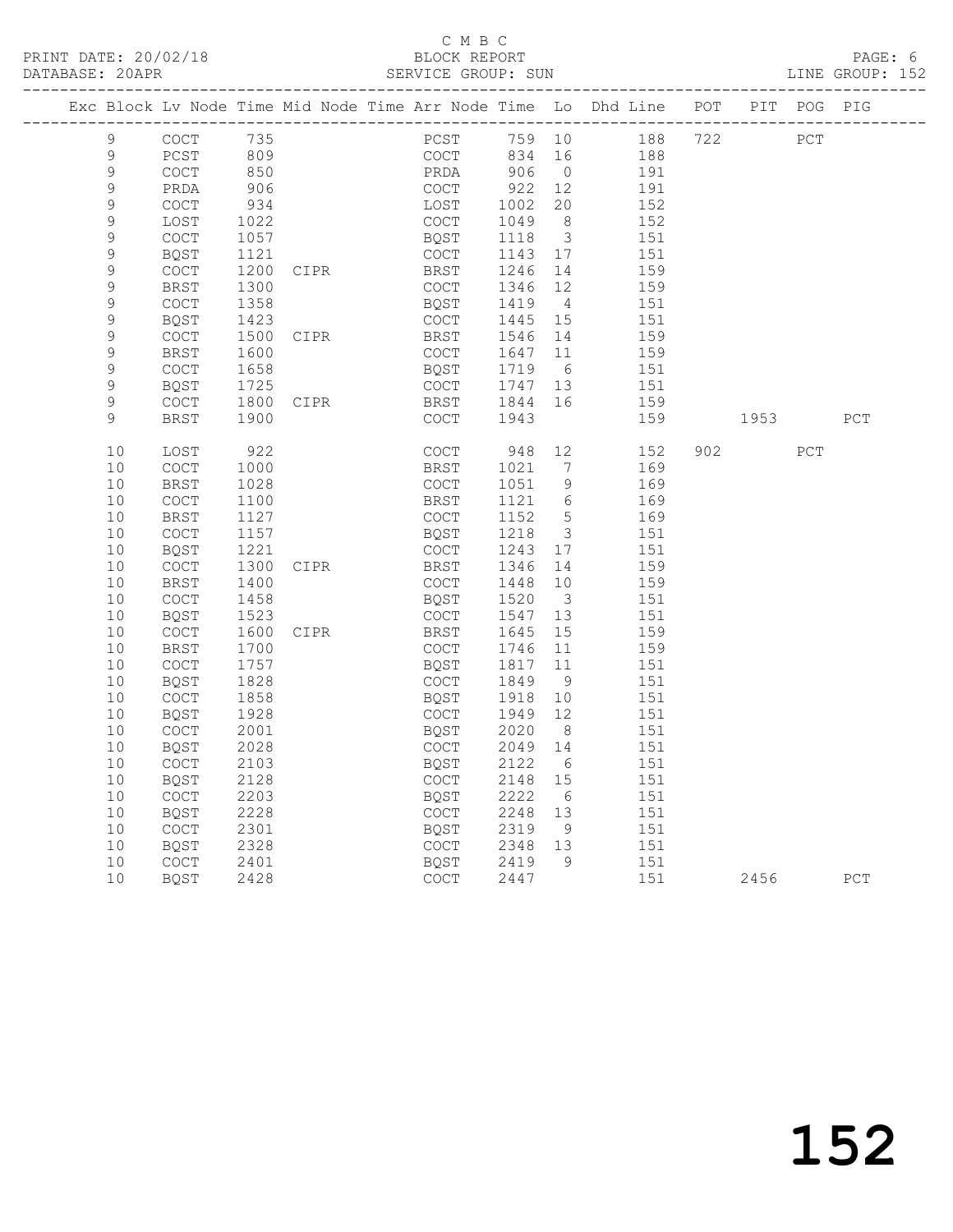#### C M B C<br>BLOCK REPORT SERVICE GROUP: SUN

|             |                                            |      |             | Exc Block Lv Node Time Mid Node Time Arr Node Time Lo Dhd Line POT PIT POG PIG |         |                         |                     |                                                                                                                     |     |             |
|-------------|--------------------------------------------|------|-------------|--------------------------------------------------------------------------------|---------|-------------------------|---------------------|---------------------------------------------------------------------------------------------------------------------|-----|-------------|
| 9           | COCT                                       | 735  |             |                                                                                |         |                         | PCST 759 10 188 722 |                                                                                                                     | PCT |             |
| 9           | PCST                                       | 809  |             | COCT 834<br>PRDA 906                                                           | 834 16  |                         | 188                 |                                                                                                                     |     |             |
| $\mathsf 9$ | COCT                                       | 850  |             |                                                                                |         | $\overline{0}$          | 191                 |                                                                                                                     |     |             |
| 9           | PRDA                                       | 906  |             | COCT                                                                           | 922     | 12                      | 191                 |                                                                                                                     |     |             |
| 9           | $\mathtt{C}\mathtt{O}\mathtt{C}\mathtt{T}$ | 934  |             | LOST                                                                           | 1002    | 20                      | 152                 |                                                                                                                     |     |             |
| $\mathsf 9$ | LOST                                       | 1022 |             | COCT                                                                           | 1049    | 8 <sup>8</sup>          | 152                 |                                                                                                                     |     |             |
| $\mathsf 9$ | $\mathtt{C}\mathtt{O}\mathtt{C}\mathtt{T}$ | 1057 |             | BQST                                                                           | 1118    | $\overline{\mathbf{3}}$ | 151                 |                                                                                                                     |     |             |
| 9           | <b>BQST</b>                                | 1121 |             | COCT                                                                           | 1143 17 |                         | 151                 |                                                                                                                     |     |             |
| $\mathsf 9$ | COCT                                       | 1200 | <b>CIPR</b> | BRST                                                                           | 1246    | 14                      | 159                 |                                                                                                                     |     |             |
| $\mathsf 9$ | <b>BRST</b>                                | 1300 |             | COCT                                                                           | 1346 12 |                         | 159                 |                                                                                                                     |     |             |
| $\mathsf 9$ | COCT                                       | 1358 |             | BQST                                                                           | 1419    | $\overline{4}$          | 151                 |                                                                                                                     |     |             |
| 9           | BQST                                       | 1423 |             | COCT                                                                           | 1445 15 |                         | 151                 |                                                                                                                     |     |             |
| $\mathsf 9$ | COCT                                       | 1500 | CIPR        | BRST                                                                           | 1546    | 14                      | 159                 |                                                                                                                     |     |             |
| $\mathsf 9$ | BRST                                       | 1600 |             | COCT                                                                           | 1647 11 |                         | 159                 |                                                                                                                     |     |             |
| $\mathsf 9$ | $\mathtt{C}\mathtt{O}\mathtt{C}\mathtt{T}$ | 1658 |             | BQST                                                                           | 1719    | $6\overline{6}$         | 151                 |                                                                                                                     |     |             |
| 9           | BQST                                       | 1725 |             | COCT                                                                           | 1747 13 |                         | 151                 |                                                                                                                     |     |             |
| 9           | COCT                                       | 1800 | <b>CIPR</b> | BRST                                                                           | 1844    | 16                      | 159                 |                                                                                                                     |     |             |
| 9           | <b>BRST</b>                                | 1900 |             | COCT                                                                           | 1943    |                         | 159                 | 1953 — 1953 — 1954 — 1955 — 1955 — 1957 — 1958 — 1958 — 1958 — 1958 — 1958 — 1958 — 1958 — 1958 — 1958 — 1958 — 195 |     | PCT         |
| 10          | LOST                                       | 922  |             | COCT                                                                           | 948 12  |                         | 152                 | 902 200                                                                                                             | PCT |             |
| 10          | COCT                                       | 1000 |             | BRST                                                                           | 1021    | 7                       | 169                 |                                                                                                                     |     |             |
| 10          | <b>BRST</b>                                | 1028 |             | COCT                                                                           | 1051    | 9                       | 169                 |                                                                                                                     |     |             |
| 10          | COCT                                       | 1100 |             | BRST                                                                           | 1121 6  |                         | 169                 |                                                                                                                     |     |             |
| 10          | <b>BRST</b>                                | 1127 |             | COCT                                                                           | 1152    | $5^{\circ}$             | 169                 |                                                                                                                     |     |             |
| 10          | COCT                                       | 1157 |             | BQST                                                                           | 1218    | $\overline{\mathbf{3}}$ | 151                 |                                                                                                                     |     |             |
| 10          | <b>BQST</b>                                | 1221 |             | COCT                                                                           | 1243    | 17                      | 151                 |                                                                                                                     |     |             |
| 10          | COCT                                       | 1300 | CIPR        | BRST                                                                           | 1346    | 14                      | 159                 |                                                                                                                     |     |             |
| 10          | <b>BRST</b>                                | 1400 |             | COCT                                                                           | 1448    | 10                      | 159                 |                                                                                                                     |     |             |
| 10          | <b>COCT</b>                                | 1458 |             | BQST                                                                           | 1520    | $\overline{\mathbf{3}}$ | 151                 |                                                                                                                     |     |             |
| 10          | <b>BQST</b>                                | 1523 |             | COCT                                                                           | 1547    | 13                      | 151                 |                                                                                                                     |     |             |
| 10          | COCT                                       | 1600 | CIPR        | BRST                                                                           | 1645    | 15                      | 159                 |                                                                                                                     |     |             |
| 10          | <b>BRST</b>                                | 1700 |             | COCT                                                                           | 1746    | 11                      | 159                 |                                                                                                                     |     |             |
| 10          | COCT                                       | 1757 |             | BQST                                                                           | 1817    | 11                      | 151                 |                                                                                                                     |     |             |
| 10          | BQST                                       | 1828 |             | COCT                                                                           | 1849    | 9                       | 151                 |                                                                                                                     |     |             |
| 10          | COCT                                       | 1858 |             | BQST                                                                           | 1918    | 10                      | 151                 |                                                                                                                     |     |             |
| 10          | BQST                                       | 1928 |             | COCT                                                                           | 1949 12 |                         | 151                 |                                                                                                                     |     |             |
| 10          | COCT                                       | 2001 |             | BQST                                                                           | 2020    | 8 <sup>8</sup>          | 151                 |                                                                                                                     |     |             |
| 10          | BQST                                       | 2028 |             | COCT                                                                           | 2049 14 |                         | 151                 |                                                                                                                     |     |             |
| 10          | COCT                                       | 2103 |             | BQST                                                                           | 2122 6  |                         | 151                 |                                                                                                                     |     |             |
|             | 10 BQST                                    | 2128 |             | COCT 2148 15                                                                   |         |                         | 151                 |                                                                                                                     |     |             |
| 10          | COCT                                       | 2203 |             | <b>BQST</b>                                                                    | 2222    | 6                       | 151                 |                                                                                                                     |     |             |
| 10          | <b>BQST</b>                                | 2228 |             | COCT                                                                           | 2248    | 13                      | 151                 |                                                                                                                     |     |             |
| 10          | COCT                                       | 2301 |             | BQST                                                                           | 2319    | 9                       | 151                 |                                                                                                                     |     |             |
| 10          | BQST                                       | 2328 |             | COCT                                                                           | 2348    | 13                      | 151                 |                                                                                                                     |     |             |
| 10          | COCT                                       | 2401 |             | BQST                                                                           | 2419    | 9                       | 151                 |                                                                                                                     |     |             |
| 10          | <b>BQST</b>                                | 2428 |             | <b>COCT</b>                                                                    | 2447    |                         | 151                 | 2456                                                                                                                |     | ${\tt PCT}$ |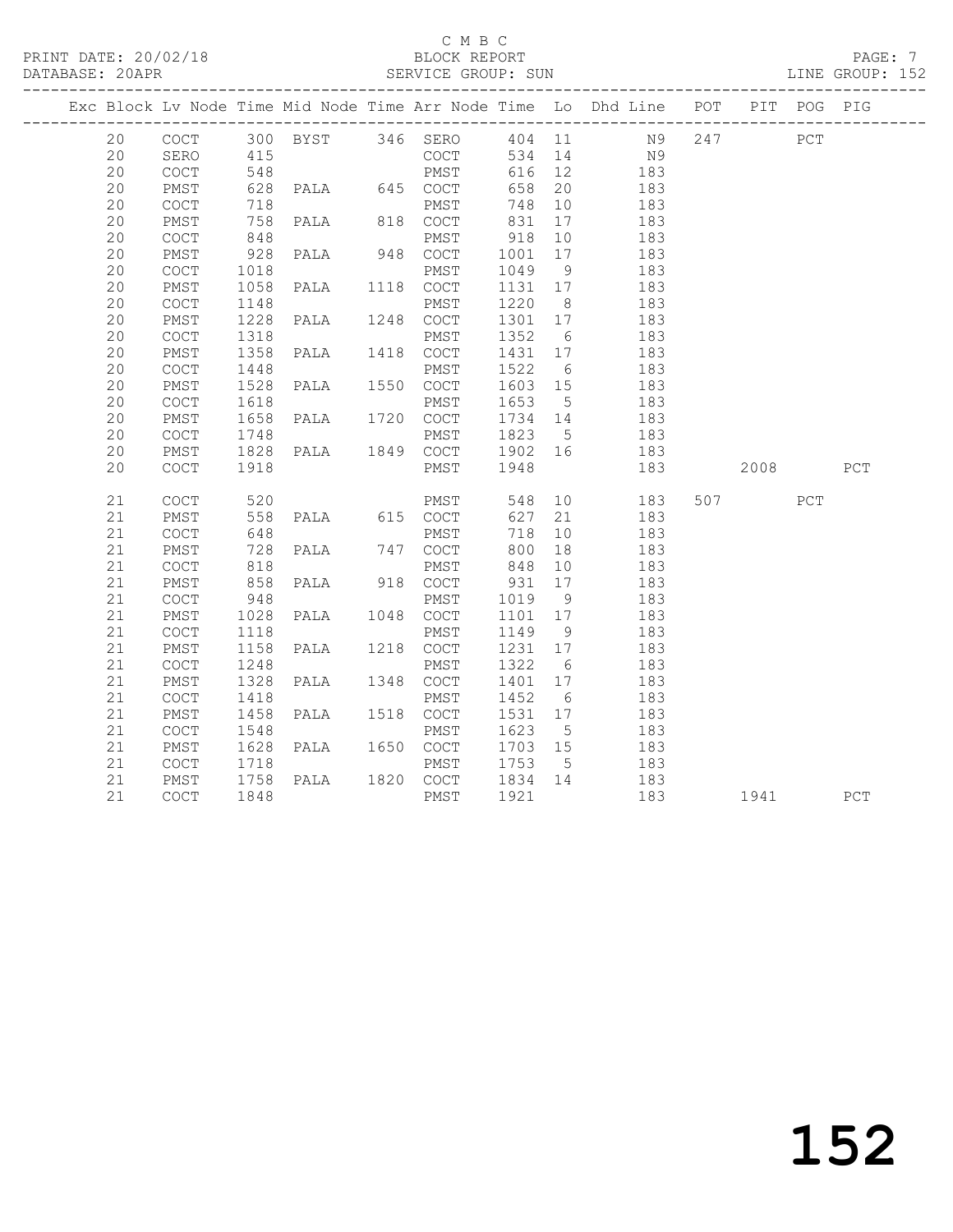#### C M B C<br>BLOCK REPORT SERVICE GROUP: SUN

| COCT 300 BYST 346 SERO 404 11 N9 247 PCT<br>20<br>415<br>COCT<br>534 14 N9<br>20<br>SERO<br>20<br>616 12 183<br>COCT<br>20<br>658 20<br>PMST<br>183<br>183<br>20<br>748 10<br>COCT<br>718<br>PMST<br>PALA 818 COCT<br>20<br>831<br>PMST<br>17<br>183<br>$\frac{1}{848}$<br>20<br>918 10<br>1001 17<br>183<br>COCT<br>PMST<br>928 PALA 948 COCT<br>20<br>PMST<br>183<br>1049 9<br>20<br>COCT<br>1018<br>183<br>PMST<br>PALA 1118 COCT<br>1131 17<br>1220 8<br>20<br>1058<br>183<br>PMST<br>20<br>1148<br>COCT<br>183<br>PMST<br>PALA 1248 COCT<br>1301 17<br>20<br>1228<br>PMST<br>183<br>1352 6<br>1431 17<br>20<br>COCT<br>1318<br>PMST<br>183<br>PALA 1418 COCT<br>20<br>1358<br>PMST<br>183<br>1522 6<br>183<br>20<br>1448<br>COCT<br>PMST<br>PMST<br>PALA 1550 COCT<br>20<br>1528<br>1603 15<br>PMST<br>183<br>20<br>1618<br>1653 5<br>183<br>COCT<br>PMST<br>PALA 1720 COCT<br>1734 14<br>183<br>20<br>PMST<br>1658<br>20<br>COCT<br>183<br>20<br>PMST<br>183<br>20<br>$\mathtt{C}\mathtt{O}\mathtt{C}\mathtt{T}$<br>183<br>2008 PCT<br>PMST 548 10 183<br>COCT 627 21 183<br>507 30<br>21<br>COCT<br>PCT<br>627 21<br>21<br>183<br>PMST<br>21<br>648<br>718<br>10<br>COCT<br>PMST<br>183<br>PALA 747 COCT<br>21<br>728<br>818<br>PMST<br>800 18<br>848 10<br>183<br>21<br>COCT<br>PMST<br>183<br>PALA 918 COCT<br>858<br>931 17<br>183<br>21<br>PMST<br>1019 9<br>1101 17<br>21<br>$\mathtt{C}\mathtt{O}\mathtt{C}\mathtt{T}$<br>948<br>183<br>PMST<br>PALA 1048 COCT<br>21<br>PMST<br>1028<br>183<br>1149 9<br>183<br>21<br>1118<br>PMST<br>COCT<br>PALA 1218 COCT<br>21<br>1231 17<br>PMST<br>1158<br>183<br>1322 6<br>21<br>COCT<br>1248<br>PMST<br>183<br>PALA 1348 COCT<br>1401 17<br>183<br>21<br>1328<br>PMST<br>21<br>1452 6<br>COCT<br>1418<br>PMST<br>183<br>PALA 1518 COCT<br>21<br>1458<br>1531 17<br>183<br>PMST<br>183<br>1623<br>21<br>1548<br>$5\overline{)}$<br>COCT<br>PMST<br>PALA 1650 COCT<br>1703 15<br>21<br>PMST<br>1628<br>183<br>PMST 1753 5<br>PALA 1820 COCT 1834 14<br>21<br>183<br>COCT<br>1718<br>1758<br>21<br>183<br>PMST<br>PMST 1921<br>183 1941 PCT |  |    |      |      |  |  | Exc Block Lv Node Time Mid Node Time Arr Node Time Lo Dhd Line POT PIT POG PIG |  |  |
|-----------------------------------------------------------------------------------------------------------------------------------------------------------------------------------------------------------------------------------------------------------------------------------------------------------------------------------------------------------------------------------------------------------------------------------------------------------------------------------------------------------------------------------------------------------------------------------------------------------------------------------------------------------------------------------------------------------------------------------------------------------------------------------------------------------------------------------------------------------------------------------------------------------------------------------------------------------------------------------------------------------------------------------------------------------------------------------------------------------------------------------------------------------------------------------------------------------------------------------------------------------------------------------------------------------------------------------------------------------------------------------------------------------------------------------------------------------------------------------------------------------------------------------------------------------------------------------------------------------------------------------------------------------------------------------------------------------------------------------------------------------------------------------------------------------------------------------------------------------------------------------------------------------------------------------------------------------------------------------------------------------------------------------------------------------------------------------------------|--|----|------|------|--|--|--------------------------------------------------------------------------------|--|--|
|                                                                                                                                                                                                                                                                                                                                                                                                                                                                                                                                                                                                                                                                                                                                                                                                                                                                                                                                                                                                                                                                                                                                                                                                                                                                                                                                                                                                                                                                                                                                                                                                                                                                                                                                                                                                                                                                                                                                                                                                                                                                                               |  |    |      |      |  |  |                                                                                |  |  |
|                                                                                                                                                                                                                                                                                                                                                                                                                                                                                                                                                                                                                                                                                                                                                                                                                                                                                                                                                                                                                                                                                                                                                                                                                                                                                                                                                                                                                                                                                                                                                                                                                                                                                                                                                                                                                                                                                                                                                                                                                                                                                               |  |    |      |      |  |  |                                                                                |  |  |
|                                                                                                                                                                                                                                                                                                                                                                                                                                                                                                                                                                                                                                                                                                                                                                                                                                                                                                                                                                                                                                                                                                                                                                                                                                                                                                                                                                                                                                                                                                                                                                                                                                                                                                                                                                                                                                                                                                                                                                                                                                                                                               |  |    |      |      |  |  |                                                                                |  |  |
|                                                                                                                                                                                                                                                                                                                                                                                                                                                                                                                                                                                                                                                                                                                                                                                                                                                                                                                                                                                                                                                                                                                                                                                                                                                                                                                                                                                                                                                                                                                                                                                                                                                                                                                                                                                                                                                                                                                                                                                                                                                                                               |  |    |      |      |  |  |                                                                                |  |  |
|                                                                                                                                                                                                                                                                                                                                                                                                                                                                                                                                                                                                                                                                                                                                                                                                                                                                                                                                                                                                                                                                                                                                                                                                                                                                                                                                                                                                                                                                                                                                                                                                                                                                                                                                                                                                                                                                                                                                                                                                                                                                                               |  |    |      |      |  |  |                                                                                |  |  |
|                                                                                                                                                                                                                                                                                                                                                                                                                                                                                                                                                                                                                                                                                                                                                                                                                                                                                                                                                                                                                                                                                                                                                                                                                                                                                                                                                                                                                                                                                                                                                                                                                                                                                                                                                                                                                                                                                                                                                                                                                                                                                               |  |    |      |      |  |  |                                                                                |  |  |
|                                                                                                                                                                                                                                                                                                                                                                                                                                                                                                                                                                                                                                                                                                                                                                                                                                                                                                                                                                                                                                                                                                                                                                                                                                                                                                                                                                                                                                                                                                                                                                                                                                                                                                                                                                                                                                                                                                                                                                                                                                                                                               |  |    |      |      |  |  |                                                                                |  |  |
|                                                                                                                                                                                                                                                                                                                                                                                                                                                                                                                                                                                                                                                                                                                                                                                                                                                                                                                                                                                                                                                                                                                                                                                                                                                                                                                                                                                                                                                                                                                                                                                                                                                                                                                                                                                                                                                                                                                                                                                                                                                                                               |  |    |      |      |  |  |                                                                                |  |  |
|                                                                                                                                                                                                                                                                                                                                                                                                                                                                                                                                                                                                                                                                                                                                                                                                                                                                                                                                                                                                                                                                                                                                                                                                                                                                                                                                                                                                                                                                                                                                                                                                                                                                                                                                                                                                                                                                                                                                                                                                                                                                                               |  |    |      |      |  |  |                                                                                |  |  |
|                                                                                                                                                                                                                                                                                                                                                                                                                                                                                                                                                                                                                                                                                                                                                                                                                                                                                                                                                                                                                                                                                                                                                                                                                                                                                                                                                                                                                                                                                                                                                                                                                                                                                                                                                                                                                                                                                                                                                                                                                                                                                               |  |    |      |      |  |  |                                                                                |  |  |
|                                                                                                                                                                                                                                                                                                                                                                                                                                                                                                                                                                                                                                                                                                                                                                                                                                                                                                                                                                                                                                                                                                                                                                                                                                                                                                                                                                                                                                                                                                                                                                                                                                                                                                                                                                                                                                                                                                                                                                                                                                                                                               |  |    |      |      |  |  |                                                                                |  |  |
|                                                                                                                                                                                                                                                                                                                                                                                                                                                                                                                                                                                                                                                                                                                                                                                                                                                                                                                                                                                                                                                                                                                                                                                                                                                                                                                                                                                                                                                                                                                                                                                                                                                                                                                                                                                                                                                                                                                                                                                                                                                                                               |  |    |      |      |  |  |                                                                                |  |  |
|                                                                                                                                                                                                                                                                                                                                                                                                                                                                                                                                                                                                                                                                                                                                                                                                                                                                                                                                                                                                                                                                                                                                                                                                                                                                                                                                                                                                                                                                                                                                                                                                                                                                                                                                                                                                                                                                                                                                                                                                                                                                                               |  |    |      |      |  |  |                                                                                |  |  |
|                                                                                                                                                                                                                                                                                                                                                                                                                                                                                                                                                                                                                                                                                                                                                                                                                                                                                                                                                                                                                                                                                                                                                                                                                                                                                                                                                                                                                                                                                                                                                                                                                                                                                                                                                                                                                                                                                                                                                                                                                                                                                               |  |    |      |      |  |  |                                                                                |  |  |
|                                                                                                                                                                                                                                                                                                                                                                                                                                                                                                                                                                                                                                                                                                                                                                                                                                                                                                                                                                                                                                                                                                                                                                                                                                                                                                                                                                                                                                                                                                                                                                                                                                                                                                                                                                                                                                                                                                                                                                                                                                                                                               |  |    |      |      |  |  |                                                                                |  |  |
|                                                                                                                                                                                                                                                                                                                                                                                                                                                                                                                                                                                                                                                                                                                                                                                                                                                                                                                                                                                                                                                                                                                                                                                                                                                                                                                                                                                                                                                                                                                                                                                                                                                                                                                                                                                                                                                                                                                                                                                                                                                                                               |  |    |      |      |  |  |                                                                                |  |  |
|                                                                                                                                                                                                                                                                                                                                                                                                                                                                                                                                                                                                                                                                                                                                                                                                                                                                                                                                                                                                                                                                                                                                                                                                                                                                                                                                                                                                                                                                                                                                                                                                                                                                                                                                                                                                                                                                                                                                                                                                                                                                                               |  |    |      |      |  |  |                                                                                |  |  |
|                                                                                                                                                                                                                                                                                                                                                                                                                                                                                                                                                                                                                                                                                                                                                                                                                                                                                                                                                                                                                                                                                                                                                                                                                                                                                                                                                                                                                                                                                                                                                                                                                                                                                                                                                                                                                                                                                                                                                                                                                                                                                               |  |    |      |      |  |  |                                                                                |  |  |
|                                                                                                                                                                                                                                                                                                                                                                                                                                                                                                                                                                                                                                                                                                                                                                                                                                                                                                                                                                                                                                                                                                                                                                                                                                                                                                                                                                                                                                                                                                                                                                                                                                                                                                                                                                                                                                                                                                                                                                                                                                                                                               |  |    |      |      |  |  |                                                                                |  |  |
|                                                                                                                                                                                                                                                                                                                                                                                                                                                                                                                                                                                                                                                                                                                                                                                                                                                                                                                                                                                                                                                                                                                                                                                                                                                                                                                                                                                                                                                                                                                                                                                                                                                                                                                                                                                                                                                                                                                                                                                                                                                                                               |  |    |      |      |  |  |                                                                                |  |  |
|                                                                                                                                                                                                                                                                                                                                                                                                                                                                                                                                                                                                                                                                                                                                                                                                                                                                                                                                                                                                                                                                                                                                                                                                                                                                                                                                                                                                                                                                                                                                                                                                                                                                                                                                                                                                                                                                                                                                                                                                                                                                                               |  |    |      |      |  |  |                                                                                |  |  |
|                                                                                                                                                                                                                                                                                                                                                                                                                                                                                                                                                                                                                                                                                                                                                                                                                                                                                                                                                                                                                                                                                                                                                                                                                                                                                                                                                                                                                                                                                                                                                                                                                                                                                                                                                                                                                                                                                                                                                                                                                                                                                               |  |    |      |      |  |  |                                                                                |  |  |
|                                                                                                                                                                                                                                                                                                                                                                                                                                                                                                                                                                                                                                                                                                                                                                                                                                                                                                                                                                                                                                                                                                                                                                                                                                                                                                                                                                                                                                                                                                                                                                                                                                                                                                                                                                                                                                                                                                                                                                                                                                                                                               |  |    |      |      |  |  |                                                                                |  |  |
|                                                                                                                                                                                                                                                                                                                                                                                                                                                                                                                                                                                                                                                                                                                                                                                                                                                                                                                                                                                                                                                                                                                                                                                                                                                                                                                                                                                                                                                                                                                                                                                                                                                                                                                                                                                                                                                                                                                                                                                                                                                                                               |  |    |      |      |  |  |                                                                                |  |  |
|                                                                                                                                                                                                                                                                                                                                                                                                                                                                                                                                                                                                                                                                                                                                                                                                                                                                                                                                                                                                                                                                                                                                                                                                                                                                                                                                                                                                                                                                                                                                                                                                                                                                                                                                                                                                                                                                                                                                                                                                                                                                                               |  |    |      |      |  |  |                                                                                |  |  |
|                                                                                                                                                                                                                                                                                                                                                                                                                                                                                                                                                                                                                                                                                                                                                                                                                                                                                                                                                                                                                                                                                                                                                                                                                                                                                                                                                                                                                                                                                                                                                                                                                                                                                                                                                                                                                                                                                                                                                                                                                                                                                               |  |    |      |      |  |  |                                                                                |  |  |
|                                                                                                                                                                                                                                                                                                                                                                                                                                                                                                                                                                                                                                                                                                                                                                                                                                                                                                                                                                                                                                                                                                                                                                                                                                                                                                                                                                                                                                                                                                                                                                                                                                                                                                                                                                                                                                                                                                                                                                                                                                                                                               |  |    |      |      |  |  |                                                                                |  |  |
|                                                                                                                                                                                                                                                                                                                                                                                                                                                                                                                                                                                                                                                                                                                                                                                                                                                                                                                                                                                                                                                                                                                                                                                                                                                                                                                                                                                                                                                                                                                                                                                                                                                                                                                                                                                                                                                                                                                                                                                                                                                                                               |  |    |      |      |  |  |                                                                                |  |  |
|                                                                                                                                                                                                                                                                                                                                                                                                                                                                                                                                                                                                                                                                                                                                                                                                                                                                                                                                                                                                                                                                                                                                                                                                                                                                                                                                                                                                                                                                                                                                                                                                                                                                                                                                                                                                                                                                                                                                                                                                                                                                                               |  |    |      |      |  |  |                                                                                |  |  |
|                                                                                                                                                                                                                                                                                                                                                                                                                                                                                                                                                                                                                                                                                                                                                                                                                                                                                                                                                                                                                                                                                                                                                                                                                                                                                                                                                                                                                                                                                                                                                                                                                                                                                                                                                                                                                                                                                                                                                                                                                                                                                               |  |    |      |      |  |  |                                                                                |  |  |
|                                                                                                                                                                                                                                                                                                                                                                                                                                                                                                                                                                                                                                                                                                                                                                                                                                                                                                                                                                                                                                                                                                                                                                                                                                                                                                                                                                                                                                                                                                                                                                                                                                                                                                                                                                                                                                                                                                                                                                                                                                                                                               |  |    |      |      |  |  |                                                                                |  |  |
|                                                                                                                                                                                                                                                                                                                                                                                                                                                                                                                                                                                                                                                                                                                                                                                                                                                                                                                                                                                                                                                                                                                                                                                                                                                                                                                                                                                                                                                                                                                                                                                                                                                                                                                                                                                                                                                                                                                                                                                                                                                                                               |  |    |      |      |  |  |                                                                                |  |  |
|                                                                                                                                                                                                                                                                                                                                                                                                                                                                                                                                                                                                                                                                                                                                                                                                                                                                                                                                                                                                                                                                                                                                                                                                                                                                                                                                                                                                                                                                                                                                                                                                                                                                                                                                                                                                                                                                                                                                                                                                                                                                                               |  |    |      |      |  |  |                                                                                |  |  |
|                                                                                                                                                                                                                                                                                                                                                                                                                                                                                                                                                                                                                                                                                                                                                                                                                                                                                                                                                                                                                                                                                                                                                                                                                                                                                                                                                                                                                                                                                                                                                                                                                                                                                                                                                                                                                                                                                                                                                                                                                                                                                               |  |    |      |      |  |  |                                                                                |  |  |
|                                                                                                                                                                                                                                                                                                                                                                                                                                                                                                                                                                                                                                                                                                                                                                                                                                                                                                                                                                                                                                                                                                                                                                                                                                                                                                                                                                                                                                                                                                                                                                                                                                                                                                                                                                                                                                                                                                                                                                                                                                                                                               |  |    |      |      |  |  |                                                                                |  |  |
|                                                                                                                                                                                                                                                                                                                                                                                                                                                                                                                                                                                                                                                                                                                                                                                                                                                                                                                                                                                                                                                                                                                                                                                                                                                                                                                                                                                                                                                                                                                                                                                                                                                                                                                                                                                                                                                                                                                                                                                                                                                                                               |  |    |      |      |  |  |                                                                                |  |  |
|                                                                                                                                                                                                                                                                                                                                                                                                                                                                                                                                                                                                                                                                                                                                                                                                                                                                                                                                                                                                                                                                                                                                                                                                                                                                                                                                                                                                                                                                                                                                                                                                                                                                                                                                                                                                                                                                                                                                                                                                                                                                                               |  |    |      |      |  |  |                                                                                |  |  |
|                                                                                                                                                                                                                                                                                                                                                                                                                                                                                                                                                                                                                                                                                                                                                                                                                                                                                                                                                                                                                                                                                                                                                                                                                                                                                                                                                                                                                                                                                                                                                                                                                                                                                                                                                                                                                                                                                                                                                                                                                                                                                               |  |    |      |      |  |  |                                                                                |  |  |
|                                                                                                                                                                                                                                                                                                                                                                                                                                                                                                                                                                                                                                                                                                                                                                                                                                                                                                                                                                                                                                                                                                                                                                                                                                                                                                                                                                                                                                                                                                                                                                                                                                                                                                                                                                                                                                                                                                                                                                                                                                                                                               |  |    |      |      |  |  |                                                                                |  |  |
|                                                                                                                                                                                                                                                                                                                                                                                                                                                                                                                                                                                                                                                                                                                                                                                                                                                                                                                                                                                                                                                                                                                                                                                                                                                                                                                                                                                                                                                                                                                                                                                                                                                                                                                                                                                                                                                                                                                                                                                                                                                                                               |  | 21 | COCT | 1848 |  |  |                                                                                |  |  |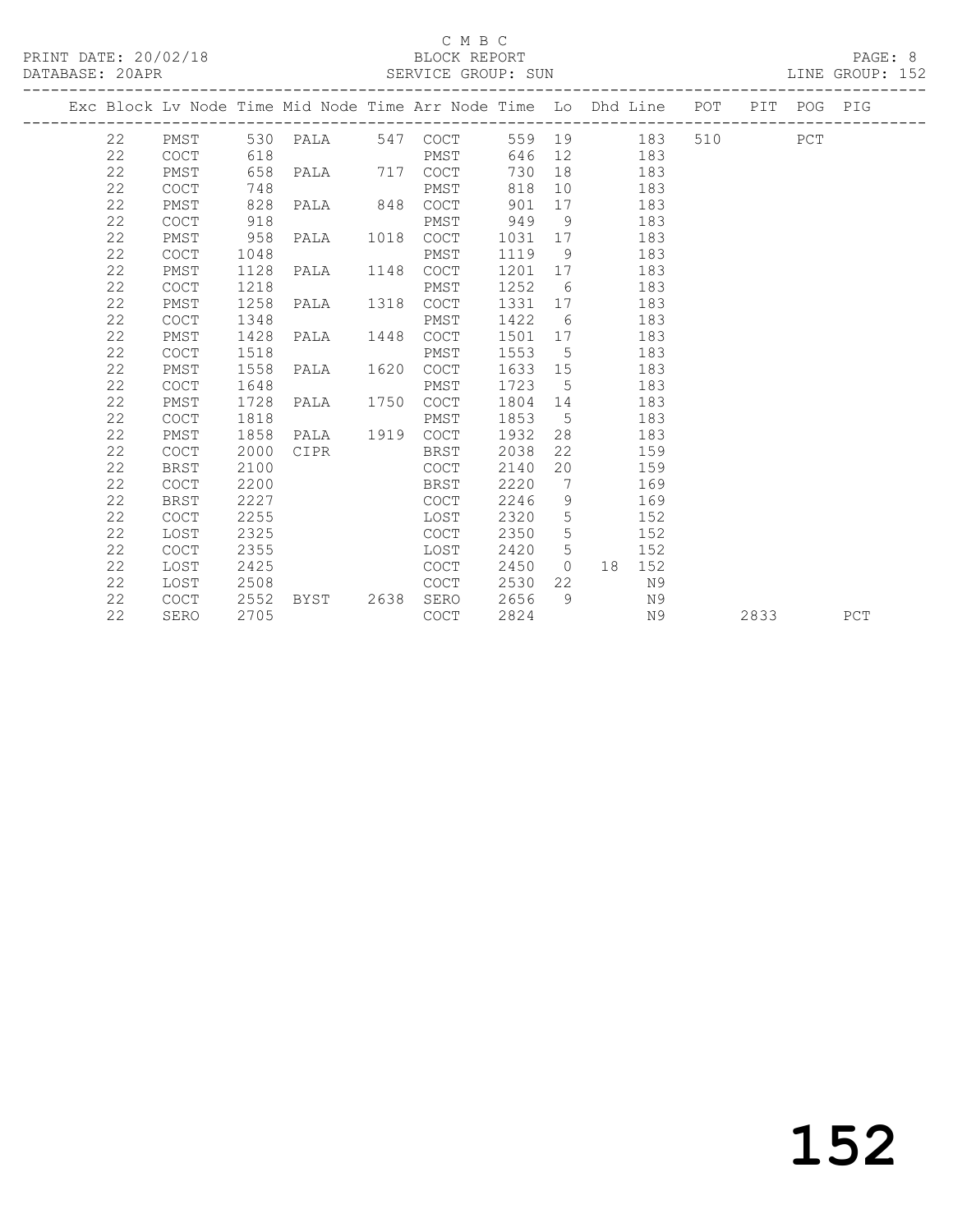#### C M B C<br>BLOCK REPORT SERVICE GROUP: SUN

|  |    |             |      |                           |             |         |                 | Exc Block Lv Node Time Mid Node Time Arr Node Time Lo Dhd Line POT PIT POG PIG | ---------------------- |      |     |
|--|----|-------------|------|---------------------------|-------------|---------|-----------------|--------------------------------------------------------------------------------|------------------------|------|-----|
|  |    |             |      | 22 PMST 530 PALA 547 COCT |             |         |                 | 559 19 183                                                                     | 510 PCT                |      |     |
|  | 22 | COCT        | 618  |                           | PMST        |         |                 | 646 12 183                                                                     |                        |      |     |
|  | 22 | PMST        | 658  | PALA 717 COCT             |             | 730     |                 | 18 183                                                                         |                        |      |     |
|  | 22 | <b>COCT</b> | 748  |                           | PMST        | 818     |                 | 10<br>183                                                                      |                        |      |     |
|  | 22 | PMST        | 828  | PALA 848 COCT             |             | 901     | 17              | 183                                                                            |                        |      |     |
|  | 22 | <b>COCT</b> | 918  |                           | PMST        | 949     | 9               | 183                                                                            |                        |      |     |
|  | 22 | PMST        | 958  | PALA 1018                 | COCT        | 1031 17 |                 | 183                                                                            |                        |      |     |
|  | 22 | <b>COCT</b> | 1048 |                           | PMST        | 1119 9  |                 | 183                                                                            |                        |      |     |
|  | 22 | PMST        | 1128 | PALA 1148 COCT            |             |         |                 | 1201 17<br>183                                                                 |                        |      |     |
|  | 22 | <b>COCT</b> | 1218 |                           | PMST        | 1252 6  |                 | 183                                                                            |                        |      |     |
|  | 22 | PMST        | 1258 | PALA 1318                 | <b>COCT</b> | 1331 17 |                 | 183                                                                            |                        |      |     |
|  | 22 | <b>COCT</b> | 1348 |                           | PMST        | 1422 6  |                 | 183                                                                            |                        |      |     |
|  | 22 | PMST        | 1428 | PALA 1448 COCT            |             | 1501 17 |                 | 183                                                                            |                        |      |     |
|  | 22 | <b>COCT</b> | 1518 |                           | PMST        | 1553    | $5^{\circ}$     | 183                                                                            |                        |      |     |
|  | 22 | PMST        | 1558 | PALA 1620                 | COCT        | 1633 15 |                 | 183                                                                            |                        |      |     |
|  | 22 | <b>COCT</b> | 1648 |                           | PMST        | 1723 5  |                 | 183                                                                            |                        |      |     |
|  | 22 | PMST        | 1728 | PALA 1750 COCT            |             | 1804 14 |                 | 183                                                                            |                        |      |     |
|  | 22 | <b>COCT</b> | 1818 |                           | PMST        | 1853    |                 | $5^{\circ}$<br>183                                                             |                        |      |     |
|  | 22 | PMST        | 1858 | PALA 1919 COCT            |             | 1932    |                 | 28 and $\sim$<br>183                                                           |                        |      |     |
|  | 22 | <b>COCT</b> | 2000 | CIPR                      | BRST        | 2038    | 22              | 159                                                                            |                        |      |     |
|  | 22 | <b>BRST</b> | 2100 |                           | COCT        | 2140    | 20              | 159                                                                            |                        |      |     |
|  | 22 | <b>COCT</b> | 2200 |                           | BRST        | 2220    | $\overline{7}$  | 169                                                                            |                        |      |     |
|  | 22 | <b>BRST</b> | 2227 |                           | COCT        | 2246    | 9               | 169                                                                            |                        |      |     |
|  | 22 | COCT        | 2255 |                           | LOST        | 2320    | $5\overline{)}$ | 152                                                                            |                        |      |     |
|  | 22 | LOST        | 2325 |                           | COCT        | 2350    | 5 <sup>5</sup>  | 152                                                                            |                        |      |     |
|  | 22 | COCT        | 2355 |                           | LOST        | 2420    |                 | $5 - 5$<br>152                                                                 |                        |      |     |
|  | 22 | LOST        | 2425 |                           | COCT        | 2450    |                 | 0 18 152                                                                       |                        |      |     |
|  | 22 | LOST        | 2508 |                           | COCT        | 2530    | 22              | N9                                                                             |                        |      |     |
|  | 22 | <b>COCT</b> | 2552 | BYST 2638                 | SERO        | 2656    | - 9             | N 9                                                                            |                        |      |     |
|  | 22 | SERO        | 2705 |                           | COCT        | 2824    |                 | N9                                                                             |                        | 2833 | PCT |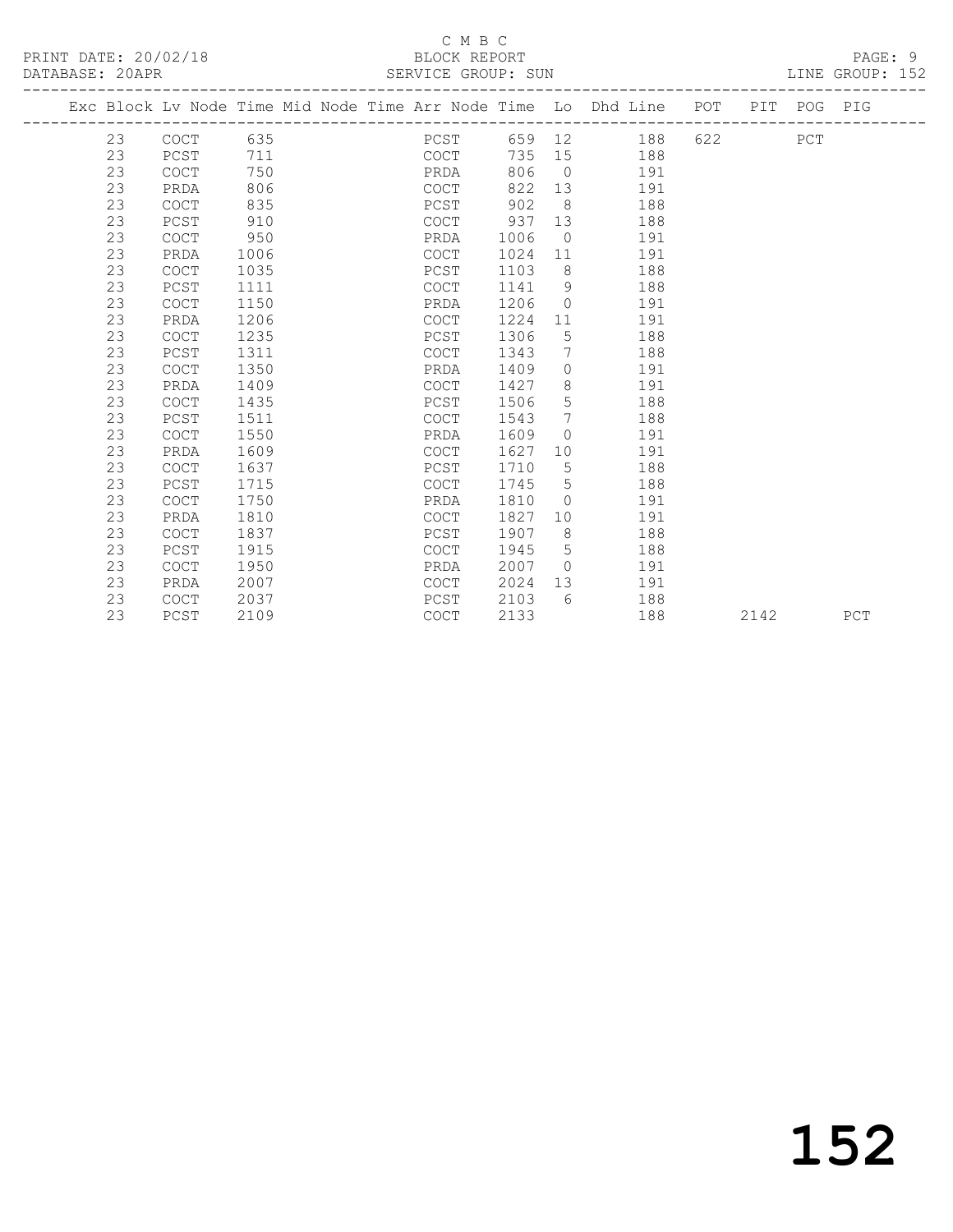PRINT DATE: 20/02/18 BLOCK REPORT PAGE: 9 DATABASE: 20APR

# C M B C<br>BLOCK REPORT

| DAIADAJE. ZUAPR |             |      |  | OLAVICL GAUUF, OUN |      |                |                                                                                |         |  | TIME GRAAL. TAR |
|-----------------|-------------|------|--|--------------------|------|----------------|--------------------------------------------------------------------------------|---------|--|-----------------|
|                 |             |      |  |                    |      |                | Exc Block Lv Node Time Mid Node Time Arr Node Time Lo Dhd Line POT PIT POG PIG |         |  |                 |
| 23              | COCT        | 635  |  | PCST               |      |                | 659 12<br>188                                                                  | 622 PCT |  |                 |
| 23              | PCST        | 711  |  | COCT               | 735  | 15             | 188                                                                            |         |  |                 |
| 23              | <b>COCT</b> | 750  |  | PRDA               | 806  | $\overline{0}$ | 191                                                                            |         |  |                 |
| 23              | PRDA        | 806  |  | COCT               | 822  | 13             | 191                                                                            |         |  |                 |
| 23              | <b>COCT</b> | 835  |  | PCST               | 902  | 8 <sup>8</sup> | 188                                                                            |         |  |                 |
| 23              | PCST        | 910  |  | COCT               | 937  | 13             | 188                                                                            |         |  |                 |
| 23              | <b>COCT</b> | 950  |  | PRDA               | 1006 | $\overline{0}$ | 191                                                                            |         |  |                 |
| 23              | PRDA        | 1006 |  | COCT               | 1024 | 11             | 191                                                                            |         |  |                 |
| 23              | <b>COCT</b> | 1035 |  | PCST               | 1103 | 8              | 188                                                                            |         |  |                 |
| 23              | PCST        | 1111 |  | COCT               | 1141 | 9              | 188                                                                            |         |  |                 |
| 23              | <b>COCT</b> | 1150 |  | PRDA               | 1206 | $\circ$        | 191                                                                            |         |  |                 |
| 23              | PRDA        | 1206 |  | COCT               | 1224 | 11             | 191                                                                            |         |  |                 |
| 23              | <b>COCT</b> | 1235 |  | PCST               | 1306 | 5              | 188                                                                            |         |  |                 |
| 23              | PCST        | 1311 |  | COCT               | 1343 | $7\phantom{0}$ | 188                                                                            |         |  |                 |
| 23              | <b>COCT</b> | 1350 |  | PRDA               | 1409 | $\circ$        | 191                                                                            |         |  |                 |
| 23              | PRDA        | 1409 |  | COCT               | 1427 | 8              | 191                                                                            |         |  |                 |
| 23              | <b>COCT</b> | 1435 |  | PCST               | 1506 | 5              | 188                                                                            |         |  |                 |
| 23              | PCST        | 1511 |  | COCT               | 1543 | $7^{\circ}$    | 188                                                                            |         |  |                 |
| 23              | <b>COCT</b> | 1550 |  | PRDA               | 1609 | $\Omega$       | 191                                                                            |         |  |                 |

 23 COCT 1550 PRDA 1609 0 191 23 PRDA 1609 COCT 1627 10 191 23 COCT 1637 PCST 1710 5 188 23 PCST 1715 COCT 1745 5 188 23 COCT 1750 PRDA 1810 0 191

 23 COCT 1837 PCST 1907 8 188 23 PCST 1915 COCT 1945 5 188 23 COCT 1950 PRDA 2007 0 191

23 PRDA 1810 COCT 1827 10 191

 23 PRDA 2007 COCT 2024 13 191 23 COCT 2037 PCST 2103 6 188

23 PCST 2109 COCT 2133 188 2142 PCT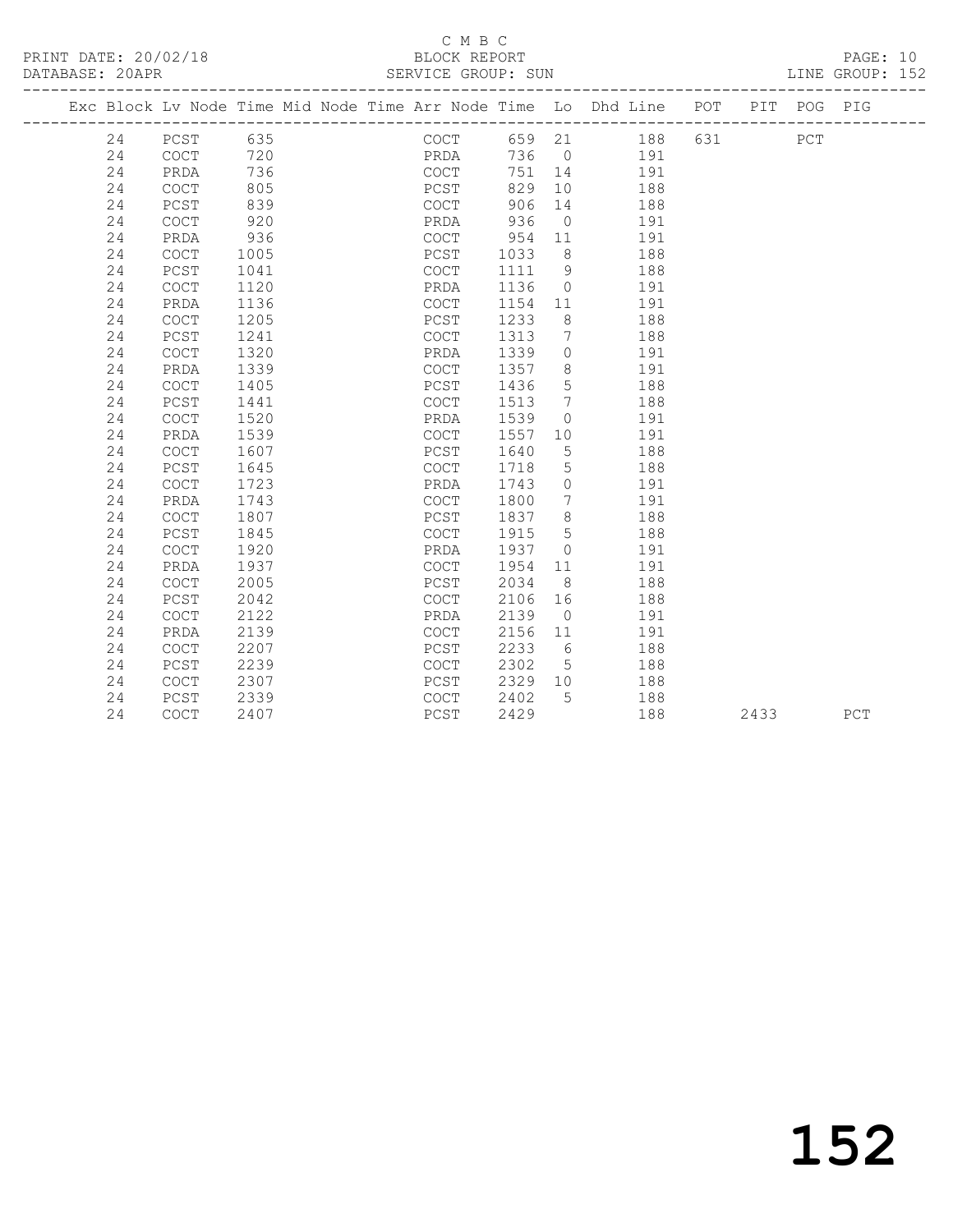PRINT DATE: 20/02/18 BLOCK REPORT BATABASE: 20APR

### C M B C<br>BLOCK REPORT

PAGE: 10<br>LINE GROUP: 152

|  |    |                                            |      |  |      |         |                 | Exc Block Lv Node Time Mid Node Time Arr Node Time Lo Dhd Line POT |     | PIT  | POG PIG |     |
|--|----|--------------------------------------------|------|--|------|---------|-----------------|--------------------------------------------------------------------|-----|------|---------|-----|
|  | 24 | PCST 635                                   |      |  | COCT |         |                 | 659 21 188                                                         | 631 |      | PCT     |     |
|  | 24 | COCT                                       | 720  |  | PRDA |         |                 | 736 0 191                                                          |     |      |         |     |
|  | 24 | PRDA                                       | 736  |  | COCT | 751     | 14              | 191                                                                |     |      |         |     |
|  | 24 | COCT                                       | 805  |  | PCST | 829     | 10 <sup>°</sup> | 188                                                                |     |      |         |     |
|  | 24 | PCST                                       | 839  |  | COCT | 906     | 14              | 188                                                                |     |      |         |     |
|  | 24 | COCT                                       | 920  |  | PRDA | 936     | $\overline{0}$  | 191                                                                |     |      |         |     |
|  | 24 | PRDA                                       | 936  |  | COCT | 954     | 11              | 191                                                                |     |      |         |     |
|  | 24 | <b>COCT</b>                                | 1005 |  | PCST | 1033    | 8 <sup>8</sup>  | 188                                                                |     |      |         |     |
|  | 24 | PCST                                       | 1041 |  | COCT | 1111    | $\overline{9}$  | 188                                                                |     |      |         |     |
|  | 24 | COCT                                       | 1120 |  | PRDA | 1136    | $\bigcirc$      | 191                                                                |     |      |         |     |
|  | 24 | PRDA                                       | 1136 |  | COCT | 1154    | 11              | 191                                                                |     |      |         |     |
|  | 24 | <b>COCT</b>                                | 1205 |  | PCST | 1233    | 8 <sup>8</sup>  | 188                                                                |     |      |         |     |
|  | 24 | PCST                                       | 1241 |  | COCT | 1313    | $\overline{7}$  | 188                                                                |     |      |         |     |
|  | 24 | <b>COCT</b>                                | 1320 |  | PRDA | 1339    | $\circ$         | 191                                                                |     |      |         |     |
|  | 24 | PRDA                                       | 1339 |  | COCT | 1357    | 8               | 191                                                                |     |      |         |     |
|  | 24 | <b>COCT</b>                                | 1405 |  | PCST | 1436    | 5               | 188                                                                |     |      |         |     |
|  | 24 | PCST                                       | 1441 |  | COCT | 1513    | $\overline{7}$  | 188                                                                |     |      |         |     |
|  | 24 | COCT                                       | 1520 |  | PRDA | 1539    | $\circ$         | 191                                                                |     |      |         |     |
|  | 24 | PRDA                                       | 1539 |  | COCT | 1557    | 10              | 191                                                                |     |      |         |     |
|  | 24 | COCT                                       | 1607 |  | PCST | 1640    | $5\phantom{.0}$ | 188                                                                |     |      |         |     |
|  | 24 | PCST                                       | 1645 |  | COCT | 1718    | 5               | 188                                                                |     |      |         |     |
|  | 24 | COCT                                       | 1723 |  | PRDA | 1743    | $\overline{0}$  | 191                                                                |     |      |         |     |
|  | 24 | PRDA                                       | 1743 |  | COCT | 1800    | 7               | 191                                                                |     |      |         |     |
|  | 24 | COCT                                       | 1807 |  | PCST | 1837    | 8 <sup>8</sup>  | 188                                                                |     |      |         |     |
|  | 24 | PCST                                       | 1845 |  | COCT | 1915    | $5^{\circ}$     | 188                                                                |     |      |         |     |
|  | 24 | $\mathtt{C}\mathtt{O}\mathtt{C}\mathtt{T}$ | 1920 |  | PRDA | 1937    | $\overline{0}$  | 191                                                                |     |      |         |     |
|  | 24 | PRDA                                       | 1937 |  | COCT | 1954    | 11              | 191                                                                |     |      |         |     |
|  | 24 | COCT                                       | 2005 |  | PCST | 2034    | 8 <sup>8</sup>  | 188                                                                |     |      |         |     |
|  | 24 | PCST                                       | 2042 |  | COCT | 2106    | 16              | 188                                                                |     |      |         |     |
|  | 24 | $\mathtt{C}\mathtt{O}\mathtt{C}\mathtt{T}$ | 2122 |  | PRDA | 2139    | $\overline{0}$  | 191                                                                |     |      |         |     |
|  | 24 | PRDA                                       | 2139 |  | COCT | 2156    | 11              | 191                                                                |     |      |         |     |
|  | 24 | <b>COCT</b>                                | 2207 |  | PCST | 2233    | $6\overline{6}$ | 188                                                                |     |      |         |     |
|  | 24 | PCST                                       | 2239 |  | COCT | 2302    | $5^{\circ}$     | 188                                                                |     |      |         |     |
|  | 24 | COCT                                       | 2307 |  | PCST | 2329 10 |                 | 188                                                                |     |      |         |     |
|  | 24 | PCST                                       | 2339 |  | COCT | 2402    | $5^{\circ}$     | 188                                                                |     |      |         |     |
|  | 24 | COCT                                       | 2407 |  | PCST | 2429    |                 | 188                                                                |     | 2433 |         | PCT |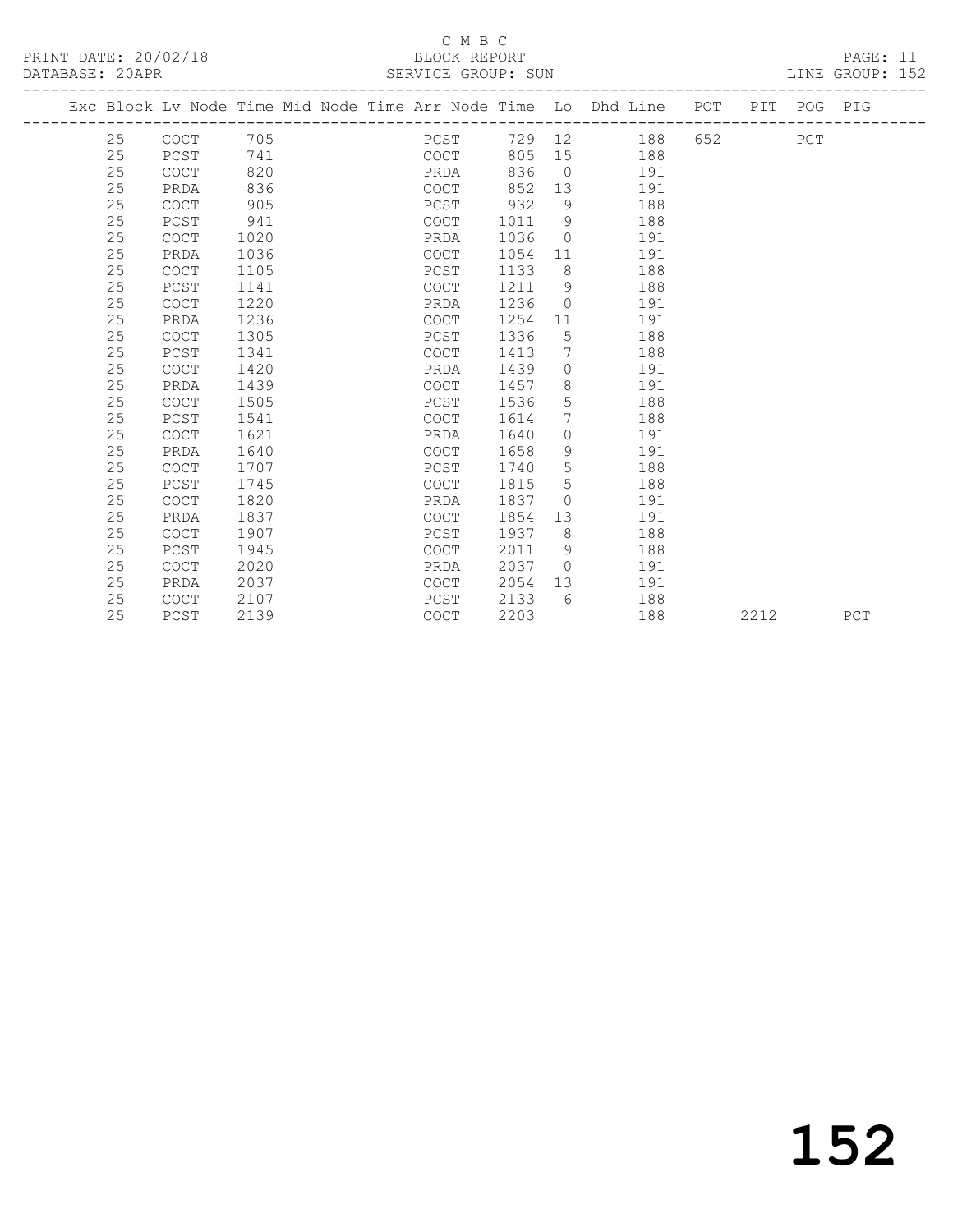#### C M B C<br>BLOCK REPORT SERVICE GROUP: SUN

|    |             |      | Exc Block Lv Node Time Mid Node Time Arr Node Time Lo Dhd Line |        |                 |     | POT                          | PIT POG PIG |  |
|----|-------------|------|----------------------------------------------------------------|--------|-----------------|-----|------------------------------|-------------|--|
| 25 | <b>COCT</b> | 705  | ----------------------------<br>PCST                           | 729 12 |                 | 188 | _____________________<br>652 | PCT         |  |
| 25 | PCST        | 741  | COCT                                                           | 805    | 15              | 188 |                              |             |  |
| 25 | <b>COCT</b> | 820  | PRDA                                                           | 836    | $\overline{0}$  | 191 |                              |             |  |
| 25 | PRDA        | 836  | COCT                                                           | 852    | 13              | 191 |                              |             |  |
| 25 | <b>COCT</b> | 905  | PCST                                                           | 932    | 9               | 188 |                              |             |  |
| 25 | PCST        | 941  | <b>COCT</b>                                                    | 1011   | 9               | 188 |                              |             |  |
| 25 | <b>COCT</b> | 1020 | PRDA                                                           | 1036   | 0               | 191 |                              |             |  |
| 25 | PRDA        | 1036 | <b>COCT</b>                                                    | 1054   | 11              | 191 |                              |             |  |
| 25 | <b>COCT</b> | 1105 | PCST                                                           | 1133   | 8               | 188 |                              |             |  |
| 25 | PCST        | 1141 | COCT                                                           | 1211   | 9               | 188 |                              |             |  |
| 25 | <b>COCT</b> | 1220 | PRDA                                                           | 1236   | $\mathbf 0$     | 191 |                              |             |  |
| 25 | PRDA        | 1236 | <b>COCT</b>                                                    | 1254   | 11              | 191 |                              |             |  |
| 25 | <b>COCT</b> | 1305 | PCST                                                           | 1336   | 5               | 188 |                              |             |  |
| 25 | PCST        | 1341 | <b>COCT</b>                                                    | 1413   | 7               | 188 |                              |             |  |
| 25 | <b>COCT</b> | 1420 | PRDA                                                           | 1439   | $\circ$         | 191 |                              |             |  |
| 25 | PRDA        | 1439 | <b>COCT</b>                                                    | 1457   | 8               | 191 |                              |             |  |
| 25 | <b>COCT</b> | 1505 | PCST                                                           | 1536   | 5               | 188 |                              |             |  |
| 25 | PCST        | 1541 | <b>COCT</b>                                                    | 1614   | $7\phantom{.0}$ | 188 |                              |             |  |
| 25 | <b>COCT</b> | 1621 | PRDA                                                           | 1640   | $\circ$         | 191 |                              |             |  |

 25 PRDA 1640 COCT 1658 9 191 25 COCT 1707 PCST 1740 5 188 25 PCST 1745 COCT 1815 5 188 25 COCT 1820 PRDA 1837 0 191

 25 PCST 1945 COCT 2011 9 188 25 COCT 2020 PRDA 2037 0 191

 25 PRDA 1837 COCT 1854 13 191 25 COCT 1907 PCST 1937 8 188

 25 PRDA 2037 COCT 2054 13 191 25 COCT 2107 PCST 2133 6 188

2212 PCT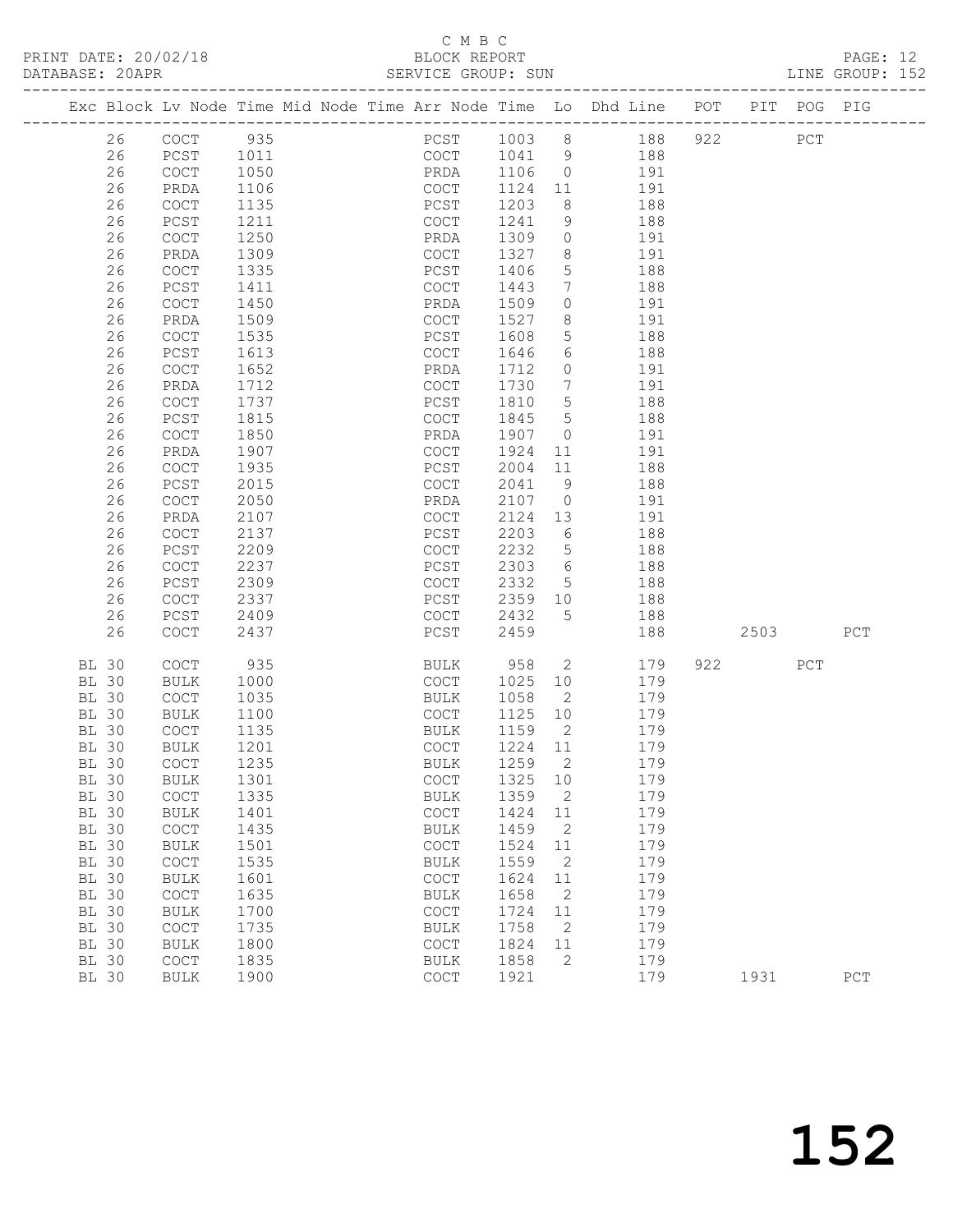### C M B C<br>BLOCK REPORT

| PRINT DATE: 20/02/18<br>DATABASE: 20APR |          |                                            | 2/18                                                                           | BLOCK REPORT<br>SERVICE GROUP: SUN         |              |                              |                 |     |                           |     | PAGE: 12<br>LINE GROUP: 152 |  |
|-----------------------------------------|----------|--------------------------------------------|--------------------------------------------------------------------------------|--------------------------------------------|--------------|------------------------------|-----------------|-----|---------------------------|-----|-----------------------------|--|
|                                         |          |                                            | Exc Block Lv Node Time Mid Node Time Arr Node Time Lo Dhd Line POT PIT POG PIG |                                            |              |                              |                 |     |                           |     |                             |  |
|                                         | 26       | COCT 935                                   |                                                                                |                                            |              |                              | PCST 1003 8 188 | 922 | PCT                       |     |                             |  |
|                                         | 26       | PCST 1011                                  |                                                                                |                                            |              |                              | COCT 1041 9 188 |     |                           |     |                             |  |
|                                         | 26       | COCT                                       | 1050                                                                           | PRDA 1106 0 191                            |              |                              |                 |     |                           |     |                             |  |
|                                         | 26       | PRDA                                       | 1106                                                                           | COCT                                       | 1124 11      |                              | 191             |     |                           |     |                             |  |
|                                         | 26       | COCT                                       | 1135                                                                           | PCST                                       | 1203         | 8 <sup>8</sup>               | 188             |     |                           |     |                             |  |
|                                         | 26       | PCST                                       | 1211                                                                           | COCT                                       | 1241         |                              | 9 188           |     |                           |     |                             |  |
|                                         | 26       | COCT                                       | 1250                                                                           | PRDA                                       | 1309         |                              | 0 191           |     |                           |     |                             |  |
|                                         | 26       | PRDA                                       | 1309                                                                           | COCT                                       | 1327         | 8                            | 191             |     |                           |     |                             |  |
|                                         | 26       | <b>COCT</b>                                | 1335                                                                           | PCST                                       | 1406         | $5\overline{)}$              | 188             |     |                           |     |                             |  |
|                                         | 26       | PCST                                       | 1411                                                                           | COCT                                       | 1443         | $7\phantom{.0}\phantom{.0}7$ | 188             |     |                           |     |                             |  |
|                                         | 26       | <b>COCT</b>                                | 1450                                                                           | PRDA                                       | 1509         | $\circ$                      | 191             |     |                           |     |                             |  |
|                                         | 26       | PRDA                                       | 1509                                                                           | COCT                                       | 1527         | 8                            | 191             |     |                           |     |                             |  |
|                                         | 26       | COCT                                       | 1535                                                                           | PCST                                       | 1608         | $5 -$                        | 188             |     |                           |     |                             |  |
|                                         | 26       | PCST                                       | 1613                                                                           | COCT                                       | 1646         | 6                            | 188             |     |                           |     |                             |  |
|                                         | 26       | COCT                                       | 1652                                                                           | PRDA                                       | 1712         | $\circ$                      | 191             |     |                           |     |                             |  |
|                                         | 26       | PRDA                                       | 1712                                                                           | COCT                                       | 1730         | $7\overline{ }$              | 191             |     |                           |     |                             |  |
|                                         | 26       | COCT                                       | 1737                                                                           | PCST                                       | 1810 5       |                              | 188             |     |                           |     |                             |  |
|                                         | 26       | PCST                                       | 1815                                                                           | COCT                                       | 1845 5       |                              | 188             |     |                           |     |                             |  |
|                                         | 26       | COCT                                       | 1850                                                                           | PRDA                                       | 1907 0       |                              | 191             |     |                           |     |                             |  |
|                                         | 26       | PRDA                                       | 1907                                                                           | COCT                                       | 1924         |                              | 11 191          |     |                           |     |                             |  |
|                                         | 26       | COCT                                       | 1935                                                                           | PCST                                       | 2004         | 11                           | 188             |     |                           |     |                             |  |
|                                         | 26       | PCST                                       | 2015                                                                           | COCT                                       | 2041         | 9                            | 188<br>$0$ 191  |     |                           |     |                             |  |
|                                         | 26       | COCT                                       | 2050                                                                           | PRDA                                       | 2107         |                              |                 |     |                           |     |                             |  |
|                                         | 26<br>26 | PRDA                                       | 2107                                                                           | COCT                                       | 2124<br>2203 | 13<br>6                      | 191             |     |                           |     |                             |  |
|                                         | 26       | COCT<br>PCST                               | 2137<br>2209                                                                   | PCST<br>COCT                               | 2232 5       |                              | 188<br>188      |     |                           |     |                             |  |
|                                         | 26       | COCT                                       | 2237                                                                           | PCST                                       | 2303 6       |                              | 188             |     |                           |     |                             |  |
|                                         | 26       | PCST                                       | 2309                                                                           | COCT                                       | 2332         | $5\overline{)}$              | 188             |     |                           |     |                             |  |
|                                         | 26       | $\mathtt{C}\mathtt{O}\mathtt{C}\mathtt{T}$ | 2337                                                                           | PCST                                       | 2359 10      |                              | 188             |     |                           |     |                             |  |
|                                         | 26       | PCST                                       | 2409                                                                           | COCT                                       | 2432         | $5^{\circ}$                  | 188             |     |                           |     |                             |  |
|                                         | 26       | COCT                                       | 2437                                                                           | PCST                                       | 2459         |                              | 188             |     | 2503                      |     | PCT                         |  |
| BL 30                                   |          | COCT                                       | 935                                                                            | BULK                                       | 958 2        |                              | 179             |     | 922 and the set of $\sim$ | PCT |                             |  |
| <b>BL 30</b>                            |          | <b>BULK</b>                                | 1000                                                                           | COCT                                       | 1025         | 10                           | 179             |     |                           |     |                             |  |
| <b>BL 30</b>                            |          | COCT                                       | 1035                                                                           | BULK                                       | 1058 2       |                              | 179             |     |                           |     |                             |  |
| <b>BL 30</b>                            |          | BULK                                       | 1100                                                                           | COCT                                       | 1125 10      |                              | 179             |     |                           |     |                             |  |
| <b>BL 30</b>                            |          | COCT                                       | 1135                                                                           | BULK                                       | 1159         | $\overline{2}$               | 179             |     |                           |     |                             |  |
|                                         |          | BL 30 BULK 1201                            |                                                                                | COCT 1224 11                               |              |                              | 179             |     |                           |     |                             |  |
| <b>BL 30</b>                            |          | COCT                                       | 1235                                                                           | <b>BULK</b>                                | 1259         | 2                            | 179             |     |                           |     |                             |  |
| <b>BL 30</b>                            |          | <b>BULK</b>                                | 1301                                                                           | $\mathtt{C}\mathtt{O}\mathtt{C}\mathtt{T}$ | 1325         | 10                           | 179             |     |                           |     |                             |  |
| <b>BL 30</b>                            |          | COCT                                       | 1335                                                                           | <b>BULK</b>                                | 1359         | 2                            | 179             |     |                           |     |                             |  |
| <b>BL 30</b>                            |          | $\operatorname{BULK}$                      | 1401                                                                           | $\mathtt{C}\mathtt{O}\mathtt{C}\mathtt{T}$ | 1424         | 11                           | 179             |     |                           |     |                             |  |
| <b>BL 30</b>                            |          | $\mathtt{C}\mathtt{O}\mathtt{C}\mathtt{T}$ | 1435                                                                           | <b>BULK</b>                                | 1459         | $\mathbf{2}$                 | 179             |     |                           |     |                             |  |
| <b>BL 30</b>                            |          | <b>BULK</b>                                | 1501                                                                           | $\mathtt{C}\mathtt{O}\mathtt{C}\mathtt{T}$ | 1524         | 11                           | 179             |     |                           |     |                             |  |
| <b>BL 30</b>                            |          | COCT                                       | 1535                                                                           | <b>BULK</b>                                | 1559         | 2                            | 179             |     |                           |     |                             |  |
| <b>BL 30</b>                            |          | <b>BULK</b>                                | 1601                                                                           | $\mathtt{C}\mathtt{O}\mathtt{C}\mathtt{T}$ | 1624         | 11                           | 179             |     |                           |     |                             |  |
| <b>BL 30</b>                            |          | COCT                                       | 1635                                                                           | <b>BULK</b>                                | 1658         | 2                            | 179             |     |                           |     |                             |  |
| <b>BL 30</b>                            |          | <b>BULK</b>                                | 1700                                                                           | $\mathtt{C}\mathtt{O}\mathtt{C}\mathtt{T}$ | 1724         | 11                           | 179             |     |                           |     |                             |  |
| <b>BL 30</b>                            |          | COCT                                       | 1735                                                                           | <b>BULK</b>                                | 1758         | 2                            | 179             |     |                           |     |                             |  |
| <b>BL 30</b>                            |          | <b>BULK</b>                                | 1800                                                                           | COCT                                       | 1824         | 11                           | 179             |     |                           |     |                             |  |
| <b>BL 30</b>                            |          | COCT                                       | 1835                                                                           | <b>BULK</b>                                | 1858         | 2                            | 179             |     |                           |     |                             |  |
| <b>BL 30</b>                            |          | <b>BULK</b>                                | 1900                                                                           | COCT                                       | 1921         |                              | 179             |     | 1931                      |     | ${\tt PCT}$                 |  |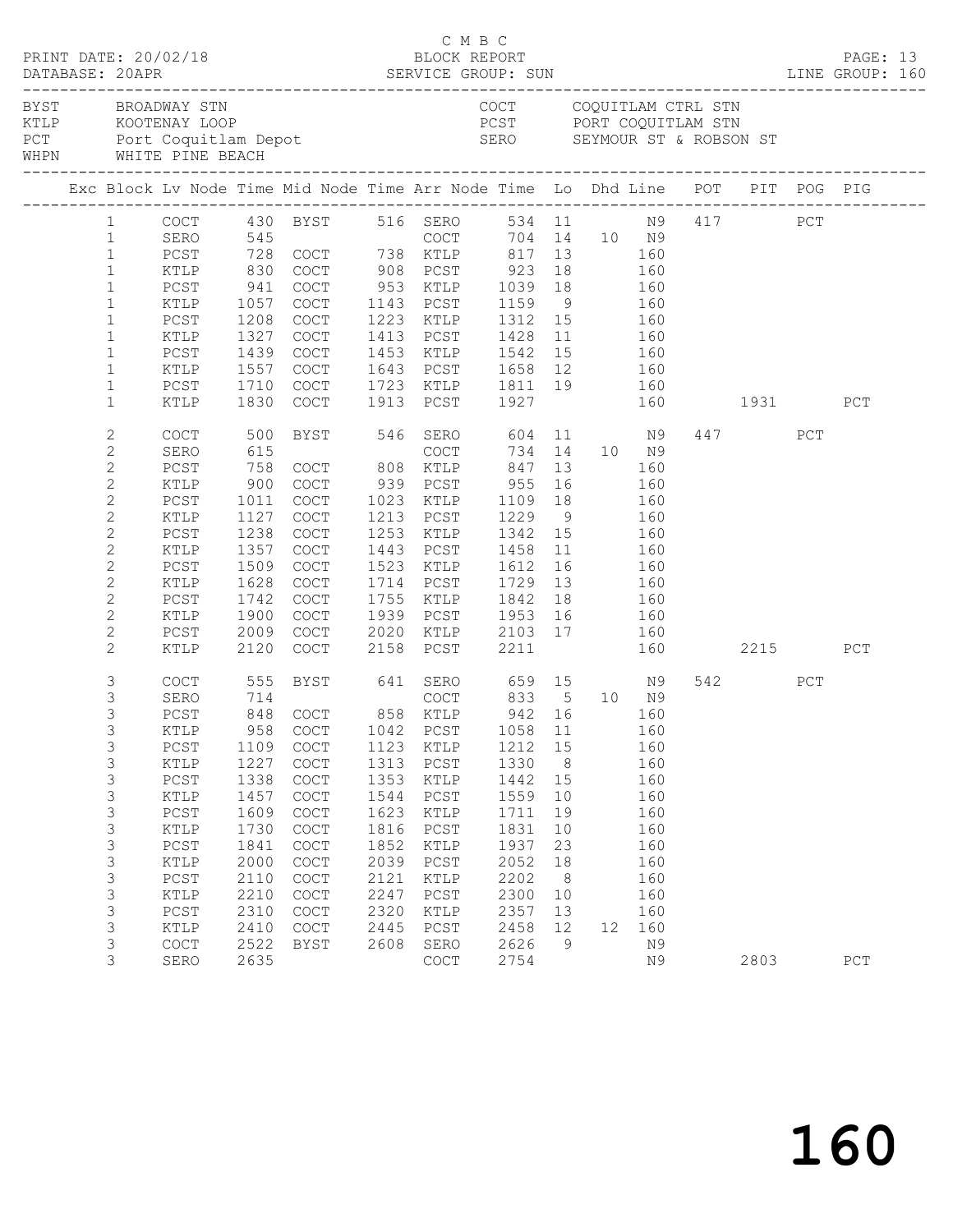|                   |                |        |                                            |                                                                                                                                                                                                                                |      | C M B C                                                              |              |                 |                   |     |              |      |     |     |  |
|-------------------|----------------|--------|--------------------------------------------|--------------------------------------------------------------------------------------------------------------------------------------------------------------------------------------------------------------------------------|------|----------------------------------------------------------------------|--------------|-----------------|-------------------|-----|--------------|------|-----|-----|--|
| BYST BROADWAY STN |                |        |                                            | EN COUNTREASE CONFIDENT CONFIDENT CONFIDENT CONFIDENT CONFIDENT CONFIDENT CONFIDENT CONFIDENT CONFIDENT CONFIDENT CONFIDENT CONFIDENT CONFIDENT CONFIDENT CONFIDENT CONFIDENT CONFIDENT CONFIDENT CONFIDENT CONFIDENT CONFIDEN |      | COCT COQUITLAM CTRL STN                                              |              |                 |                   |     |              |      |     |     |  |
|                   |                |        |                                            |                                                                                                                                                                                                                                |      |                                                                      |              |                 |                   |     |              |      |     |     |  |
|                   |                |        |                                            | 1 COCT 430 BYST 516 SERO 534 11 N9 417 PCT<br>1 SERO 545 COCT 704 14 10 N9<br>1 PCST 728 COCT 738 KTLP 817 13 160                                                                                                              |      |                                                                      |              |                 |                   |     |              |      |     |     |  |
|                   |                |        |                                            |                                                                                                                                                                                                                                |      |                                                                      |              |                 |                   |     |              |      |     |     |  |
|                   |                |        |                                            |                                                                                                                                                                                                                                |      |                                                                      |              |                 |                   |     |              |      |     |     |  |
|                   | $\mathbf{1}$   | KTLP   | 830                                        |                                                                                                                                                                                                                                |      |                                                                      |              |                 |                   |     |              |      |     |     |  |
|                   | $\mathbf{1}$   | PCST   | $\begin{array}{c} 941 \\ 1057 \end{array}$ | COCT 908 PCST 923 18 160<br>COCT 953 KTLP 1039 18 160<br>COCT 1143 PCST 1159 9 160                                                                                                                                             |      |                                                                      |              |                 |                   |     |              |      |     |     |  |
|                   | $\mathbf{1}$   | KTLP   | 1057                                       |                                                                                                                                                                                                                                |      |                                                                      |              |                 |                   |     |              |      |     |     |  |
|                   | $\mathbf{1}$   | PCST   | 1208                                       | COCT                                                                                                                                                                                                                           |      | 1223 KTLP 1312 15                                                    |              |                 | 160               |     |              |      |     |     |  |
|                   | $\mathbf{1}$   | KTLP   | 1327                                       | COCT                                                                                                                                                                                                                           |      | 1413 PCST                                                            | 1428         |                 | 11   160          |     |              |      |     |     |  |
|                   | $\mathbf{1}$   | PCST   | 1439                                       | COCT                                                                                                                                                                                                                           |      | 1453 KTLP 1542 15 160<br>1643 PCST 1658 12 160                       |              |                 |                   |     |              |      |     |     |  |
|                   | $\mathbf{1}$   | KTLP   | 1557                                       | COCT                                                                                                                                                                                                                           |      |                                                                      |              |                 |                   |     |              |      |     |     |  |
|                   | $\mathbf{1}$   | PCST   | 1710                                       | COCT                                                                                                                                                                                                                           |      | 1723 KTLP 1811 19 160                                                |              |                 |                   |     |              |      |     |     |  |
|                   | $\mathbf{1}$   | KTLP   | 1830                                       | COCT                                                                                                                                                                                                                           |      | 1913 PCST 1927                                                       |              |                 |                   |     | 160 1931     |      |     | PCT |  |
|                   | $\mathbf{2}$   | COCT   | 500                                        |                                                                                                                                                                                                                                |      | BYST 546 SERO 604 11 N9                                              |              |                 |                   |     |              | 447  | PCT |     |  |
|                   | $\mathbf{2}$   | SERO   | 615                                        |                                                                                                                                                                                                                                |      | COCT                                                                 |              |                 | 734 14 10 N9      |     |              |      |     |     |  |
|                   | $\overline{c}$ | PCST   | 758                                        | COCT 808 KTLP                                                                                                                                                                                                                  |      |                                                                      | 847          |                 | 13                | 160 |              |      |     |     |  |
|                   | $\mathbf{2}$   | KTLP   | 900                                        | COCT                                                                                                                                                                                                                           |      | 939 PCST                                                             | 955          | 16              | 160               |     |              |      |     |     |  |
|                   | $\mathbf{2}$   | PCST   | 1011                                       | COCT                                                                                                                                                                                                                           |      | 1023 KTLP                                                            | 1109 18      |                 |                   | 160 |              |      |     |     |  |
|                   | $\mathbf{2}$   | KTLP   | 1127                                       | COCT                                                                                                                                                                                                                           |      | 1213 PCST                                                            | $1229$ 9 160 |                 |                   |     |              |      |     |     |  |
|                   | $\overline{c}$ | PCST   | 1238                                       | COCT                                                                                                                                                                                                                           |      | 1253 KTLP 1342 15                                                    |              |                 | 160               |     |              |      |     |     |  |
|                   | 2              | KTLP   | 1357                                       | COCT                                                                                                                                                                                                                           |      | 1443 PCST                                                            | 1458         | 11              | 160               |     |              |      |     |     |  |
|                   | $\mathbf{2}$   | $PCST$ | 1509                                       | COCT                                                                                                                                                                                                                           |      | 1523 KTLP                                                            | 1612 16      |                 |                   |     |              |      |     |     |  |
|                   | $\mathbf{2}$   | KTLP   | 1628                                       | COCT                                                                                                                                                                                                                           |      | 1714 PCST                                                            | 1729         | 13              | $\frac{160}{160}$ |     |              |      |     |     |  |
|                   | $\mathbf{2}$   | PCST   | 1742                                       | COCT                                                                                                                                                                                                                           |      | 1755 KTLP 1842                                                       |              | 18              | 160               |     |              |      |     |     |  |
|                   | 2              | KTLP   | 1900                                       | COCT                                                                                                                                                                                                                           |      |                                                                      |              |                 |                   |     |              |      |     |     |  |
|                   | $\mathbf{2}$   | PCST   | 2009                                       | COCT                                                                                                                                                                                                                           |      |                                                                      |              |                 |                   |     |              |      |     |     |  |
|                   | $\mathbf{2}$   | KTLP   | 2120                                       | COCT                                                                                                                                                                                                                           |      | 1939 PCST 1953 16 160<br>2020 KTLP 2103 17 160<br>2158 PCST 2211 160 |              |                 |                   |     | 160 2215 PCT |      |     |     |  |
|                   | 3              | COCT   | 555                                        | BYST 641 SERO 659 15 N9                                                                                                                                                                                                        |      |                                                                      |              |                 |                   |     |              | 542  | PCT |     |  |
|                   | $\mathfrak{Z}$ | SERO   |                                            |                                                                                                                                                                                                                                |      |                                                                      |              |                 |                   |     |              |      |     |     |  |
|                   | 3              | PCST   |                                            |                                                                                                                                                                                                                                |      |                                                                      |              |                 |                   |     |              |      |     |     |  |
|                   | 3              | KTLP   |                                            | 958 COCT 1042 PCST 1058 11 160                                                                                                                                                                                                 |      |                                                                      |              |                 |                   |     |              |      |     |     |  |
|                   | 3              | PCST   | 1109                                       | COCT                                                                                                                                                                                                                           | 1123 | KTLP                                                                 | 1212         | 15              |                   | 160 |              |      |     |     |  |
|                   | 3              | KTLP   | 1227                                       | COCT                                                                                                                                                                                                                           | 1313 | PCST                                                                 | 1330         | 8 <sup>8</sup>  |                   | 160 |              |      |     |     |  |
|                   | 3              | $PCST$ | 1338                                       | COCT                                                                                                                                                                                                                           | 1353 | KTLP                                                                 | 1442         | 15              |                   | 160 |              |      |     |     |  |
|                   | 3              | KTLP   | 1457                                       | COCT                                                                                                                                                                                                                           | 1544 | PCST                                                                 | 1559         | 10              |                   | 160 |              |      |     |     |  |
|                   | 3              | PCST   | 1609                                       | $\operatorname{COT}$                                                                                                                                                                                                           | 1623 | KTLP                                                                 | 1711         | 19              |                   | 160 |              |      |     |     |  |
|                   | $\mathfrak{Z}$ | KTLP   | 1730                                       | COCT                                                                                                                                                                                                                           | 1816 | PCST                                                                 | 1831         | 10              |                   | 160 |              |      |     |     |  |
|                   | 3              | $PCST$ | 1841                                       | COCT                                                                                                                                                                                                                           | 1852 | $\texttt{KTLP}$                                                      | 1937         | 23              |                   | 160 |              |      |     |     |  |
|                   | 3              | KTLP   | 2000                                       | COCT                                                                                                                                                                                                                           | 2039 | PCST                                                                 | 2052         | 18              |                   | 160 |              |      |     |     |  |
|                   | 3              | $PCST$ | 2110                                       | $\operatorname{COT}$                                                                                                                                                                                                           | 2121 | KTLP                                                                 | 2202         | 8 <sup>8</sup>  |                   | 160 |              |      |     |     |  |
|                   | 3              | KTLP   | 2210                                       | $\operatorname{COT}$                                                                                                                                                                                                           | 2247 | $_{\rm PCST}$                                                        | 2300         | 10              |                   | 160 |              |      |     |     |  |
|                   | 3              | $PCST$ | 2310                                       | COCT                                                                                                                                                                                                                           | 2320 | KTLP                                                                 | 2357         | 13              |                   | 160 |              |      |     |     |  |
|                   | 3              | KTLP   | 2410                                       | COCT                                                                                                                                                                                                                           | 2445 | PCST                                                                 | 2458         | 12 <sup>°</sup> | 12 <sup>°</sup>   | 160 |              |      |     |     |  |
|                   | 3              | COCT   | 2522                                       | BYST                                                                                                                                                                                                                           | 2608 | SERO                                                                 | 2626         | 9               |                   | N9  |              |      |     |     |  |
|                   | 3              | SERO   | 2635                                       |                                                                                                                                                                                                                                |      | COCT                                                                 | 2754         |                 |                   | N9  |              | 2803 |     | PCT |  |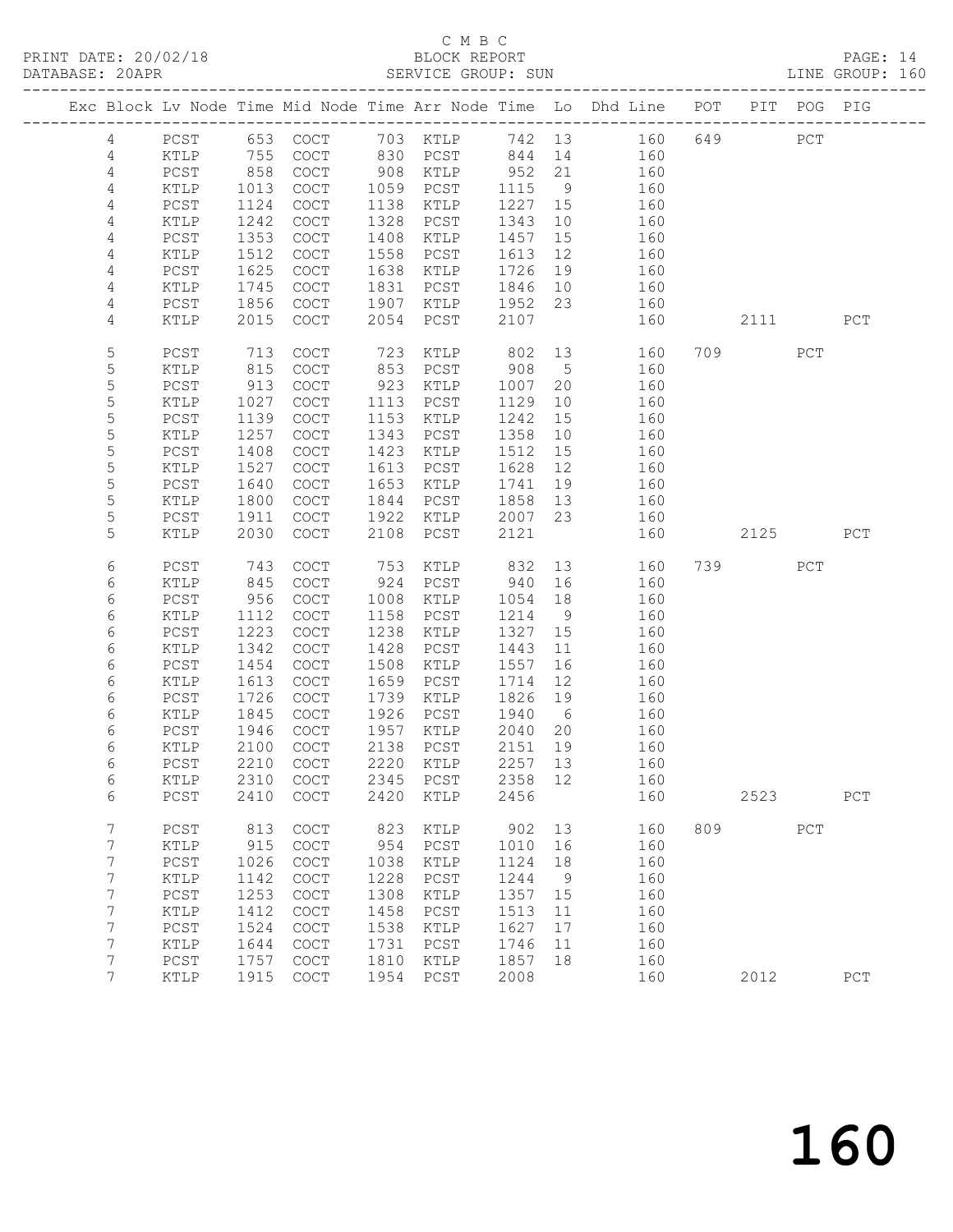PRINT DATE: 20/02/18 BLOCK REPORT BATABASE: 20APR BLOCK REPORT

### C M B C<br>BLOCK REPORT

PAGE: 14<br>LINE GROUP: 160

|  |                 |                 |      |                       |      |                   |         |             | Exc Block Lv Node Time Mid Node Time Arr Node Time Lo Dhd Line POT |     |           | PIT POG PIG |     |
|--|-----------------|-----------------|------|-----------------------|------|-------------------|---------|-------------|--------------------------------------------------------------------|-----|-----------|-------------|-----|
|  | $\overline{4}$  | PCST            |      |                       |      |                   |         |             |                                                                    |     | 649       | PCT         |     |
|  | $\overline{4}$  | KTLP            |      |                       |      |                   |         |             | 653 COCT 703 KTLP 742 13 160<br>755 COCT 830 PCST 844 14 160       |     |           |             |     |
|  | 4               | PCST            | 858  | COCT                  | 908  | KTLP              | 952     | 21          | 160                                                                |     |           |             |     |
|  | 4               | KTLP            | 1013 | COCT                  | 1059 | PCST              | 1115    | 9           | 160                                                                |     |           |             |     |
|  | 4               | PCST            | 1124 | $\operatorname{COT}$  | 1138 | KTLP              | 1227 15 |             | 160                                                                |     |           |             |     |
|  | 4               | $\texttt{KTLP}$ | 1242 | COCT                  | 1328 | PCST              | 1343    | 10          | 160                                                                |     |           |             |     |
|  | 4               | PCST            | 1353 | $\operatorname{COT}$  | 1408 | KTLP              | 1457    | 15          | 160                                                                |     |           |             |     |
|  | 4               | KTLP            | 1512 | COCT                  | 1558 | PCST              | 1613    | 12          | 160                                                                |     |           |             |     |
|  | 4               | PCST            | 1625 | $\operatorname{COT}$  | 1638 | KTLP              | 1726    | 19          | 160                                                                |     |           |             |     |
|  | 4               | KTLP            | 1745 | COCT                  | 1831 | PCST              | 1846    | 10          | 160                                                                |     |           |             |     |
|  | 4               | PCST            | 1856 | COCT                  | 1907 | KTLP              | 1952    | 23          | 160                                                                |     |           |             |     |
|  | 4               | KTLP            | 2015 | $\operatorname{COT}$  | 2054 | PCST              | 2107    |             | 160                                                                |     | 2111      |             | PCT |
|  |                 |                 |      |                       |      |                   |         |             |                                                                    |     |           |             |     |
|  | 5               | PCST            | 713  | <b>COCT</b>           | 723  | KTLP              | 802     | 13          | 160                                                                |     | 709       | PCT         |     |
|  | 5               | KTLP            | 815  | COCT                  | 853  | PCST              | 908     | $5^{\circ}$ | 160                                                                |     |           |             |     |
|  | 5               | PCST            | 913  | COCT                  | 923  | KTLP              | 1007    | 20          | 160                                                                |     |           |             |     |
|  | 5               | KTLP            | 1027 | COCT                  | 1113 | PCST              | 1129    | 10          | 160                                                                |     |           |             |     |
|  | 5               | PCST            | 1139 | COCT                  | 1153 | KTLP              | 1242    | 15          | 160                                                                |     |           |             |     |
|  | 5               | KTLP            | 1257 | COCT                  | 1343 | PCST              | 1358    | 10          | 160                                                                |     |           |             |     |
|  | 5               | PCST            | 1408 | COCT                  | 1423 | KTLP              | 1512    | 15          | 160                                                                |     |           |             |     |
|  | 5               | KTLP            | 1527 | COCT                  | 1613 | PCST              | 1628    | 12          | 160                                                                |     |           |             |     |
|  | 5               | PCST            | 1640 | $\operatorname{COT}$  | 1653 | KTLP              | 1741    | 19          | 160                                                                |     |           |             |     |
|  | $\mathsf S$     | KTLP            | 1800 | COCT                  | 1844 | PCST              | 1858    | 13          | 160                                                                |     |           |             |     |
|  | 5               | PCST            | 1911 | <b>COCT</b>           | 1922 | KTLP              | 2007    | 23          | 160                                                                |     |           |             |     |
|  | 5               | KTLP            | 2030 | COCT                  | 2108 | PCST              | 2121    |             | 160                                                                |     | 2125      |             | PCT |
|  | 6               | PCST            | 743  | COCT                  | 753  | KTLP              | 832     |             | 13<br>160                                                          |     | 739 — 139 | PCT         |     |
|  | 6               | KTLP            | 845  | COCT                  | 924  | PCST              | 940     | 16          | 160                                                                |     |           |             |     |
|  | 6               | PCST            | 956  | COCT                  | 1008 | KTLP              | 1054    | 18          | 160                                                                |     |           |             |     |
|  | 6               | KTLP            | 1112 | $\operatorname{COT}$  | 1158 | PCST              | 1214    | 9           | 160                                                                |     |           |             |     |
|  | 6               | PCST            | 1223 | COCT                  | 1238 | KTLP              | 1327    | 15          | 160                                                                |     |           |             |     |
|  | 6               | KTLP            | 1342 | COCT                  | 1428 | PCST              | 1443    | 11          | 160                                                                |     |           |             |     |
|  | 6               | PCST            | 1454 | COCT                  | 1508 | KTLP              | 1557    | 16          | 160                                                                |     |           |             |     |
|  | 6               | KTLP            | 1613 | $\operatorname{COT}$  | 1659 | PCST              | 1714    | 12          | 160                                                                |     |           |             |     |
|  | 6               | PCST            | 1726 | $\operatorname{COT}$  | 1739 | KTLP              | 1826    | 19          | 160                                                                |     |           |             |     |
|  | 6               | KTLP            | 1845 | COCT                  | 1926 | PCST              | 1940    | 6           | 160                                                                |     |           |             |     |
|  | 6               | PCST            | 1946 | COCT                  | 1957 | KTLP              | 2040    | 20          | 160                                                                |     |           |             |     |
|  | 6               | KTLP            | 2100 | $\operatorname{COT}$  | 2138 | PCST              | 2151    | 19          | 160                                                                |     |           |             |     |
|  | 6               | PCST            | 2210 | COCT                  |      | 2220 KTLP         | 2257 13 |             | 160                                                                |     |           |             |     |
|  | 6               | KTLP            |      | 2310 COCT             |      | 2345 PCST 2358 12 |         |             | 160                                                                |     |           |             |     |
|  | 6               | PCST            | 2410 | COCT                  | 2420 | KTLP              | 2456    |             | 160                                                                |     | 2523      |             | PCT |
|  |                 |                 |      |                       |      |                   |         |             |                                                                    |     |           |             |     |
|  | $7\phantom{.0}$ | PCST            | 813  | COCT                  | 823  | KTLP              | 902     | 13          | 160                                                                | 809 |           | PCT         |     |
|  | 7               | KTLP            | 915  | $\operatorname{COT}$  | 954  | PCST              | 1010    | 16          | 160                                                                |     |           |             |     |
|  | 7               | PCST            | 1026 | COCT                  | 1038 | KTLP              | 1124    | 18          | 160                                                                |     |           |             |     |
|  | 7               | KTLP            | 1142 | $\operatorname{COT}$  | 1228 | PCST              | 1244    | 9           | 160                                                                |     |           |             |     |
|  | 7               | PCST            | 1253 | COCT                  | 1308 | KTLP              | 1357    | 15          | 160                                                                |     |           |             |     |
|  | 7               | KTLP            | 1412 | COCT                  | 1458 | PCST              | 1513    | 11          | 160                                                                |     |           |             |     |
|  | 7               | PCST            | 1524 | COCT                  | 1538 | KTLP              | 1627    | 17          | 160                                                                |     |           |             |     |
|  | 7               | KTLP            | 1644 | COCT                  | 1731 | $_{\rm PCST}$     | 1746    | 11          | 160                                                                |     |           |             |     |
|  | 7               | PCST            | 1757 | $\operatorname{COCT}$ | 1810 | $\verb KTLP $     | 1857    | 18          | 160                                                                |     |           |             |     |
|  | $7\phantom{.0}$ | $\verb KTLP $   | 1915 | COCT                  | 1954 | ${\tt PCST}$      | 2008    |             | 160                                                                |     | 2012      |             | PCT |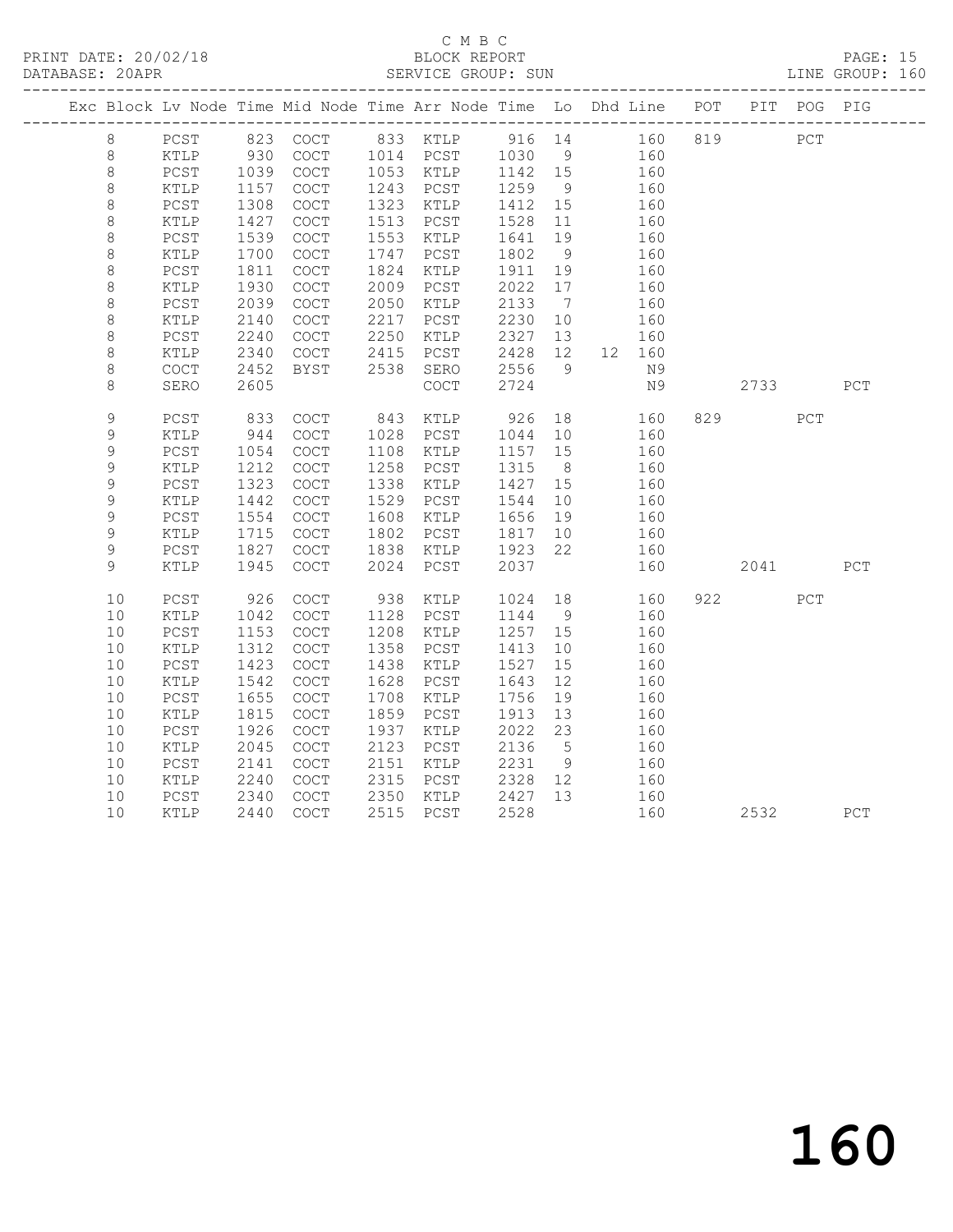PRINT DATE: 20/02/18 BLOCK REPORT BATABASE: 20APR BLOCK REPORT

### C M B C<br>BLOCK REPORT

PAGE: 15<br>LINE GROUP: 160

| Exc Block Lv Node Time Mid Node Time Arr Node Time Lo Dhd Line POT PIT POG PIG |                      |      |             |      |                                  |         |                              |   |        |      |     |     |
|--------------------------------------------------------------------------------|----------------------|------|-------------|------|----------------------------------|---------|------------------------------|---|--------|------|-----|-----|
| $8\,$                                                                          | PCST                 |      |             |      | 823 COCT 833 KTLP 916 14 160 819 |         |                              |   |        |      | PCT |     |
| $\,8\,$                                                                        | KTLP                 | 930  | COCT        |      | 1014 PCST                        | 1030    |                              | 9 | 160    |      |     |     |
| $\,8\,$                                                                        | PCST                 | 1039 | COCT        |      | 1053 KTLP                        | 1142 15 |                              |   | 160    |      |     |     |
| $\,8\,$                                                                        | KTLP                 | 1157 | COCT        | 1243 | PCST                             | 1259    | 9                            |   | 160    |      |     |     |
| $\,8\,$                                                                        | PCST                 | 1308 | COCT        | 1323 | KTLP                             | 1412    | 15                           |   | 160    |      |     |     |
| $\,8\,$                                                                        | KTLP                 | 1427 | COCT        | 1513 | PCST                             | 1528    | 11                           |   | 160    |      |     |     |
| $\,8\,$                                                                        | PCST                 | 1539 | COCT        | 1553 | KTLP                             | 1641    | 19                           |   | 160    |      |     |     |
| $\,8\,$                                                                        | KTLP                 | 1700 | COCT        | 1747 | PCST                             | 1802    | 9                            |   | 160    |      |     |     |
| $\,8\,$                                                                        | PCST                 | 1811 | COCT        | 1824 | KTLP                             | 1911    | 19                           |   | 160    |      |     |     |
| $\,8\,$                                                                        | $\verb KTLP $        | 1930 | COCT        | 2009 | PCST                             | 2022    | 17                           |   | 160    |      |     |     |
| $\,8\,$                                                                        | PCST                 | 2039 | COCT        | 2050 | KTLP                             | 2133    | $7\phantom{.0}\phantom{.0}7$ |   | 160    |      |     |     |
| $\,8\,$                                                                        | KTLP                 | 2140 | COCT        | 2217 | PCST                             | 2230    | 10                           |   | 160    |      |     |     |
| $\,8\,$                                                                        | $PCST$               | 2240 | COCT        | 2250 | KTLP                             | 2327    | 13                           |   | 160    |      |     |     |
| 8                                                                              | KTLP                 | 2340 | COCT        | 2415 | PCST                             | 2428    | 12                           |   | 12 160 |      |     |     |
| $\,8\,$                                                                        | $\operatorname{COT}$ | 2452 | BYST        | 2538 | SERO                             | 2556    | 9 <sup>°</sup>               |   | N9     |      |     |     |
| $\,8\,$                                                                        | SERO                 | 2605 |             |      | COCT                             | 2724    |                              |   | N9     | 2733 |     | PCT |
| 9                                                                              | PCST                 | 833  | COCT        | 843  | KTLP                             | 926     | 18                           |   | 160    | 829  | PCT |     |
| 9                                                                              | KTLP                 | 944  | COCT        | 1028 | PCST                             | 1044    | 10                           |   | 160    |      |     |     |
| 9                                                                              | PCST                 | 1054 | <b>COCT</b> | 1108 | KTLP                             | 1157    | 15                           |   | 160    |      |     |     |
| $\mathcal{G}$                                                                  | KTLP                 | 1212 | COCT        | 1258 | PCST                             | 1315    | 8 <sup>8</sup>               |   | 160    |      |     |     |
| $\mathsf 9$                                                                    | $PCST$               | 1323 | COCT        | 1338 | KTLP                             | 1427    | 15                           |   | 160    |      |     |     |
| 9                                                                              | KTLP                 | 1442 | COCT        | 1529 | PCST                             | 1544    | 10                           |   | 160    |      |     |     |
| 9                                                                              | $PCST$               | 1554 | COCT        | 1608 | KTLP                             | 1656    | 19                           |   | 160    |      |     |     |
| 9                                                                              | KTLP                 | 1715 | COCT        | 1802 | PCST                             | 1817    | 10                           |   | 160    |      |     |     |
| 9                                                                              | PCST                 | 1827 | COCT        | 1838 | KTLP                             | 1923    | 22                           |   | 160    |      |     |     |
| 9                                                                              | KTLP                 | 1945 | COCT        | 2024 | PCST                             | 2037    |                              |   | 160    | 2041 |     | PCT |
| 10                                                                             | PCST                 | 926  | COCT        | 938  | KTLP                             | 1024    | 18                           |   | 160    | 922  | PCT |     |
| 10                                                                             | KTLP                 | 1042 | COCT        | 1128 | PCST                             | 1144    | 9                            |   | 160    |      |     |     |
| 10                                                                             | PCST                 | 1153 | COCT        | 1208 | KTLP                             | 1257    | 15                           |   | 160    |      |     |     |
| 10                                                                             | KTLP                 | 1312 | COCT        | 1358 | PCST                             | 1413    | 10                           |   | 160    |      |     |     |
| 10                                                                             | PCST                 | 1423 | COCT        | 1438 | KTLP                             | 1527    | 15                           |   | 160    |      |     |     |
| 10                                                                             | KTLP                 | 1542 | COCT        | 1628 | PCST                             | 1643    | 12                           |   | 160    |      |     |     |
| 10                                                                             | $PCST$               | 1655 | COCT        | 1708 | KTLP                             | 1756    | 19                           |   | 160    |      |     |     |
| 10                                                                             | $\texttt{KTLP}$      | 1815 | COCT        | 1859 | PCST                             | 1913    | 13                           |   | 160    |      |     |     |
| 10                                                                             | $PCST$               | 1926 | COCT        | 1937 | KTLP                             | 2022    | 23                           |   | 160    |      |     |     |
| 10                                                                             | KTLP                 | 2045 | COCT        | 2123 | PCST                             | 2136    | $5^{\circ}$                  |   | 160    |      |     |     |
| 10                                                                             | PCST                 | 2141 | COCT        | 2151 | KTLP                             | 2231    | 9                            |   | 160    |      |     |     |
| 10                                                                             | KTLP                 | 2240 | COCT        | 2315 | PCST                             | 2328    | 12                           |   | 160    |      |     |     |
| 10                                                                             | $PCST$               | 2340 | COCT        | 2350 | KTLP                             | 2427    | 13                           |   | 160    |      |     |     |
| 10                                                                             | KTLP                 | 2440 | COCT        | 2515 | PCST                             | 2528    |                              |   | 160    | 2532 |     | PCT |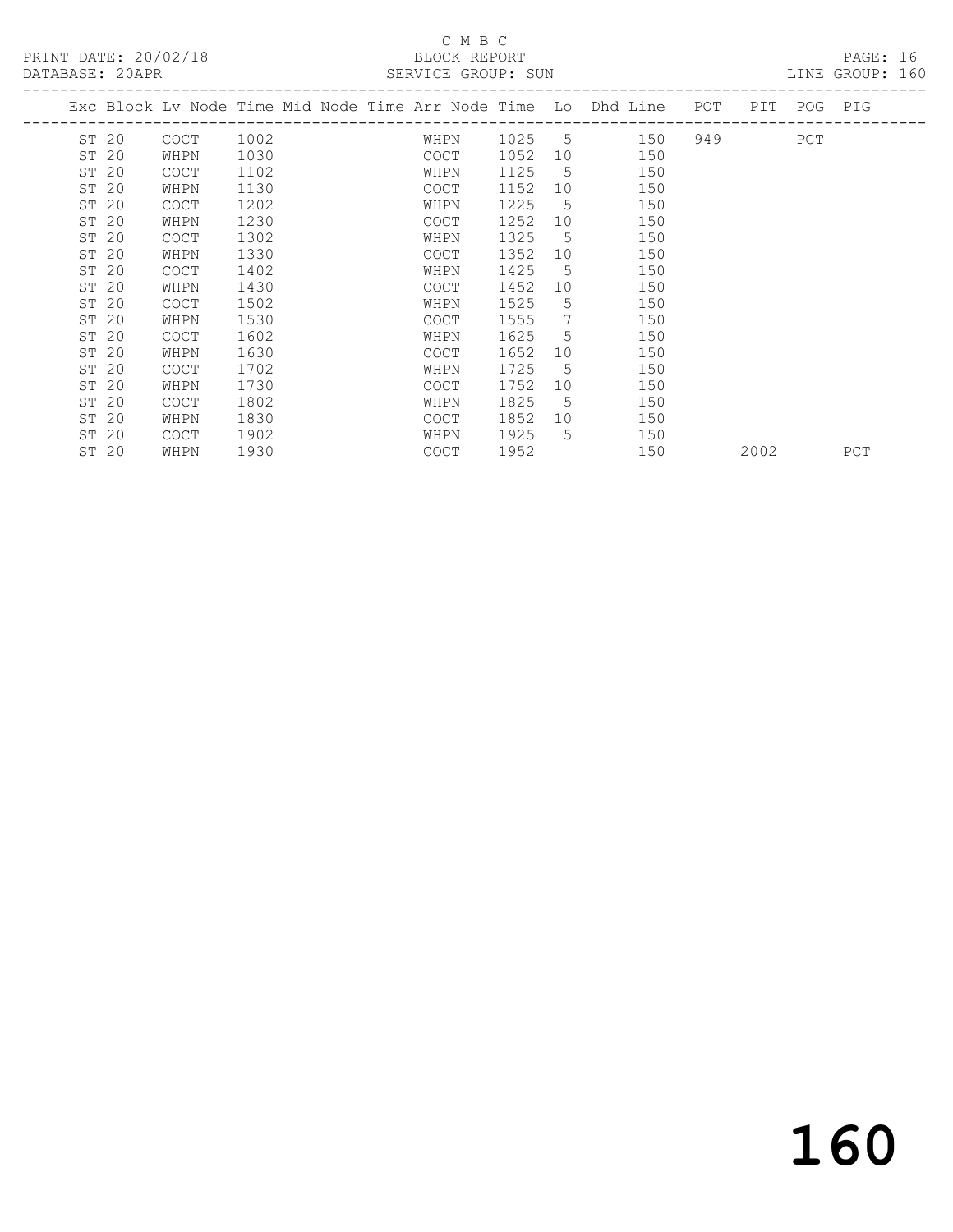PRINT DATE: 20/02/18 BLOCK REPORT<br>
PATABASE: 20APR

## C M B C<br>BLOCK REPORT

PAGE: 16<br>LINE GROUP: 160

| DATABASE: ZUAPR  |             |      |  |      | SARVICA GROUP: SUN |                 |                                                                    |     |     |     | TIME GROOF: TOO |
|------------------|-------------|------|--|------|--------------------|-----------------|--------------------------------------------------------------------|-----|-----|-----|-----------------|
|                  |             |      |  |      |                    |                 | Exc Block Lv Node Time Mid Node Time Arr Node Time Lo Dhd Line POT |     | PIT |     | POG PIG         |
| ST 20            | <b>COCT</b> | 1002 |  | WHPN | 1025 5             |                 | 150                                                                | 949 |     | PCT |                 |
| ST <sub>20</sub> | WHPN        | 1030 |  | COCT | 1052               | 10              | 150                                                                |     |     |     |                 |
| ST 20            | COCT        | 1102 |  | WHPN | 1125               | 5               | 150                                                                |     |     |     |                 |
| ST 20            | WHPN        | 1130 |  | COCT | 1152               | 10              | 150                                                                |     |     |     |                 |
| ST 20            | <b>COCT</b> | 1202 |  | WHPN | 1225               | .5              | 150                                                                |     |     |     |                 |
| ST 20            | WHPN        | 1230 |  | COCT | 1252               | 10              | 150                                                                |     |     |     |                 |
| ST 20            | COCT        | 1302 |  | WHPN | 1325               | .5              | 150                                                                |     |     |     |                 |
| ST 20            | WHPN        | 1330 |  | COCT | 1352               | 10              | 150                                                                |     |     |     |                 |
| ST <sub>20</sub> | <b>COCT</b> | 1402 |  | WHPN | 1425               | .5              | 150                                                                |     |     |     |                 |
| ST <sub>20</sub> | WHPN        | 1430 |  | COCT | 1452               | 10              | 150                                                                |     |     |     |                 |
| ST 20            | <b>COCT</b> | 1502 |  | WHPN | 1525               | 5               | 150                                                                |     |     |     |                 |
| ST 20            | WHPN        | 1530 |  | COCT | 1555               | $7\phantom{.0}$ | 150                                                                |     |     |     |                 |
| ST 20            | <b>COCT</b> | 1602 |  | WHPN | 1625               | .5              | 150                                                                |     |     |     |                 |
| ST 20            | WHPN        | 1630 |  | COCT | 1652               | 10              | 150                                                                |     |     |     |                 |
| ST 20            | <b>COCT</b> | 1702 |  | WHPN | 1725               | 5.              | 150                                                                |     |     |     |                 |

ST 20 WHPN 1930 COCT 1952 150 2002 PCT

ST 20 COCT 1702 WHPN 1725 5 150

ST 20 WHPN 1730 COCT 1752 10 150<br>ST 20 COCT 1802 WHPN 1825 5 150 ST 20 COCT 1802 WHPN 1825 5 150

ST 20 WHPN 1830 COCT 1852 10 150<br>ST 20 COCT 1902 WHPN 1925 5 150 ST 20 COCT 1902 WHPN 1925 5 150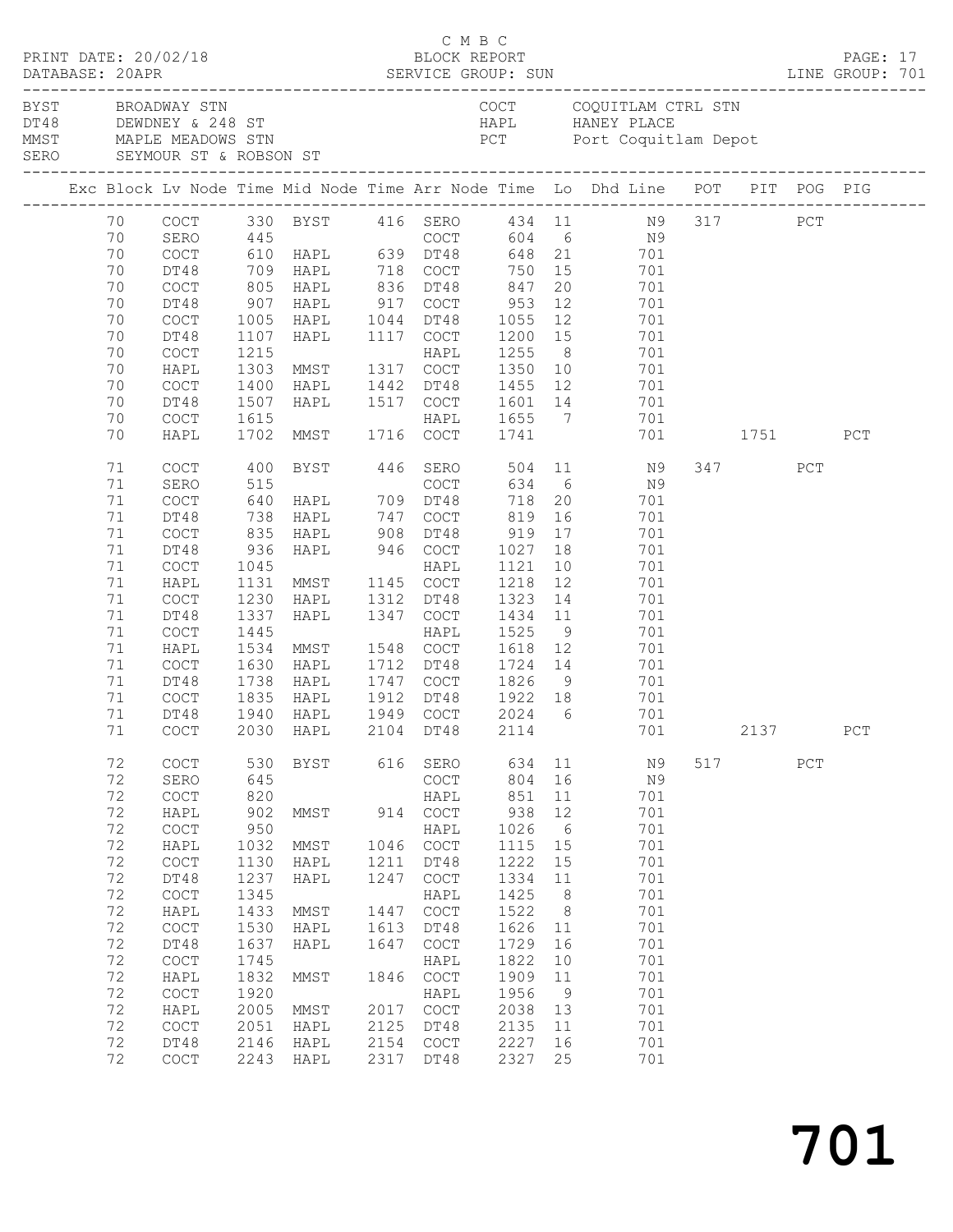|  | DATABASE: 20APR                                                                                                | PRINT DATE: 20/02/18                                                                                                                                                                       |                                                                                                                                                 |                                                                                                                                                                                                    |                                                                                                    | C M B C<br>BLOCK REPORT                                                                                                                                                                    |                                                                                                                                                     |                                                                                                                    |                                                                                                                                                                                                                                                                                       |     |                 |     | PAGE: 17 |  |
|--|----------------------------------------------------------------------------------------------------------------|--------------------------------------------------------------------------------------------------------------------------------------------------------------------------------------------|-------------------------------------------------------------------------------------------------------------------------------------------------|----------------------------------------------------------------------------------------------------------------------------------------------------------------------------------------------------|----------------------------------------------------------------------------------------------------|--------------------------------------------------------------------------------------------------------------------------------------------------------------------------------------------|-----------------------------------------------------------------------------------------------------------------------------------------------------|--------------------------------------------------------------------------------------------------------------------|---------------------------------------------------------------------------------------------------------------------------------------------------------------------------------------------------------------------------------------------------------------------------------------|-----|-----------------|-----|----------|--|
|  |                                                                                                                | BYST BROADWAY STN                                                                                                                                                                          |                                                                                                                                                 | DT48 DEWDNEY & 248 ST<br>MMST MAPLE MEADOWS STN<br>SERO SEYMOUR ST & ROBSON ST                                                                                                                     |                                                                                                    |                                                                                                                                                                                            |                                                                                                                                                     |                                                                                                                    | COCT COQUITLAM CTRL STN<br>HAPL HANEY PLACE<br>PCT Port Coquitlam Depot                                                                                                                                                                                                               |     |                 |     |          |  |
|  |                                                                                                                |                                                                                                                                                                                            |                                                                                                                                                 |                                                                                                                                                                                                    |                                                                                                    |                                                                                                                                                                                            |                                                                                                                                                     |                                                                                                                    | Exc Block Lv Node Time Mid Node Time Arr Node Time Lo Dhd Line POT PIT POG PIG                                                                                                                                                                                                        |     |                 |     |          |  |
|  | 70<br>70<br>70<br>70<br>70<br>70<br>70<br>70<br>70                                                             | DT48<br>COCT<br>DT48<br>COCT<br>DT48<br>COCT<br>HAPL<br>COCT<br>DT48                                                                                                                       | 1400<br>1507                                                                                                                                    | 709 HAPL       718   COCT<br>805   HAPL       836   DT48<br>907   HAPL        917   COCT<br>1005 HAPL 1044 DT48<br>1107 HAPL 1117 COCT<br>1215 HAPL<br>1303 MMST 1317 COCT<br>HAPL<br>HAPL         |                                                                                                    | 1442 DT48<br>1517 COCT                                                                                                                                                                     | 750 15<br>847<br>953<br>1055<br>1200 15<br>1255<br>1350<br>1455 12<br>1601 14                                                                       | 20<br>12<br>12<br>8 <sup>8</sup>                                                                                   | 70 COCT 330 BYST 416 SERO 434 11 N9 317 PCT<br>70 SERO 445 COCT 604 6 N9<br>70 COCT 610 HAPL 639 DT48 648 21 701<br>701<br>701<br>701<br>701<br>701<br>701<br>$\begin{array}{c}\n\phantom{\big }\stackrel{\rightharpoonup}{\phantom{\big }}\\ 1\,0\n\end{array}$<br>701<br>701<br>701 |     |                 |     |          |  |
|  | 70<br>70                                                                                                       | COCT<br>HAPL                                                                                                                                                                               | 1615                                                                                                                                            | 1615 HAPL<br>1702 MMST 1716 COCT                                                                                                                                                                   |                                                                                                    |                                                                                                                                                                                            | 1655 7<br>1741                                                                                                                                      |                                                                                                                    | 701<br>701 1751                                                                                                                                                                                                                                                                       |     |                 |     | PCT      |  |
|  | 71<br>71<br>71<br>71<br>71<br>71<br>71<br>71<br>71<br>71<br>71<br>71<br>71<br>71<br>71<br>71<br>$71\,$         | COCT<br>SERO<br>COCT<br>DT48<br>COCT<br>DT48<br>COCT<br>HAPL<br>COCT<br>DT48<br>COCT<br>HAPL<br>COCT<br>DT48<br>COCT<br>DT48                                                               | 400<br>835<br>936<br>1045<br>1131<br>1230<br>1337<br>1445<br>1630<br>1738                                                                       | BYST 446 SERO<br>$738$ HAPL $747$<br>HAPL 908<br>HAPL 946 COCT<br>MMST 1145 COCT<br>HAPL<br>HAPL<br>1534 MMST 1548 COCT<br>HAPL<br>HAPL<br>1835 HAPL<br>1940 HAPL<br>COCT 2030 HAPL 2104 DT48 2114 |                                                                                                    | COCT<br>DT48<br>HAPL<br>1312 DT48<br>1347 COCT<br>HAPL<br>1712 DT48<br>1747 COCT<br>1912 DT48<br>1949 COCT                                                                                 | $634$ 6<br>718<br>819<br>919<br>1027 18<br>1121<br>1218<br>1323<br>1434<br>1525<br>1618<br>1724 14<br>1826<br>1922 18<br>2024 6                     | 20<br>16<br>17<br>10<br>12<br>14<br>11<br>9<br>12                                                                  | 504 11 N9<br>N9<br>701<br>701<br>701<br>701<br>701<br>701<br>701<br>701<br>701<br>701<br>701<br>$9 \left( \frac{1}{2} \right)$<br>701<br>$701$<br>701                                                                                                                                 |     | 347<br>701 2137 | PCT | PCT      |  |
|  | 72<br>72<br>72<br>72<br>72<br>72<br>72<br>72<br>72<br>72<br>72<br>72<br>72<br>72<br>72<br>72<br>72<br>72<br>72 | COCT<br>SERO<br>COCT<br>HAPL<br>COCT<br>HAPL<br>COCT<br>DT48<br>COCT<br>HAPL<br>$\mathtt{C}\mathtt{O}\mathtt{C}\mathtt{T}$<br>DT48<br>COCT<br>HAPL<br>COCT<br>HAPL<br>COCT<br>DT48<br>COCT | 530<br>645<br>820<br>902<br>950<br>1032<br>1130<br>1237<br>1345<br>1433<br>1530<br>1637<br>1745<br>1832<br>1920<br>2005<br>2051<br>2146<br>2243 | BYST<br>MMST<br>MMST<br>HAPL<br>HAPL<br>MMST<br>HAPL<br>HAPL<br>MMST<br>MMST<br>HAPL<br>HAPL<br>HAPL                                                                                               | 616<br>914<br>1046<br>1211<br>1247<br>1447<br>1613<br>1647<br>1846<br>2017<br>2125<br>2154<br>2317 | SERO<br>COCT<br>HAPL<br>COCT<br>HAPL<br>COCT<br>DT48<br>COCT<br>HAPL<br>COCT<br>DT48<br>COCT<br>HAPL<br>COCT<br>HAPL<br>$\mathtt{C}\mathtt{O}\mathtt{C}\mathtt{T}$<br>DT48<br>COCT<br>DT48 | 634<br>804<br>851<br>938<br>1026<br>1115<br>1222<br>1334<br>1425<br>1522<br>1626<br>1729<br>1822<br>1909<br>1956<br>2038<br>2135<br>2227<br>2327 25 | 11<br>16<br>11<br>12<br>$6\overline{6}$<br>15<br>15<br>11<br>8<br>8<br>11<br>16<br>10<br>11<br>9<br>13<br>11<br>16 | N9<br>N9<br>701<br>701<br>701<br>701<br>701<br>701<br>701<br>701<br>701<br>701<br>701<br>701<br>701<br>701<br>701<br>701<br>701                                                                                                                                                       | 517 |                 | PCT |          |  |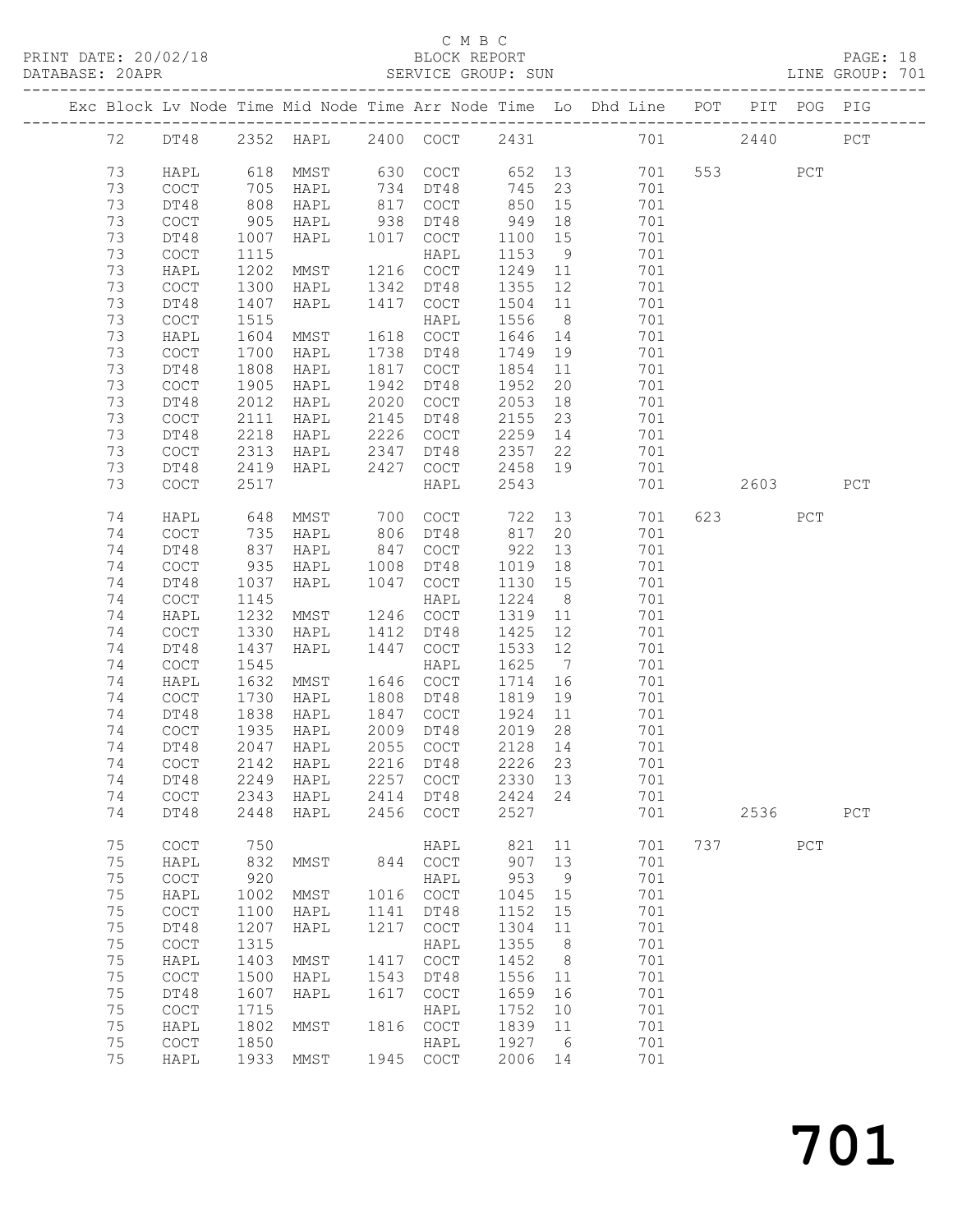PRINT DATE: 20/02/18<br>DATABASE: 20APR

# C M B C<br>BLOCK REPORT<br>SERVICE GROUP: SUN

|    |                                            |            |                                     |      |                                            |                    |                 |                                                                                |     |                        |     | PAGE: 18<br>LINE GROUP: 701 |  |
|----|--------------------------------------------|------------|-------------------------------------|------|--------------------------------------------|--------------------|-----------------|--------------------------------------------------------------------------------|-----|------------------------|-----|-----------------------------|--|
|    |                                            |            |                                     |      |                                            |                    |                 | Exc Block Lv Node Time Mid Node Time Arr Node Time Lo Dhd Line POT PIT POG PIG |     |                        |     |                             |  |
|    |                                            |            |                                     |      |                                            |                    |                 | 72 DT48 2352 HAPL 2400 COCT 2431 701 2440                                      |     |                        |     | PCT                         |  |
| 73 | HAPL                                       |            |                                     |      |                                            |                    |                 | 618 MMST 630 COCT 652 13 701 553 PCT                                           |     |                        |     |                             |  |
| 73 | COCT                                       |            | HAPL                                |      | 734 DT48                                   | $745$ 23<br>850 15 |                 | 701                                                                            |     |                        |     |                             |  |
| 73 | DT48                                       | 705<br>808 | HAPL                                |      | 817 COCT                                   | 850                | 15              | 701                                                                            |     |                        |     |                             |  |
| 73 | $\mathtt{C}\mathtt{O}\mathtt{C}\mathtt{T}$ | 905        | HAPL                                |      | 938 DT48                                   | 949 18             |                 | 701                                                                            |     |                        |     |                             |  |
| 73 | DT48                                       | 1007       | HAPL                                | 1017 | COCT                                       | 1100 15            |                 | 701                                                                            |     |                        |     |                             |  |
|    |                                            |            |                                     |      |                                            |                    |                 |                                                                                |     |                        |     |                             |  |
| 73 | $\mathtt{C}\mathtt{O}\mathtt{C}\mathtt{T}$ | 1115       | HAPL<br>MMST 1216 COCT              |      |                                            | 1153               |                 | 9<br>701                                                                       |     |                        |     |                             |  |
| 73 | HAPL                                       | 1202       |                                     |      |                                            | 1249 11            |                 | 701                                                                            |     |                        |     |                             |  |
| 73 | $\mathtt{C}\mathtt{O}\mathtt{C}\mathtt{T}$ | 1300       | HAPL                                | 1342 | DT48                                       | 1355 12            |                 | 701                                                                            |     |                        |     |                             |  |
| 73 | DT48                                       | 1407       | HAPL                                | 1417 | COCT                                       | 1504 11            |                 | 701                                                                            |     |                        |     |                             |  |
| 73 | COCT                                       | 1515       |                                     |      | HAPL                                       | 1556               |                 | 8 <sup>1</sup><br>701                                                          |     |                        |     |                             |  |
| 73 | HAPL                                       | 1604       | <b>MMST</b>                         |      | 1618 COCT                                  | 1646 14            |                 | 701                                                                            |     |                        |     |                             |  |
| 73 | COCT                                       | 1700       | HAPL                                | 1738 | DT48                                       | 1749 19            |                 | 701                                                                            |     |                        |     |                             |  |
| 73 | DT48                                       | 1808       | HAPL                                | 1817 | COCT                                       |                    |                 | 1854 11<br>701                                                                 |     |                        |     |                             |  |
| 73 | COCT                                       | 1905       | HAPL                                | 1942 | DT48                                       | 1952               |                 | 20<br>701                                                                      |     |                        |     |                             |  |
| 73 | DT48                                       | 2012       | HAPL                                | 2020 | COCT                                       | 2053               |                 | 701                                                                            |     |                        |     |                             |  |
| 73 | COCT                                       | 2111       | HAPL                                | 2145 | DT48                                       | 2155               |                 | $\frac{18}{23}$<br>701                                                         |     |                        |     |                             |  |
| 73 | DT48                                       | 2218       | HAPL                                | 2226 | COCT                                       |                    |                 | 2259 14 701                                                                    |     |                        |     |                             |  |
| 73 | COCT                                       | 2313       | HAPL 2347                           |      | DT48                                       | 2357               |                 | 22<br>701                                                                      |     |                        |     |                             |  |
| 73 | DT48                                       | 2419       | HAPL                                | 2427 |                                            | 2458 19            |                 | 701                                                                            |     |                        |     |                             |  |
| 73 |                                            |            |                                     |      | COCT                                       |                    |                 |                                                                                |     | 2603                   |     |                             |  |
|    | COCT                                       | 2517       |                                     |      | HAPL                                       | 2543               |                 | 701                                                                            |     |                        |     | PCT                         |  |
| 74 | HAPL                                       | 648        | MMST                                | 700  | COCT                                       | 722                |                 | 13 and $\overline{\phantom{a}}$<br>701                                         |     | 623 and $\overline{a}$ | PCT |                             |  |
| 74 | COCT                                       |            | HAPL                                |      | 806 DT48                                   |                    | 20              | 701                                                                            |     |                        |     |                             |  |
| 74 | DT48                                       | 735<br>837 | HAPL                                | 847  | COCT                                       | 817<br>922         | 13              | 701                                                                            |     |                        |     |                             |  |
| 74 | $\mathtt{C}\mathtt{O}\mathtt{C}\mathtt{T}$ | 935        | <b>HAPL</b>                         | 1008 | DT48                                       | 1019 18            |                 | 701                                                                            |     |                        |     |                             |  |
| 74 | DT48                                       | 1037       | HAPL                                | 1047 | COCT                                       | 1130               |                 | 15<br>701                                                                      |     |                        |     |                             |  |
| 74 | $\mathtt{C}\mathtt{O}\mathtt{C}\mathtt{T}$ | 1145       |                                     |      | HAPL                                       | 1224               | 8 <sup>8</sup>  | 701                                                                            |     |                        |     |                             |  |
| 74 | HAPL                                       | 1232       | MMST                                |      | 1246 COCT                                  | 1319               | 11              | 701                                                                            |     |                        |     |                             |  |
| 74 |                                            |            |                                     |      |                                            | 1425               | 12              | 701                                                                            |     |                        |     |                             |  |
|    | COCT                                       | 1330       | HAPL                                | 1412 | DT48                                       |                    |                 |                                                                                |     |                        |     |                             |  |
| 74 | DT48                                       | 1437       | HAPL                                | 1447 | COCT                                       | 1533 12            |                 | 701                                                                            |     |                        |     |                             |  |
| 74 | COCT                                       | 1545       |                                     |      | HAPL                                       | 1625               | $7\overline{)}$ | 701                                                                            |     |                        |     |                             |  |
| 74 | HAPL                                       | 1632       | MMST                                |      | 1646 COCT                                  | 1714 16            |                 | 701                                                                            |     |                        |     |                             |  |
| 74 | COCT                                       | 1730       | HAPL                                |      | 1808 DT48                                  | 1819 19            |                 | 701                                                                            |     |                        |     |                             |  |
| 74 | DT48                                       | 1838       | HAPL                                |      | 1847 COCT                                  | 1924 11            |                 | 701                                                                            |     |                        |     |                             |  |
| 74 | COCT                                       | 1935       | HAPL                                | 2009 | DT48                                       | 2019 28            |                 | 701                                                                            |     |                        |     |                             |  |
|    |                                            |            | 74 DT48 2047 HAPL 2055 COCT 2128 14 |      |                                            |                    |                 | 701                                                                            |     |                        |     |                             |  |
| 74 | COCT                                       | 2142       | HAPL                                | 2216 | DT48                                       | 2226               | 23              | 701                                                                            |     |                        |     |                             |  |
| 74 | DT48                                       | 2249       | HAPL                                | 2257 | $\mathtt{C}\mathtt{O}\mathtt{C}\mathtt{T}$ | 2330               | 13              | 701                                                                            |     |                        |     |                             |  |
| 74 | COCT                                       | 2343       | HAPL                                | 2414 | DT48                                       | 2424               | 24              | 701                                                                            |     |                        |     |                             |  |
| 74 | DT48                                       | 2448       | HAPL                                | 2456 | $\mathtt{C}\mathtt{O}\mathtt{C}\mathtt{T}$ | 2527               |                 | 701                                                                            |     | 2536                   |     | PCT                         |  |
| 75 | COCT                                       | 750        |                                     |      | HAPL                                       | 821                | 11              | 701                                                                            | 737 |                        | PCT |                             |  |
| 75 | HAPL                                       | 832        | MMST                                | 844  | COCT                                       | 907                | 13              | 701                                                                            |     |                        |     |                             |  |
| 75 | $\mathtt{C}\mathtt{O}\mathtt{C}\mathtt{T}$ | 920        |                                     |      | HAPL                                       | 953                | 9               | 701                                                                            |     |                        |     |                             |  |
| 75 | HAPL                                       | 1002       | MMST                                | 1016 | $\mathtt{C}\mathtt{O}\mathtt{C}\mathtt{T}$ | 1045               | 15              | 701                                                                            |     |                        |     |                             |  |
| 75 | COCT                                       | 1100       | HAPL                                | 1141 | DT48                                       | 1152               | 15              | 701                                                                            |     |                        |     |                             |  |
| 75 | DT48                                       | 1207       | HAPL                                | 1217 | COCT                                       | 1304               | 11              | 701                                                                            |     |                        |     |                             |  |
| 75 | $\operatorname{COT}$                       | 1315       |                                     |      | HAPL                                       | 1355               | 8               | 701                                                                            |     |                        |     |                             |  |
| 75 | HAPL                                       | 1403       | MMST                                | 1417 | $_{\mathrm{COT}}$                          | 1452               | 8               | 701                                                                            |     |                        |     |                             |  |
|    |                                            |            |                                     |      |                                            |                    |                 |                                                                                |     |                        |     |                             |  |
| 75 | $\mathtt{C}\mathtt{O}\mathtt{C}\mathtt{T}$ | 1500       | HAPL                                | 1543 | DT48                                       | 1556               | 11              | 701                                                                            |     |                        |     |                             |  |
| 75 | DT48                                       | 1607       | HAPL                                | 1617 | COCT                                       | 1659               | 16              | 701                                                                            |     |                        |     |                             |  |
| 75 | $\mathtt{C}\mathtt{O}\mathtt{C}\mathtt{T}$ | 1715       |                                     |      | HAPL                                       | 1752               | 10              | 701                                                                            |     |                        |     |                             |  |
| 75 | HAPL                                       | 1802       | MMST                                | 1816 | COCT                                       | 1839               | 11              | 701                                                                            |     |                        |     |                             |  |
| 75 | $\mathtt{C}\mathtt{O}\mathtt{C}\mathtt{T}$ | 1850       |                                     |      | HAPL                                       | 1927               | 6               | 701                                                                            |     |                        |     |                             |  |
| 75 | HAPL                                       | 1933       | MMST                                | 1945 | COCT                                       | 2006               | 14              | 701                                                                            |     |                        |     |                             |  |

701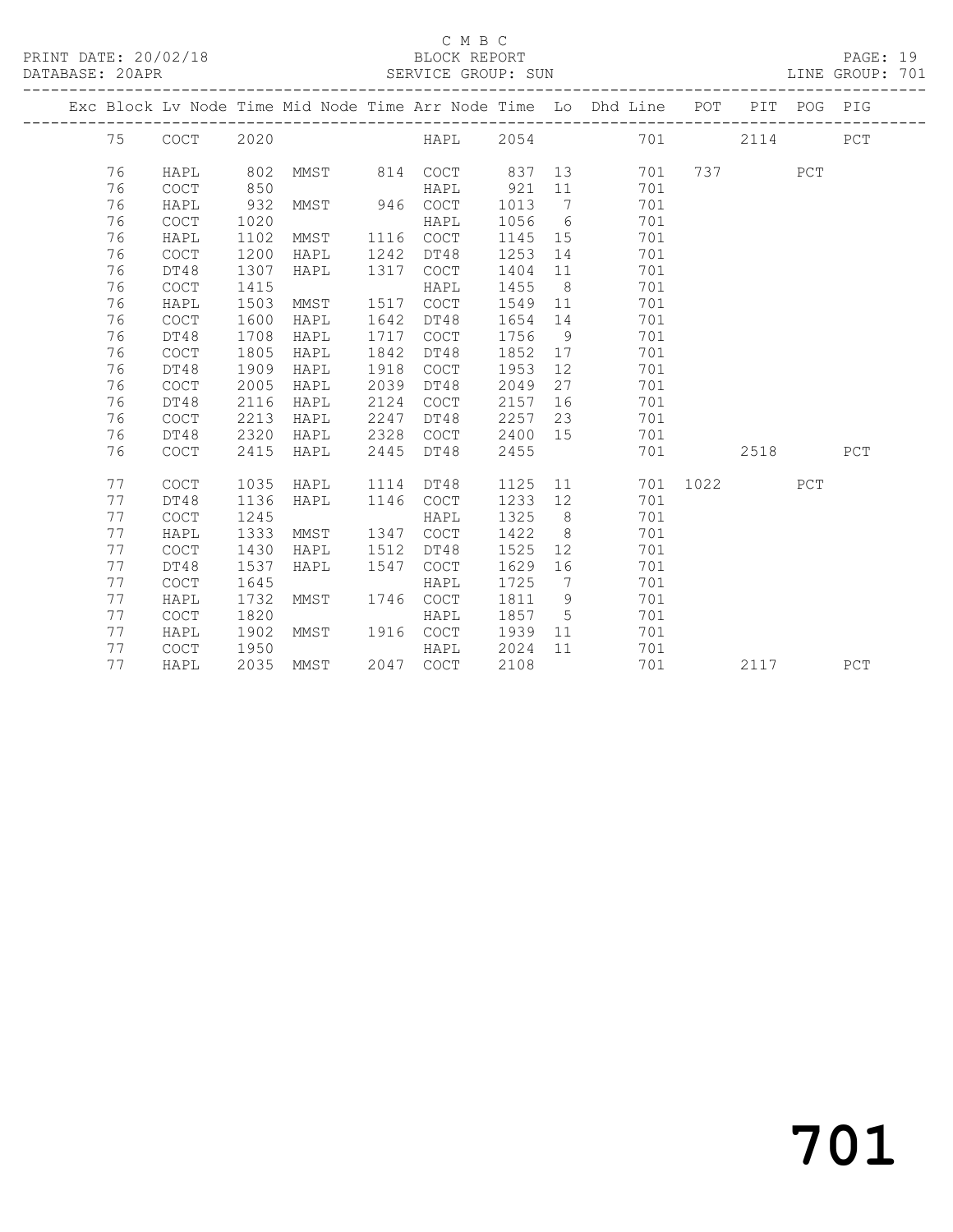PRINT DATE: 20/02/18 BLOCK REPORT BATABASE: 20APR BLOCK REPORT

#### C M B C<br>BLOCK REPORT

PAGE: 19<br>LINE GROUP: 701

|  |    |                                            |      |      |      |                                            |      |                              | Exc Block Lv Node Time Mid Node Time Arr Node Time Lo Dhd Line POT |      | PIT  | POG PIG |     |
|--|----|--------------------------------------------|------|------|------|--------------------------------------------|------|------------------------------|--------------------------------------------------------------------|------|------|---------|-----|
|  | 75 | COCT                                       | 2020 |      |      | HAPL                                       | 2054 |                              | 701                                                                |      | 2114 |         | PCT |
|  | 76 | HAPL                                       | 802  | MMST |      | 814 COCT                                   | 837  |                              | 13<br>701                                                          | 737  |      | PCT     |     |
|  | 76 | <b>COCT</b>                                | 850  |      |      | HAPL                                       | 921  | 11                           | 701                                                                |      |      |         |     |
|  | 76 | HAPL                                       | 932  | MMST |      | 946 COCT                                   | 1013 | $7\phantom{.0}\phantom{.0}7$ | 701                                                                |      |      |         |     |
|  | 76 | COCT                                       | 1020 |      |      | HAPL                                       | 1056 | $6\overline{6}$              | 701                                                                |      |      |         |     |
|  | 76 | HAPL                                       | 1102 | MMST |      | 1116 COCT                                  | 1145 | 15                           | 701                                                                |      |      |         |     |
|  | 76 | $\mathtt{C}\mathtt{O}\mathtt{C}\mathtt{T}$ | 1200 | HAPL | 1242 | DT48                                       | 1253 | 14                           | 701                                                                |      |      |         |     |
|  | 76 | DT48                                       | 1307 | HAPL | 1317 | COCT                                       | 1404 | 11                           | 701                                                                |      |      |         |     |
|  | 76 | <b>COCT</b>                                | 1415 |      |      | HAPL                                       | 1455 | 8 <sup>8</sup>               | 701                                                                |      |      |         |     |
|  | 76 | HAPL                                       | 1503 | MMST | 1517 | $\mathtt{C}\mathtt{O}\mathtt{C}\mathtt{T}$ | 1549 | 11                           | 701                                                                |      |      |         |     |
|  | 76 | $\mathtt{C}\mathtt{O}\mathtt{C}\mathtt{T}$ | 1600 | HAPL | 1642 | DT48                                       | 1654 | 14                           | 701                                                                |      |      |         |     |
|  | 76 | DT48                                       | 1708 | HAPL | 1717 | COCT                                       | 1756 | 9                            | 701                                                                |      |      |         |     |
|  | 76 | $\mathtt{C}\mathtt{O}\mathtt{C}\mathtt{T}$ | 1805 | HAPL | 1842 | DT48                                       | 1852 | 17                           | 701                                                                |      |      |         |     |
|  | 76 | DT48                                       | 1909 | HAPL | 1918 | COCT                                       | 1953 | 12 <sup>7</sup>              | 701                                                                |      |      |         |     |
|  | 76 | COCT                                       | 2005 | HAPL | 2039 | DT48                                       | 2049 | 27                           | 701                                                                |      |      |         |     |
|  | 76 | DT48                                       | 2116 | HAPL | 2124 | COCT                                       | 2157 | 16                           | 701                                                                |      |      |         |     |
|  | 76 | COCT                                       | 2213 | HAPL | 2247 | DT48                                       | 2257 |                              | 23<br>701                                                          |      |      |         |     |
|  | 76 | DT48                                       | 2320 | HAPL | 2328 | COCT                                       | 2400 | 15                           | 701                                                                |      |      |         |     |
|  | 76 | COCT                                       | 2415 | HAPL | 2445 | DT48                                       | 2455 |                              | 701                                                                |      | 2518 |         | PCT |
|  |    |                                            |      |      |      |                                            |      |                              |                                                                    |      |      |         |     |
|  | 77 | COCT                                       | 1035 | HAPL | 1114 | DT48                                       | 1125 |                              | 11<br>701                                                          | 1022 |      | PCT     |     |
|  | 77 | DT48                                       | 1136 | HAPL | 1146 | COCT                                       | 1233 | 12                           | 701                                                                |      |      |         |     |
|  | 77 | $\mathtt{C}\mathtt{O}\mathtt{C}\mathtt{T}$ | 1245 |      |      | HAPL                                       | 1325 | 8 <sup>8</sup>               | 701                                                                |      |      |         |     |
|  | 77 | HAPL                                       | 1333 | MMST |      | 1347 COCT                                  | 1422 | 8 <sup>8</sup>               | 701                                                                |      |      |         |     |
|  | 77 | <b>COCT</b>                                | 1430 | HAPL | 1512 | DT48                                       | 1525 | 12                           | 701                                                                |      |      |         |     |
|  | 77 | DT48                                       | 1537 | HAPL | 1547 | COCT                                       | 1629 | 16                           | 701                                                                |      |      |         |     |
|  | 77 | COCT                                       | 1645 |      |      | HAPL                                       | 1725 | $\overline{7}$               | 701                                                                |      |      |         |     |
|  | 77 | HAPL                                       | 1732 | MMST | 1746 | COCT                                       | 1811 | 9                            | 701                                                                |      |      |         |     |
|  | 77 | COCT                                       | 1820 |      |      | HAPL                                       | 1857 | 5                            | 701                                                                |      |      |         |     |
|  | 77 | HAPL                                       | 1902 | MMST | 1916 | COCT                                       | 1939 | 11                           | 701                                                                |      |      |         |     |
|  | 77 | <b>COCT</b>                                | 1950 |      |      | HAPL                                       | 2024 | 11                           | 701                                                                |      |      |         |     |
|  | 77 | HAPL                                       | 2035 | MMST |      | 2047 COCT                                  | 2108 |                              | 701                                                                |      | 2117 |         | PCT |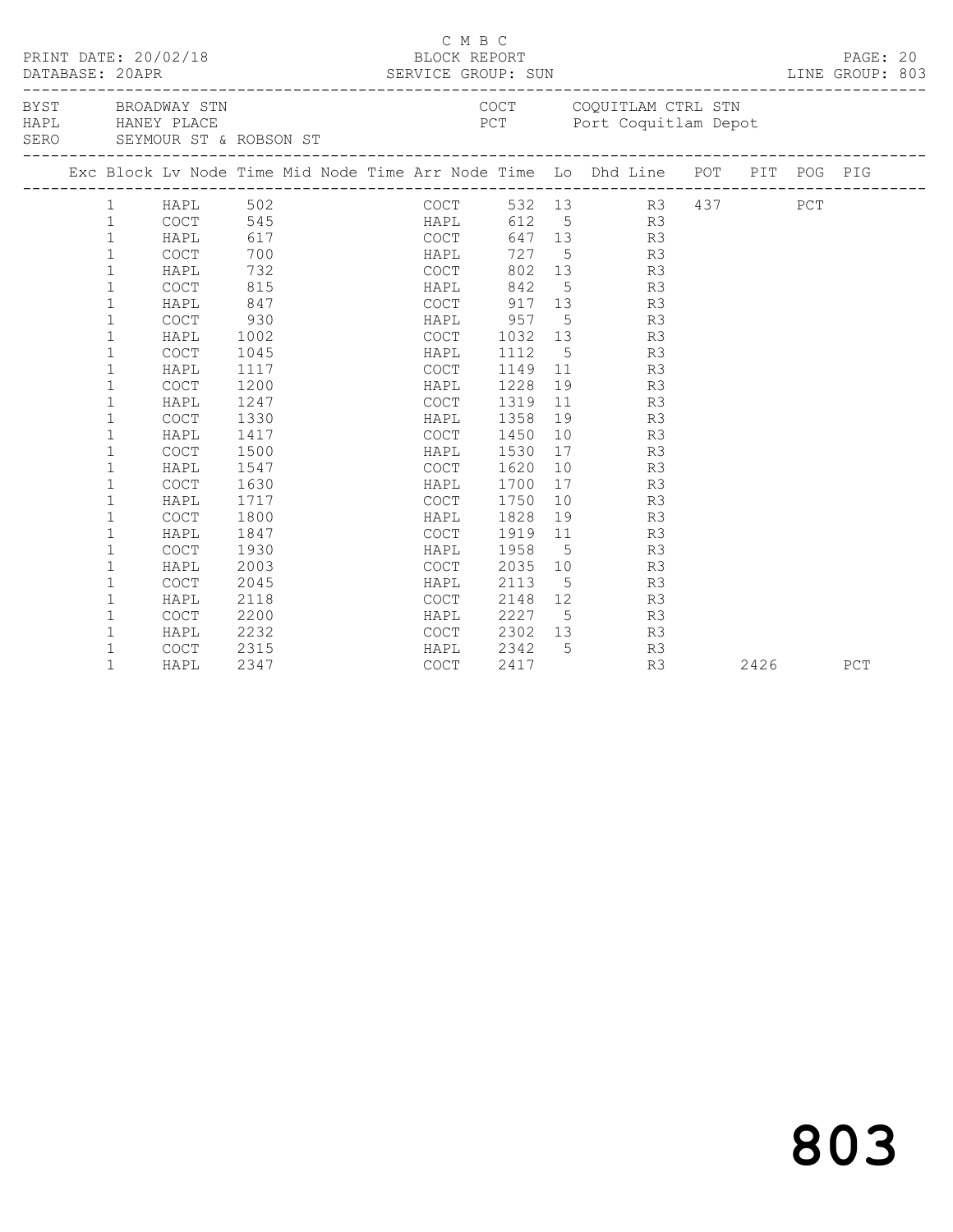| PRINT DATE: 20/02/18<br>BYST BROADWAY STN |              |                                                 |      |      | C M B C<br>BLOCK REPORT                    |      |    |                                                                                |  |      | PAGE: 20<br>LINE GROUP: 803 |  |
|-------------------------------------------|--------------|-------------------------------------------------|------|------|--------------------------------------------|------|----|--------------------------------------------------------------------------------|--|------|-----------------------------|--|
|                                           |              | HAPL HANEY PLACE<br>SERO SEYMOUR ST & ROBSON ST |      |      |                                            |      |    | COCT COQUITLAM CTRL STN<br>PCT Port Coquitlam Depot                            |  |      |                             |  |
|                                           |              |                                                 |      |      |                                            |      |    | Exc Block Lv Node Time Mid Node Time Arr Node Time Lo Dhd Line POT PIT POG PIG |  |      |                             |  |
|                                           |              |                                                 |      |      |                                            |      |    | COCT 532 13 R3 437 PCT<br>HAPL 612 5 R3<br>COCT 647 13 R3                      |  |      |                             |  |
|                                           |              |                                                 |      |      |                                            |      |    |                                                                                |  |      |                             |  |
|                                           |              |                                                 |      |      |                                            |      |    |                                                                                |  |      |                             |  |
|                                           |              |                                                 |      |      | HAPL                                       |      |    | 727 5 R3                                                                       |  |      |                             |  |
|                                           | $\mathbf{1}$ | HAPL                                            | 732  |      | COCT                                       |      |    | 802 13 R3                                                                      |  |      |                             |  |
|                                           | $\mathbf{1}$ | COCT                                            | 815  |      |                                            |      |    | HAPL 842 5 R3                                                                  |  |      |                             |  |
|                                           | $\mathbf{1}$ | HAPL                                            | 847  |      |                                            |      |    | COCT 917 13 R3                                                                 |  |      |                             |  |
|                                           | $\mathbf{1}$ | COCT                                            | 930  |      |                                            |      |    | HAPL 957 5 R3                                                                  |  |      |                             |  |
|                                           | $\mathbf 1$  | HAPL                                            | 1002 |      |                                            |      |    | COCT 1032 13 R3                                                                |  |      |                             |  |
|                                           | $\mathbf{1}$ | COCT                                            | 1045 |      | <b>HAPL</b>                                | 1112 |    | 5 <sub>1</sub><br>R3                                                           |  |      |                             |  |
|                                           | 1            | HAPL                                            | 1117 |      | COCT                                       |      |    | 1149 11 R3                                                                     |  |      |                             |  |
|                                           | $\mathbf{1}$ | COCT                                            | 1200 |      | HAPL                                       | 1228 |    | 19 R3                                                                          |  |      |                             |  |
|                                           | $\mathbf 1$  | HAPL                                            | 1247 |      | COCT                                       | 1319 |    | 11 R3                                                                          |  |      |                             |  |
|                                           | $\mathbf{1}$ | COCT                                            | 1330 |      | HAPL                                       | 1358 | 19 | R3                                                                             |  |      |                             |  |
|                                           | 1            | HAPL                                            | 1417 |      | COCT                                       | 1450 | 10 | R3                                                                             |  |      |                             |  |
|                                           | $\mathbf 1$  | COCT                                            | 1500 |      | HAPL                                       | 1530 |    | R3<br>17                                                                       |  |      |                             |  |
|                                           | 1            | HAPL                                            | 1547 |      | COCT                                       | 1620 |    | 10<br>R3                                                                       |  |      |                             |  |
|                                           | $\mathbf{1}$ | <b>COCT</b>                                     | 1630 |      | HAPL                                       | 1700 |    | 17 R3                                                                          |  |      |                             |  |
|                                           | 1            | HAPL                                            | 1717 |      | COCT 1750                                  |      |    | 10<br>R3                                                                       |  |      |                             |  |
|                                           | 1            | COCT                                            | 1800 | HAPL |                                            | 1828 |    | 19<br>R3                                                                       |  |      |                             |  |
|                                           | $\mathbf 1$  | HAPL                                            | 1847 |      | COCT 1919 11                               |      |    | R3                                                                             |  |      |                             |  |
|                                           | 1            | COCT                                            | 1930 | HAPL |                                            | 1958 |    | $5\overline{}$<br>R3                                                           |  |      |                             |  |
|                                           | $\mathbf 1$  | HAPL                                            | 2003 |      | COCT 2035 10                               |      |    | R3                                                                             |  |      |                             |  |
|                                           | $\mathbf 1$  | <b>COCT</b>                                     | 2045 |      | HAPL                                       | 2113 |    | $5\overline{}$<br>R3                                                           |  |      |                             |  |
|                                           | $\mathbf{1}$ | HAPL                                            | 2118 |      | COCT                                       |      |    | 2148 12<br>R3                                                                  |  |      |                             |  |
|                                           | $\mathbf{1}$ | COCT                                            | 2200 |      | HAPL 2227 5<br>COCT 2302 13<br>HAPL 2342 5 |      |    | R3                                                                             |  |      |                             |  |
|                                           | $\mathbf{1}$ | HAPL                                            | 2232 |      |                                            |      |    | R <sub>3</sub>                                                                 |  |      |                             |  |
|                                           | $\mathbf 1$  | COCT                                            | 2315 |      |                                            |      |    | R3                                                                             |  |      |                             |  |
|                                           | $\mathbf{1}$ | HAPL                                            | 2347 |      | COCT                                       | 2417 |    | R3                                                                             |  | 2426 | PCT                         |  |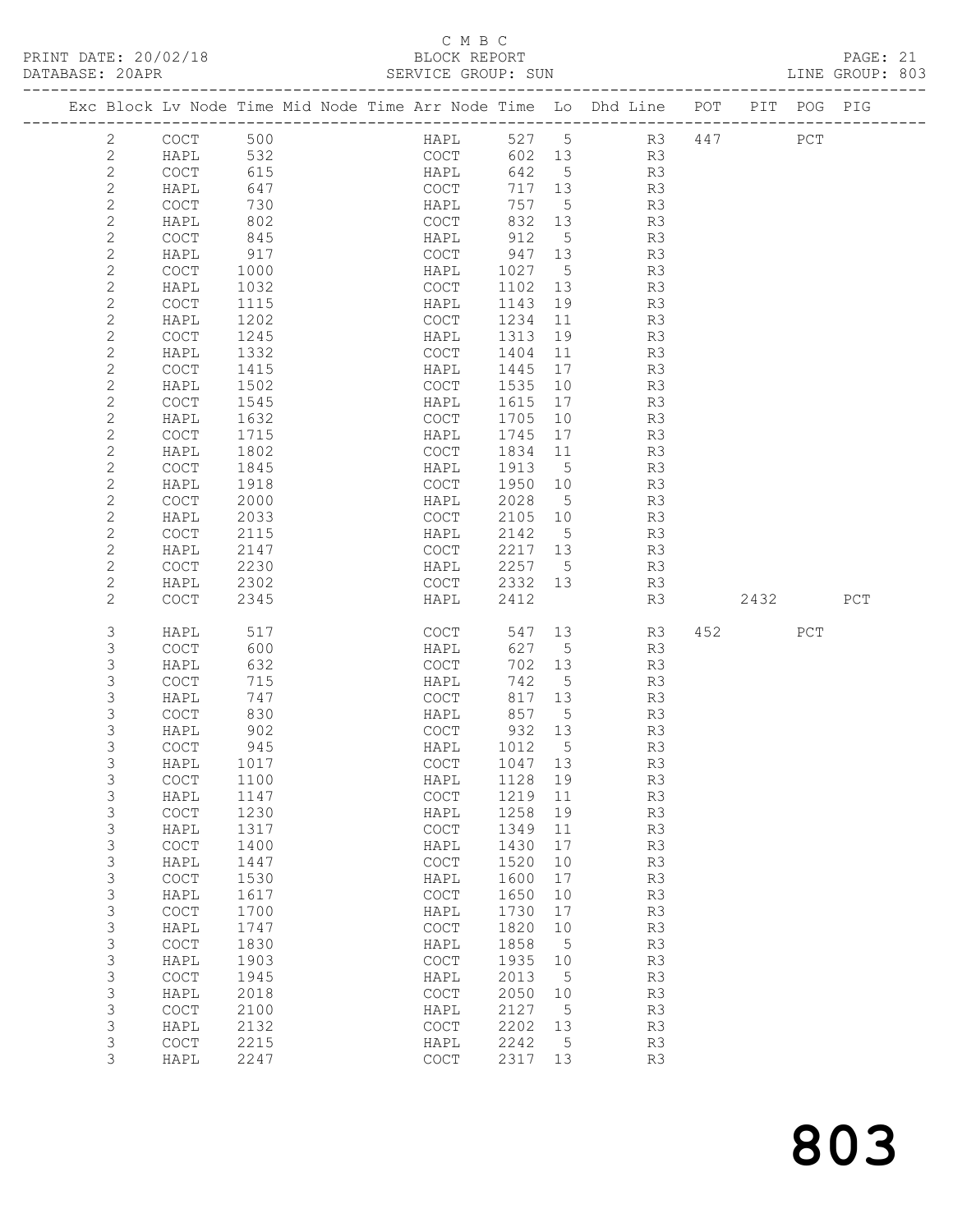# C M B C<br>BLOCK REPORT<br>SERVICE GROUP: SUN

| PRINT DATE: 20/02/18<br>DATABASE: 20APR |                |                                            |      |  | ∪ ⊔ 11 ∪<br>BLOCK REPORT<br>SERVICE GROUP: SUN |         |                |                                                                                |          |     | PAGE: 21<br>LINE GROUP: 803 |  |
|-----------------------------------------|----------------|--------------------------------------------|------|--|------------------------------------------------|---------|----------------|--------------------------------------------------------------------------------|----------|-----|-----------------------------|--|
|                                         |                |                                            |      |  |                                                |         |                | Exc Block Lv Node Time Mid Node Time Arr Node Time Lo Dhd Line POT PIT POG PIG |          |     |                             |  |
|                                         | $\overline{2}$ | COCT 500                                   |      |  |                                                |         |                | HAPL 527 5 R3 447                                                              |          | PCT |                             |  |
|                                         | $\mathbf{2}$   | HAPL                                       | 532  |  |                                                |         |                |                                                                                |          |     |                             |  |
|                                         | $\overline{c}$ | COCT                                       | 615  |  |                                                |         |                | COCT 602 13 R3<br>HAPL 642 5 R3                                                |          |     |                             |  |
|                                         | $\mathbf{2}$   | HAPL                                       | 647  |  | COCT                                           |         |                | $717$ 13 R3                                                                    |          |     |                             |  |
|                                         | $\overline{c}$ | COCT                                       | 730  |  | <b>HAPL</b>                                    |         |                | 757 5 R3                                                                       |          |     |                             |  |
|                                         | $\mathbf{2}$   | HAPL                                       | 802  |  | COCT                                           | 832     |                | 13 R3                                                                          |          |     |                             |  |
|                                         | $\overline{c}$ | COCT                                       | 845  |  | HAPL                                           | 912     | 5 <sup>5</sup> | R3                                                                             |          |     |                             |  |
|                                         | $\mathbf{2}$   | HAPL                                       | 917  |  | COCT 947 13                                    |         |                | R3                                                                             |          |     |                             |  |
|                                         | $\mathbf{2}$   | <b>COCT</b>                                | 1000 |  | HAPL                                           |         |                | 1027 5 R3                                                                      |          |     |                             |  |
|                                         | $\mathbf{2}$   | HAPL                                       | 1032 |  | COCT                                           | 1102 13 |                | R3                                                                             |          |     |                             |  |
|                                         | $\mathbf{2}$   | COCT                                       | 1115 |  | HAPL                                           | 1143    | 19             | R3                                                                             |          |     |                             |  |
|                                         | $\mathbf{2}$   | HAPL                                       | 1202 |  | COCT                                           | 1234 11 |                | R <sup>3</sup>                                                                 |          |     |                             |  |
|                                         | $\mathbf{2}$   | <b>COCT</b>                                | 1245 |  | HAPL                                           |         |                | 1313 19 R3                                                                     |          |     |                             |  |
|                                         | $\mathbf{2}$   | HAPL                                       | 1332 |  | COCT                                           | 1404    | 11             | R3                                                                             |          |     |                             |  |
|                                         | $\mathbf{2}$   | COCT                                       | 1415 |  | HAPL                                           | 1445    | 17             | R3                                                                             |          |     |                             |  |
|                                         | $\mathbf{2}$   | HAPL                                       | 1502 |  | COCT                                           | 1535 10 |                | R3                                                                             |          |     |                             |  |
|                                         | $\mathbf{2}$   | COCT                                       | 1545 |  | HAPL                                           |         |                | 1615 17 R3                                                                     |          |     |                             |  |
|                                         | $\mathbf{2}$   | HAPL                                       | 1632 |  | <b>COCT</b>                                    | 1705 10 |                | R3                                                                             |          |     |                             |  |
|                                         | $\mathbf{2}$   | COCT                                       | 1715 |  | HAPL                                           | 1745 17 |                | R <sub>3</sub>                                                                 |          |     |                             |  |
|                                         | $\mathbf{2}$   | HAPL                                       | 1802 |  | COCT                                           | 1834 11 |                | R <sub>3</sub>                                                                 |          |     |                             |  |
|                                         | $\mathbf{2}$   | COCT                                       | 1845 |  | HAPL                                           |         |                | 1913 5 R3                                                                      |          |     |                             |  |
|                                         | $\mathbf{2}$   | HAPL                                       | 1918 |  | COCT                                           | 1950 10 |                | R3                                                                             |          |     |                             |  |
|                                         | $\mathbf{2}$   | COCT                                       | 2000 |  | HAPL                                           | 2028    | 5 <sup>5</sup> | R3                                                                             |          |     |                             |  |
|                                         | $\mathbf{2}$   | HAPL                                       | 2033 |  | COCT                                           | 2105 10 |                | R3                                                                             |          |     |                             |  |
|                                         | $\mathbf{2}$   | COCT                                       | 2115 |  | HAPL                                           |         |                | 2142 5 R3                                                                      |          |     |                             |  |
|                                         | $\mathbf{2}$   | HAPL                                       | 2147 |  | COCT                                           |         |                | 2217 13 R3                                                                     |          |     |                             |  |
|                                         | $\mathbf{2}$   | COCT                                       | 2230 |  | HAPL                                           | 2257 5  |                | R3                                                                             |          |     |                             |  |
|                                         | $\mathbf{2}$   | HAPL                                       | 2302 |  | COCT                                           | 2332 13 |                |                                                                                |          |     |                             |  |
|                                         | $\overline{2}$ | <b>COCT</b>                                | 2345 |  | HAPL                                           | 2412    |                | R <sub>3</sub><br>R3                                                           | 2432 PCT |     |                             |  |
|                                         | 3              | HAPL                                       | 517  |  | COCT                                           | 547 13  |                | R <sub>3</sub>                                                                 | 452 PCT  |     |                             |  |
|                                         | 3              | COCT                                       | 600  |  | HAPL                                           | 627     | 5 <sup>5</sup> | R3                                                                             |          |     |                             |  |
|                                         | 3              | HAPL                                       | 632  |  | COCT                                           | 702     | 13             | R3                                                                             |          |     |                             |  |
|                                         | 3              | <b>COCT</b>                                | 715  |  | HAPL                                           | 742     | $5^{\circ}$    | R <sub>3</sub>                                                                 |          |     |                             |  |
|                                         | 3              | HAPL                                       | 747  |  | COCT                                           | 817 13  |                | R3                                                                             |          |     |                             |  |
|                                         | 3              | COCT                                       | 830  |  | HAPL                                           | 857 5   |                | R,<br>R3<br>P                                                                  |          |     |                             |  |
|                                         | 3              | HAPL                                       | 902  |  | COCT                                           | 932     | 13             |                                                                                |          |     |                             |  |
|                                         | 3              | COCT                                       | 945  |  | HAPL                                           | 1012    | 5              | R3                                                                             |          |     |                             |  |
|                                         | 3              | HAPL                                       | 1017 |  | COCT                                           | 1047    | 13             | R3                                                                             |          |     |                             |  |
|                                         | $\mathsf 3$    | COCT                                       | 1100 |  | HAPL                                           | 1128    | 19             | R3                                                                             |          |     |                             |  |
|                                         | $\mathsf 3$    | HAPL                                       | 1147 |  | $\mathtt{C}\mathtt{O}\mathtt{C}\mathtt{T}$     | 1219    | $11$           | R3                                                                             |          |     |                             |  |
|                                         | 3              | $\mathtt{C}\mathtt{O}\mathtt{C}\mathtt{T}$ | 1230 |  | HAPL                                           | 1258    | 19             | R3                                                                             |          |     |                             |  |
|                                         | $\mathsf 3$    | HAPL                                       | 1317 |  | COCT                                           | 1349    | 11             | R3                                                                             |          |     |                             |  |
|                                         | $\mathsf 3$    | COCT                                       | 1400 |  | HAPL                                           | 1430    | 17             | R3                                                                             |          |     |                             |  |
|                                         | $\mathsf 3$    | HAPL                                       | 1447 |  | $\mathtt{C}\mathtt{O}\mathtt{C}\mathtt{T}$     | 1520    | 10             | R3                                                                             |          |     |                             |  |
|                                         | $\mathsf 3$    | COCT                                       | 1530 |  | HAPL                                           | 1600    | 17             | R3                                                                             |          |     |                             |  |
|                                         | $\mathsf 3$    | HAPL                                       | 1617 |  | COCT                                           | 1650    | 10             | R3                                                                             |          |     |                             |  |
|                                         | $\mathsf 3$    | COCT                                       | 1700 |  | HAPL                                           | 1730    | 17             | R3                                                                             |          |     |                             |  |
|                                         | $\mathsf 3$    | HAPL                                       | 1747 |  | $\mathtt{C}\mathtt{O}\mathtt{C}\mathtt{T}$     | 1820    | 10             | R3                                                                             |          |     |                             |  |
|                                         | $\mathsf 3$    | COCT                                       | 1830 |  | HAPL                                           | 1858    | 5              | R3                                                                             |          |     |                             |  |
|                                         | $\mathsf 3$    | HAPL                                       | 1903 |  | COCT                                           | 1935    | 10             | R3                                                                             |          |     |                             |  |
|                                         | $\mathsf 3$    | COCT                                       | 1945 |  | HAPL                                           | 2013    | 5              | R3                                                                             |          |     |                             |  |
|                                         | $\mathsf 3$    | HAPL                                       | 2018 |  | $\mathtt{C}\mathtt{O}\mathtt{C}\mathtt{T}$     | 2050    | 10             | R3                                                                             |          |     |                             |  |
|                                         | $\mathsf 3$    | COCT                                       | 2100 |  | HAPL                                           | 2127    | 5              | R3                                                                             |          |     |                             |  |
|                                         | $\mathsf 3$    | HAPL                                       | 2132 |  | $\mathtt{C}\mathtt{O}\mathtt{C}\mathtt{T}$     | 2202    | 13             | R3                                                                             |          |     |                             |  |
|                                         | $\mathsf 3$    | COCT                                       | 2215 |  | HAPL                                           | 2242    | 5              | R3                                                                             |          |     |                             |  |
|                                         | 3              | HAPL                                       | 2247 |  | $\mathtt{C}\mathtt{O}\mathtt{C}\mathtt{T}$     | 2317    | 13             | R3                                                                             |          |     |                             |  |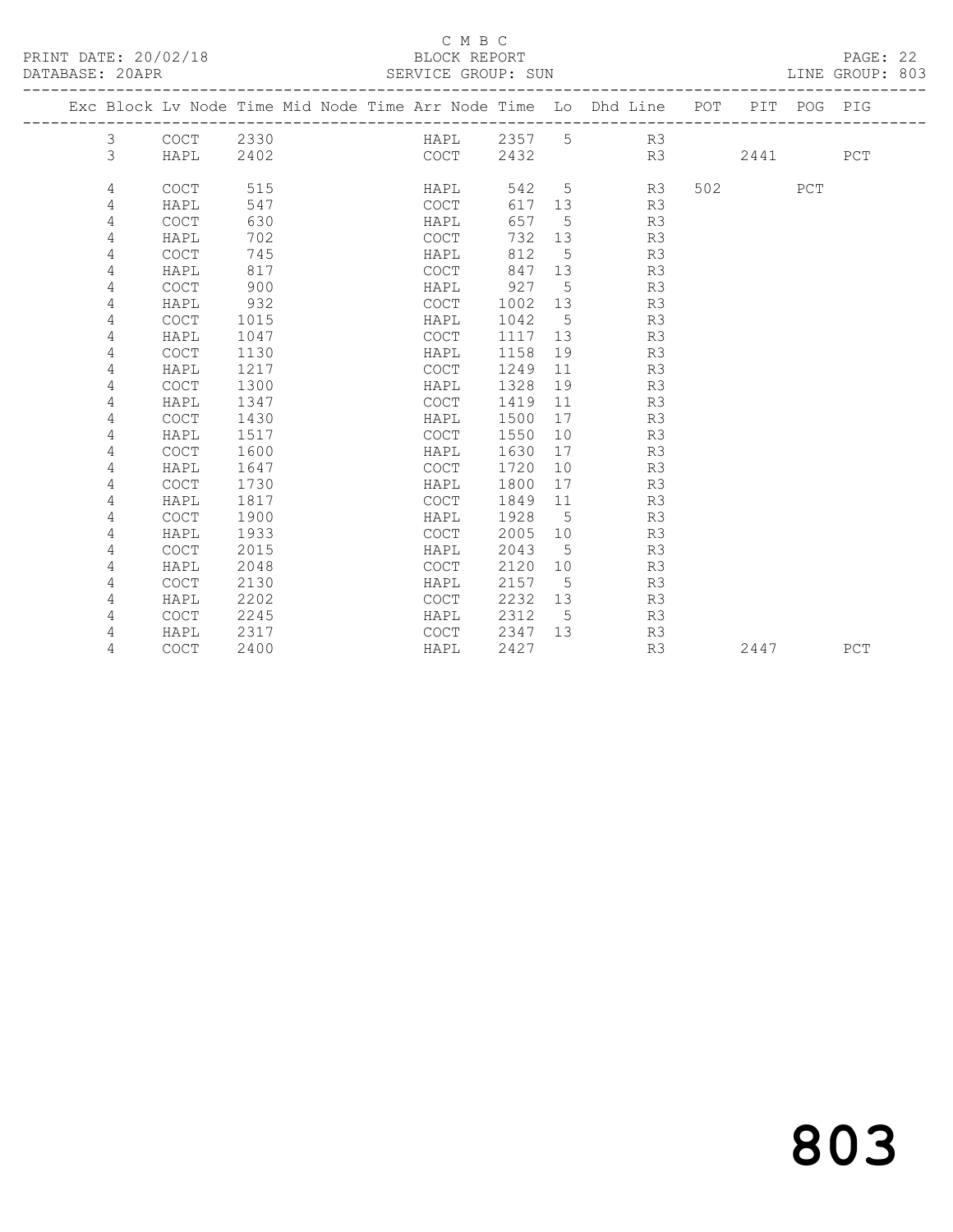# C M B C<br>BLOCK REPORT<br>SERVICE GROUP: SUN

| DATABASE: 20APR |   |                                                                                |      |  | SERVICE GROUP: SUN |        |    |    |     |      |     | LINE GROUP: 803 |  |
|-----------------|---|--------------------------------------------------------------------------------|------|--|--------------------|--------|----|----|-----|------|-----|-----------------|--|
|                 |   | Exc Block Lv Node Time Mid Node Time Arr Node Time Lo Dhd Line POT PIT POG PIG |      |  |                    |        |    |    |     |      |     |                 |  |
|                 | 3 | $\mathtt{C}\mathtt{O}\mathtt{C}\mathtt{T}$                                     | 2330 |  | HAPL               | 2357 5 |    | R3 |     |      |     |                 |  |
|                 | 3 | HAPL                                                                           | 2402 |  | COCT               | 2432   |    | R3 |     | 2441 |     | PCT             |  |
|                 | 4 | <b>COCT</b>                                                                    | 515  |  | HAPL               | 542    | 5  | R3 | 502 |      | PCT |                 |  |
|                 | 4 | HAPL                                                                           | 547  |  | <b>COCT</b>        | 617    | 13 | R3 |     |      |     |                 |  |
|                 | 4 | COCT                                                                           | 630  |  | HAPL               | 657    | 5  | R3 |     |      |     |                 |  |
|                 | 4 | HAPL                                                                           | 702  |  | <b>COCT</b>        | 732    | 13 | R3 |     |      |     |                 |  |
|                 | 4 | <b>COCT</b>                                                                    | 745  |  | HAPL               | 812    | 5  | R3 |     |      |     |                 |  |
|                 | 4 | HAPL                                                                           | 817  |  | COCT               | 847    | 13 | R3 |     |      |     |                 |  |
|                 | 4 | <b>COCT</b>                                                                    | 900  |  | HAPL               | 927    | 5  | R3 |     |      |     |                 |  |
|                 | 4 | HAPL                                                                           | 932  |  | <b>COCT</b>        | 1002   | 13 | R3 |     |      |     |                 |  |
|                 | 4 | <b>COCT</b>                                                                    | 1015 |  | HAPL               | 1042   | 5  | R3 |     |      |     |                 |  |
|                 | 4 | HAPL                                                                           | 1047 |  | <b>COCT</b>        | 1117   | 13 | R3 |     |      |     |                 |  |
|                 | 4 | <b>COCT</b>                                                                    | 1130 |  | HAPL               | 1158   | 19 | R3 |     |      |     |                 |  |
|                 | 4 | HAPL                                                                           | 1217 |  | <b>COCT</b>        | 1249   | 11 | R3 |     |      |     |                 |  |
|                 | 4 | <b>COCT</b>                                                                    | 1300 |  | HAPL               | 1328   | 19 | R3 |     |      |     |                 |  |
|                 | 4 | HAPL                                                                           | 1347 |  | <b>COCT</b>        | 1419   | 11 | R3 |     |      |     |                 |  |
|                 | 4 | <b>COCT</b>                                                                    | 1430 |  | HAPL               | 1500   | 17 | R3 |     |      |     |                 |  |
|                 | 4 | HAPL                                                                           | 1517 |  | <b>COCT</b>        | 1550   | 10 | R3 |     |      |     |                 |  |
|                 | 4 | <b>COCT</b>                                                                    | 1600 |  | HAPL               | 1630   | 17 | R3 |     |      |     |                 |  |
|                 | 4 | HAPL                                                                           | 1647 |  | <b>COCT</b>        | 1720   | 10 | R3 |     |      |     |                 |  |
|                 | 4 | COCT                                                                           | 1730 |  | HAPL               | 1800   | 17 | R3 |     |      |     |                 |  |
|                 | 4 | HAPL                                                                           | 1817 |  | COCT               | 1849   | 11 | R3 |     |      |     |                 |  |
|                 | 4 | <b>COCT</b>                                                                    | 1900 |  | HAPL               | 1928   | 5  | R3 |     |      |     |                 |  |
|                 | 4 | HAPL                                                                           | 1933 |  | <b>COCT</b>        | 2005   | 10 | R3 |     |      |     |                 |  |
|                 | 4 | <b>COCT</b>                                                                    | 2015 |  | HAPL               | 2043   | 5  | R3 |     |      |     |                 |  |
|                 | 4 | HAPL                                                                           | 2048 |  | <b>COCT</b>        | 2120   | 10 | R3 |     |      |     |                 |  |
|                 | 4 | <b>COCT</b>                                                                    | 2130 |  | HAPL               | 2157   | 5  | R3 |     |      |     |                 |  |
|                 | 4 | HAPL                                                                           | 2202 |  | <b>COCT</b>        | 2232   | 13 | R3 |     |      |     |                 |  |
|                 | 4 | <b>COCT</b>                                                                    | 2245 |  | HAPL               | 2312   | 5  | R3 |     |      |     |                 |  |
|                 | 4 | HAPL                                                                           | 2317 |  | <b>COCT</b>        | 2347   | 13 | R3 |     |      |     |                 |  |
|                 | 4 | COCT                                                                           | 2400 |  | HAPL               | 2427   |    | R3 |     | 2447 |     | PCT             |  |